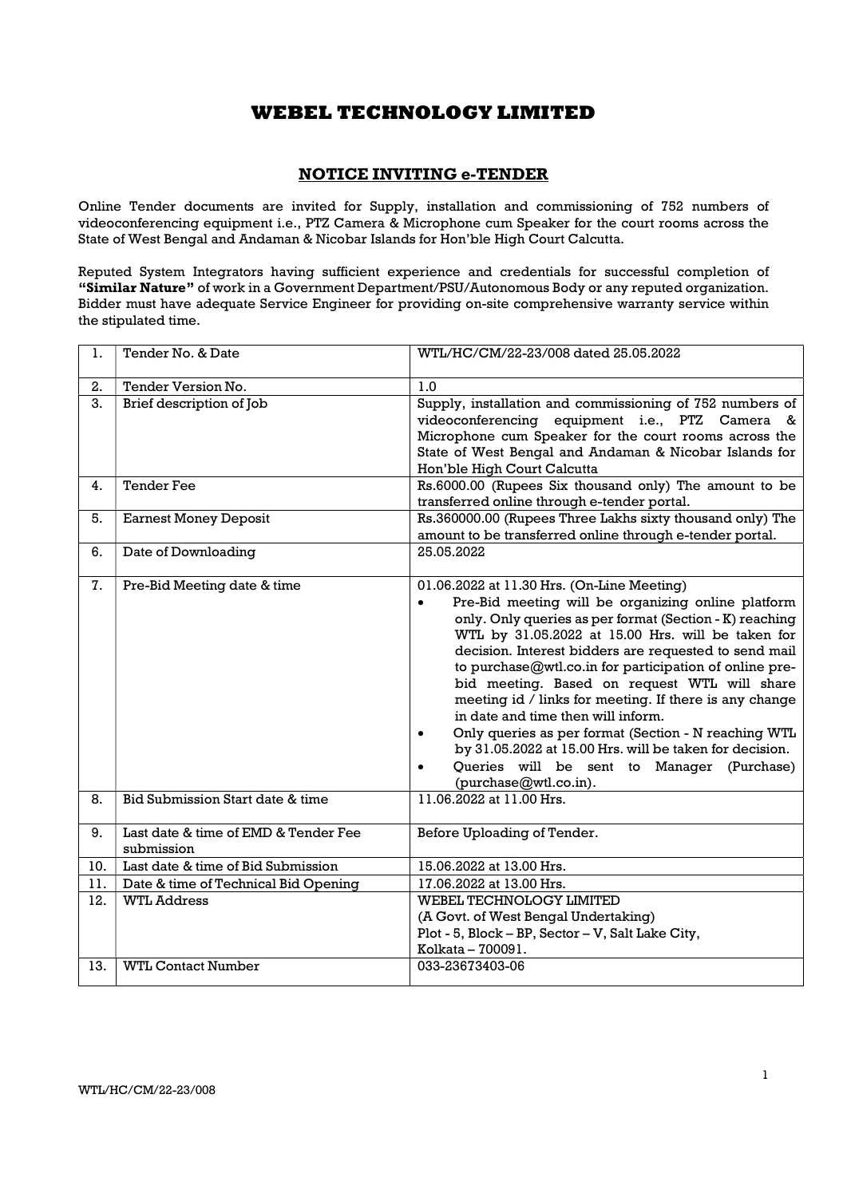## NOTICE INVITING e-TENDER

Online Tender documents are invited for Supply, installation and commissioning of 752 numbers of videoconferencing equipment i.e., PTZ Camera & Microphone cum Speaker for the court rooms across the State of West Bengal and Andaman & Nicobar Islands for Hon'ble High Court Calcutta.

Reputed System Integrators having sufficient experience and credentials for successful completion of "Similar Nature" of work in a Government Department/PSU/Autonomous Body or any reputed organization. Bidder must have adequate Service Engineer for providing on-site comprehensive warranty service within the stipulated time.

| 1.  | Tender No. & Date                                  | WTL/HC/CM/22-23/008 dated 25.05.2022                                                                                                                                                                                                                                                                                                                                                                                                                                                                                                                                                                                                                                                                                 |  |
|-----|----------------------------------------------------|----------------------------------------------------------------------------------------------------------------------------------------------------------------------------------------------------------------------------------------------------------------------------------------------------------------------------------------------------------------------------------------------------------------------------------------------------------------------------------------------------------------------------------------------------------------------------------------------------------------------------------------------------------------------------------------------------------------------|--|
| 2.  | Tender Version No.                                 | 1.0                                                                                                                                                                                                                                                                                                                                                                                                                                                                                                                                                                                                                                                                                                                  |  |
| 3.  | Brief description of Job                           | Supply, installation and commissioning of 752 numbers of<br>videoconferencing equipment i.e., PTZ Camera &<br>Microphone cum Speaker for the court rooms across the<br>State of West Bengal and Andaman & Nicobar Islands for<br>Hon'ble High Court Calcutta                                                                                                                                                                                                                                                                                                                                                                                                                                                         |  |
| 4.  | <b>Tender Fee</b>                                  | Rs.6000.00 (Rupees Six thousand only) The amount to be<br>transferred online through e-tender portal.                                                                                                                                                                                                                                                                                                                                                                                                                                                                                                                                                                                                                |  |
| 5.  | <b>Earnest Money Deposit</b>                       | Rs.360000.00 (Rupees Three Lakhs sixty thousand only) The<br>amount to be transferred online through e-tender portal.                                                                                                                                                                                                                                                                                                                                                                                                                                                                                                                                                                                                |  |
| 6.  | Date of Downloading                                | 25.05.2022                                                                                                                                                                                                                                                                                                                                                                                                                                                                                                                                                                                                                                                                                                           |  |
| 7.  | Pre-Bid Meeting date & time                        | 01.06.2022 at 11.30 Hrs. (On-Line Meeting)<br>Pre-Bid meeting will be organizing online platform<br>$\bullet$<br>only. Only queries as per format (Section - K) reaching<br>WTL by 31.05.2022 at 15.00 Hrs. will be taken for<br>decision. Interest bidders are requested to send mail<br>to purchase@wtl.co.in for participation of online pre-<br>bid meeting. Based on request WTL will share<br>meeting id / links for meeting. If there is any change<br>in date and time then will inform.<br>Only queries as per format (Section - N reaching WTL<br>$\bullet$<br>by 31.05.2022 at 15.00 Hrs. will be taken for decision.<br>Queries will be sent to Manager (Purchase)<br>$\bullet$<br>(purchase@wtl.co.in). |  |
| 8.  | Bid Submission Start date & time                   | 11.06.2022 at 11.00 Hrs.                                                                                                                                                                                                                                                                                                                                                                                                                                                                                                                                                                                                                                                                                             |  |
| 9.  | Last date & time of EMD & Tender Fee<br>submission | Before Uploading of Tender.                                                                                                                                                                                                                                                                                                                                                                                                                                                                                                                                                                                                                                                                                          |  |
| 10. | Last date & time of Bid Submission                 | 15.06.2022 at 13.00 Hrs.                                                                                                                                                                                                                                                                                                                                                                                                                                                                                                                                                                                                                                                                                             |  |
| 11. | Date & time of Technical Bid Opening               | 17.06.2022 at 13.00 Hrs.                                                                                                                                                                                                                                                                                                                                                                                                                                                                                                                                                                                                                                                                                             |  |
| 12. | <b>WTL Address</b>                                 | WEBEL TECHNOLOGY LIMITED<br>(A Govt. of West Bengal Undertaking)<br>Plot - 5, Block - BP, Sector - V, Salt Lake City,<br>Kolkata - 700091.                                                                                                                                                                                                                                                                                                                                                                                                                                                                                                                                                                           |  |
| 13. | <b>WTL Contact Number</b>                          | 033-23673403-06                                                                                                                                                                                                                                                                                                                                                                                                                                                                                                                                                                                                                                                                                                      |  |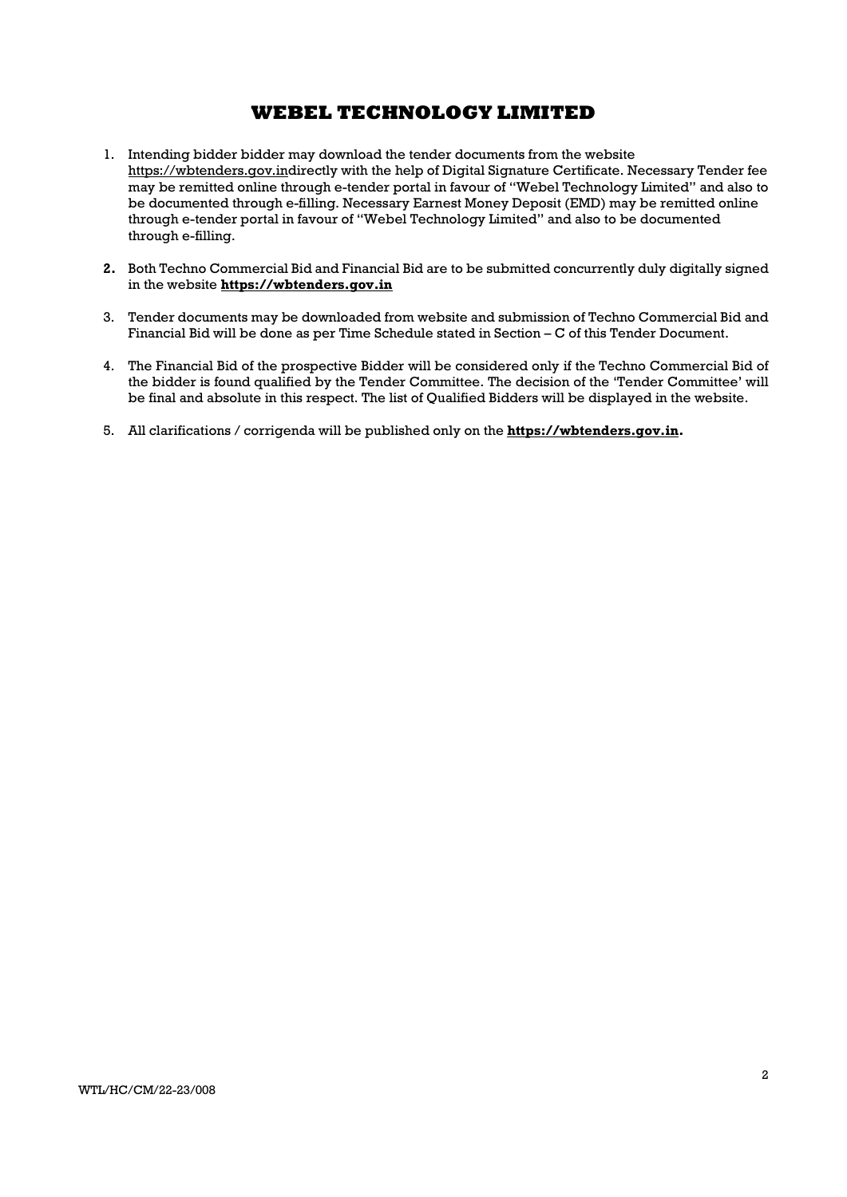- 1. Intending bidder bidder may download the tender documents from the website https://wbtenders.gov.indirectly with the help of Digital Signature Certificate. Necessary Tender fee may be remitted online through e-tender portal in favour of "Webel Technology Limited" and also to be documented through e-filling. Necessary Earnest Money Deposit (EMD) may be remitted online through e-tender portal in favour of "Webel Technology Limited" and also to be documented through e-filling.
- 2. Both Techno Commercial Bid and Financial Bid are to be submitted concurrently duly digitally signed in the website https://wbtenders.gov.in
- 3. Tender documents may be downloaded from website and submission of Techno Commercial Bid and Financial Bid will be done as per Time Schedule stated in Section – C of this Tender Document.
- 4. The Financial Bid of the prospective Bidder will be considered only if the Techno Commercial Bid of the bidder is found qualified by the Tender Committee. The decision of the 'Tender Committee' will be final and absolute in this respect. The list of Qualified Bidders will be displayed in the website.
- 5. All clarifications / corrigenda will be published only on the https://wbtenders.gov.in.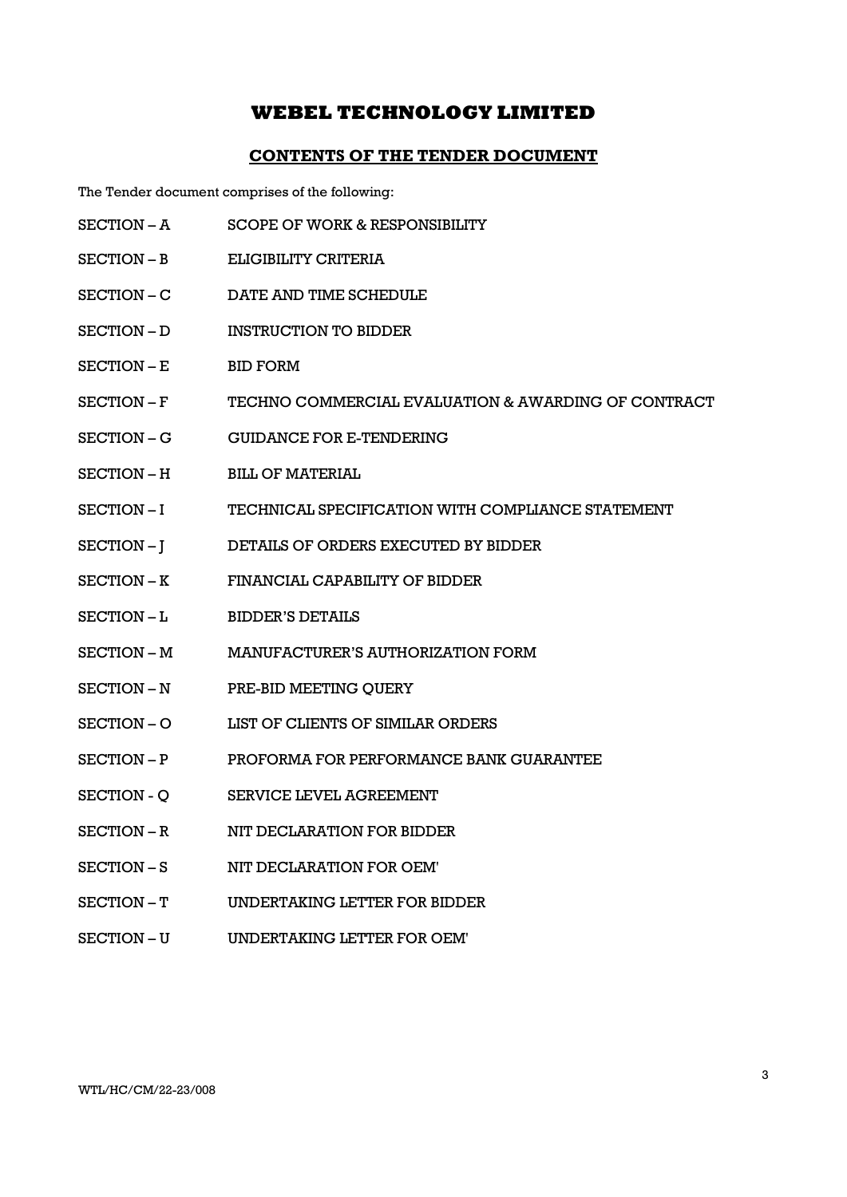### CONTENTS OF THE TENDER DOCUMENT

The Tender document comprises of the following:

- SECTION A SCOPE OF WORK & RESPONSIBILITY
- SECTION B ELIGIBILITY CRITERIA
- SECTION C DATE AND TIME SCHEDULE
- SECTION D INSTRUCTION TO BIDDER
- SECTION E BID FORM
- SECTION F TECHNO COMMERCIAL EVALUATION & AWARDING OF CONTRACT
- SECTION G GUIDANCE FOR E-TENDERING
- SECTION H BILL OF MATERIAL
- SECTION I TECHNICAL SPECIFICATION WITH COMPLIANCE STATEMENT
- SECTION J DETAILS OF ORDERS EXECUTED BY BIDDER
- SECTION K FINANCIAL CAPABILITY OF BIDDER
- SECTION L BIDDER'S DETAILS
- SECTION M MANUFACTURER'S AUTHORIZATION FORM
- SECTION N PRE-BID MEETING QUERY
- SECTION O LIST OF CLIENTS OF SIMILAR ORDERS
- SECTION P PROFORMA FOR PERFORMANCE BANK GUARANTEE
- SECTION O SERVICE LEVEL AGREEMENT
- SECTION R NIT DECLARATION FOR BIDDER
- SECTION S NIT DECLARATION FOR OEM'
- SECTION T UNDERTAKING LETTER FOR BIDDER
- SECTION U UNDERTAKING LETTER FOR OEM'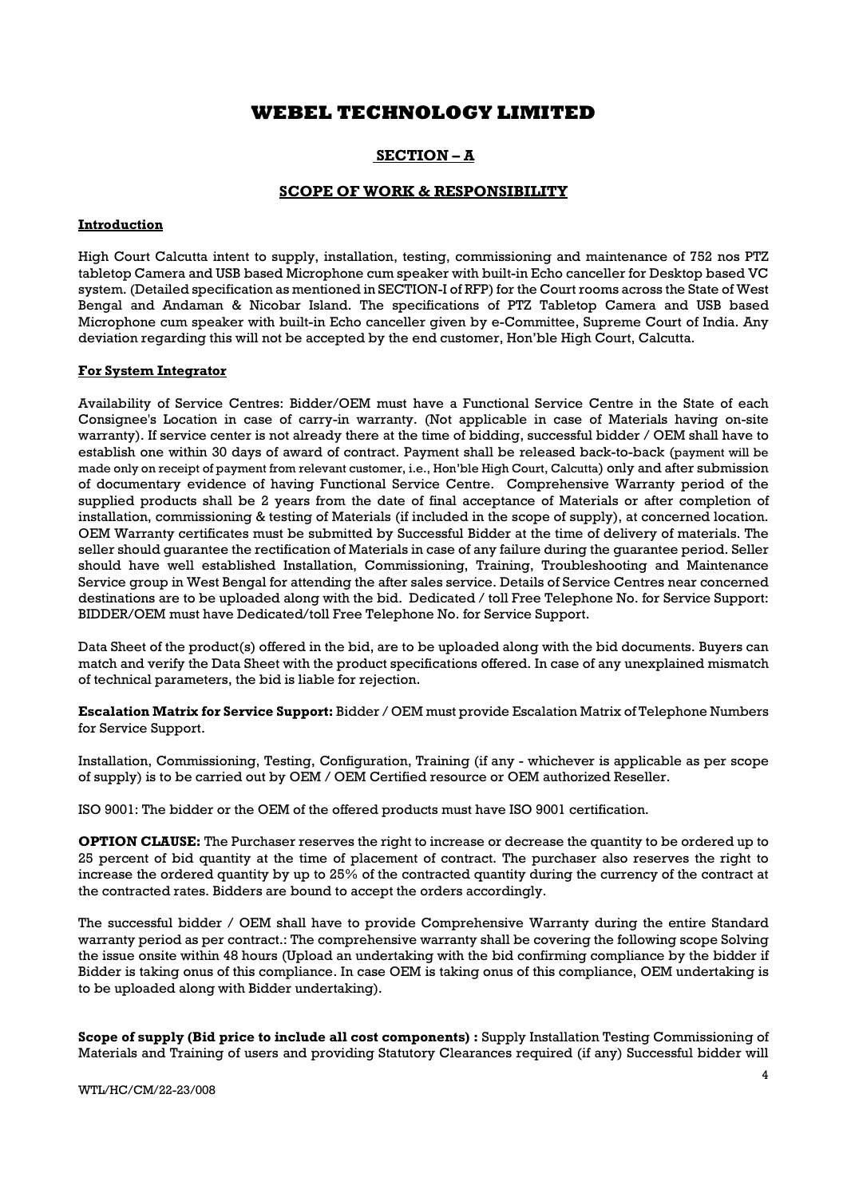## SECTION – A

### SCOPE OF WORK & RESPONSIBILITY

### Introduction

High Court Calcutta intent to supply, installation, testing, commissioning and maintenance of 752 nos PTZ tabletop Camera and USB based Microphone cum speaker with built-in Echo canceller for Desktop based VC system. (Detailed specification as mentioned in SECTION-I of RFP) for the Court rooms across the State of West Bengal and Andaman & Nicobar Island. The specifications of PTZ Tabletop Camera and USB based Microphone cum speaker with built-in Echo canceller given by e-Committee, Supreme Court of India. Any deviation regarding this will not be accepted by the end customer, Hon'ble High Court, Calcutta.

### For System Integrator

Availability of Service Centres: Bidder/OEM must have a Functional Service Centre in the State of each Consignee's Location in case of carry-in warranty. (Not applicable in case of Materials having on-site warranty). If service center is not already there at the time of bidding, successful bidder / OEM shall have to establish one within 30 days of award of contract. Payment shall be released back-to-back (payment will be made only on receipt of payment from relevant customer, i.e., Hon'ble High Court, Calcutta) only and after submission of documentary evidence of having Functional Service Centre. Comprehensive Warranty period of the supplied products shall be 2 years from the date of final acceptance of Materials or after completion of installation, commissioning & testing of Materials (if included in the scope of supply), at concerned location. OEM Warranty certificates must be submitted by Successful Bidder at the time of delivery of materials. The seller should guarantee the rectification of Materials in case of any failure during the guarantee period. Seller should have well established Installation, Commissioning, Training, Troubleshooting and Maintenance Service group in West Bengal for attending the after sales service. Details of Service Centres near concerned destinations are to be uploaded along with the bid. Dedicated / toll Free Telephone No. for Service Support: BIDDER/OEM must have Dedicated/toll Free Telephone No. for Service Support.

Data Sheet of the product(s) offered in the bid, are to be uploaded along with the bid documents. Buyers can match and verify the Data Sheet with the product specifications offered. In case of any unexplained mismatch of technical parameters, the bid is liable for rejection.

Escalation Matrix for Service Support: Bidder / OEM must provide Escalation Matrix of Telephone Numbers for Service Support.

Installation, Commissioning, Testing, Configuration, Training (if any - whichever is applicable as per scope of supply) is to be carried out by OEM / OEM Certified resource or OEM authorized Reseller.

ISO 9001: The bidder or the OEM of the offered products must have ISO 9001 certification.

OPTION CLAUSE: The Purchaser reserves the right to increase or decrease the quantity to be ordered up to 25 percent of bid quantity at the time of placement of contract. The purchaser also reserves the right to increase the ordered quantity by up to 25% of the contracted quantity during the currency of the contract at the contracted rates. Bidders are bound to accept the orders accordingly.

The successful bidder / OEM shall have to provide Comprehensive Warranty during the entire Standard warranty period as per contract.: The comprehensive warranty shall be covering the following scope Solving the issue onsite within 48 hours (Upload an undertaking with the bid confirming compliance by the bidder if Bidder is taking onus of this compliance. In case OEM is taking onus of this compliance, OEM undertaking is to be uploaded along with Bidder undertaking).

Scope of supply (Bid price to include all cost components) : Supply Installation Testing Commissioning of Materials and Training of users and providing Statutory Clearances required (if any) Successful bidder will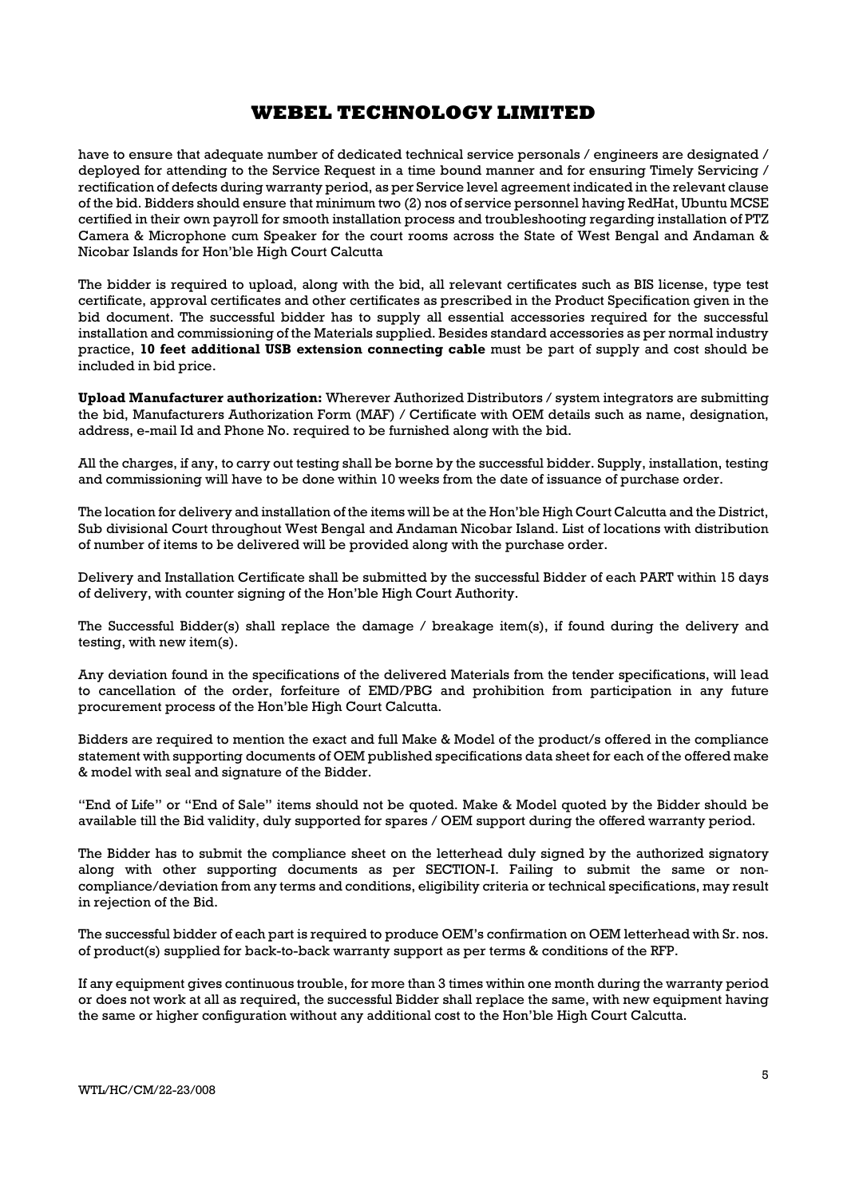have to ensure that adequate number of dedicated technical service personals / engineers are designated / deployed for attending to the Service Request in a time bound manner and for ensuring Timely Servicing / rectification of defects during warranty period, as per Service level agreement indicated in the relevant clause of the bid. Bidders should ensure that minimum two (2) nos of service personnel having RedHat, Ubuntu MCSE certified in their own payroll for smooth installation process and troubleshooting regarding installation of PTZ Camera & Microphone cum Speaker for the court rooms across the State of West Bengal and Andaman & Nicobar Islands for Hon'ble High Court Calcutta

The bidder is required to upload, along with the bid, all relevant certificates such as BIS license, type test certificate, approval certificates and other certificates as prescribed in the Product Specification given in the bid document. The successful bidder has to supply all essential accessories required for the successful installation and commissioning of the Materials supplied. Besides standard accessories as per normal industry practice, 10 feet additional USB extension connecting cable must be part of supply and cost should be included in bid price.

Upload Manufacturer authorization: Wherever Authorized Distributors / system integrators are submitting the bid, Manufacturers Authorization Form (MAF) / Certificate with OEM details such as name, designation, address, e-mail Id and Phone No. required to be furnished along with the bid.

All the charges, if any, to carry out testing shall be borne by the successful bidder. Supply, installation, testing and commissioning will have to be done within 10 weeks from the date of issuance of purchase order.

The location for delivery and installation of the items will be at the Hon'ble High Court Calcutta and the District, Sub divisional Court throughout West Bengal and Andaman Nicobar Island. List of locations with distribution of number of items to be delivered will be provided along with the purchase order.

Delivery and Installation Certificate shall be submitted by the successful Bidder of each PART within 15 days of delivery, with counter signing of the Hon'ble High Court Authority.

The Successful Bidder(s) shall replace the damage / breakage item(s), if found during the delivery and testing, with new item(s).

Any deviation found in the specifications of the delivered Materials from the tender specifications, will lead to cancellation of the order, forfeiture of EMD/PBG and prohibition from participation in any future procurement process of the Hon'ble High Court Calcutta.

Bidders are required to mention the exact and full Make & Model of the product/s offered in the compliance statement with supporting documents of OEM published specifications data sheet for each of the offered make & model with seal and signature of the Bidder.

"End of Life" or "End of Sale" items should not be quoted. Make & Model quoted by the Bidder should be available till the Bid validity, duly supported for spares / OEM support during the offered warranty period.

The Bidder has to submit the compliance sheet on the letterhead duly signed by the authorized signatory along with other supporting documents as per SECTION-I. Failing to submit the same or noncompliance/deviation from any terms and conditions, eligibility criteria or technical specifications, may result in rejection of the Bid.

The successful bidder of each part is required to produce OEM's confirmation on OEM letterhead with Sr. nos. of product(s) supplied for back-to-back warranty support as per terms & conditions of the RFP.

If any equipment gives continuous trouble, for more than 3 times within one month during the warranty period or does not work at all as required, the successful Bidder shall replace the same, with new equipment having the same or higher configuration without any additional cost to the Hon'ble High Court Calcutta.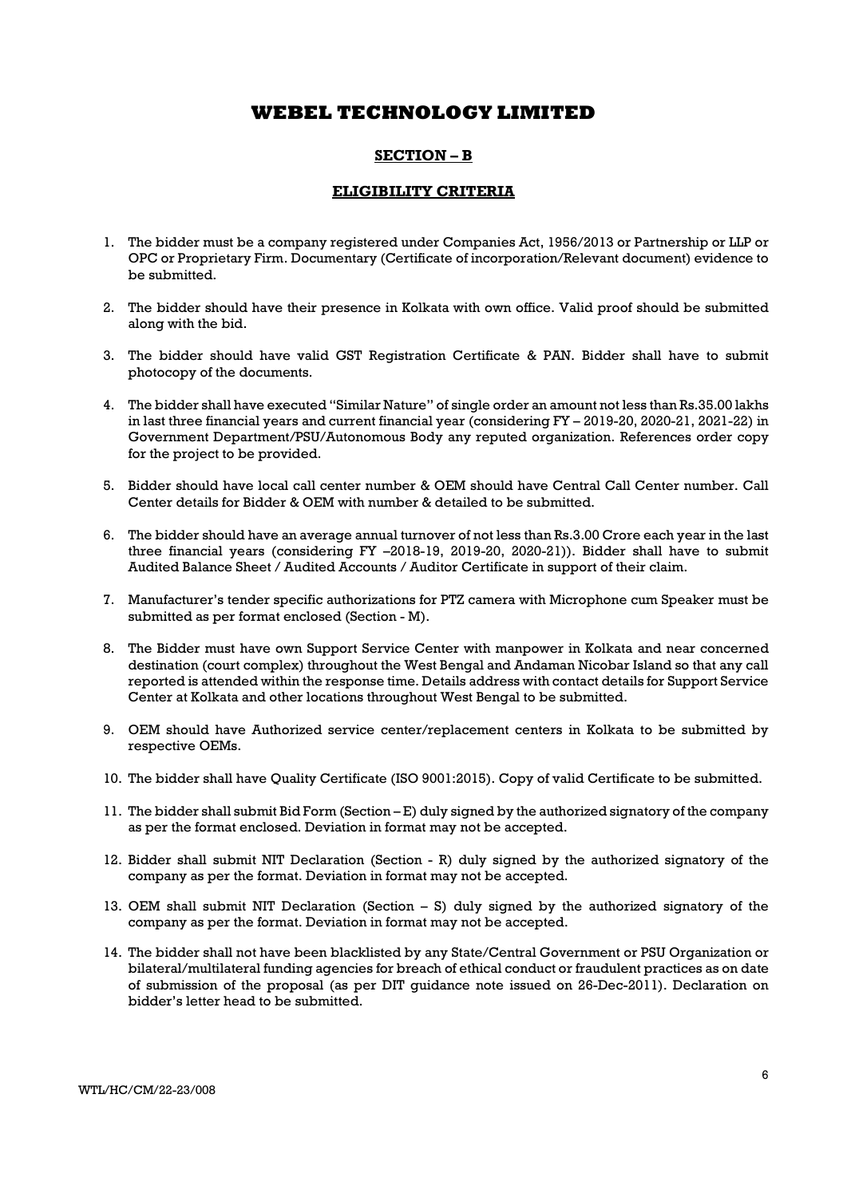### SECTION – B

### ELIGIBILITY CRITERIA

- 1. The bidder must be a company registered under Companies Act, 1956/2013 or Partnership or LLP or OPC or Proprietary Firm. Documentary (Certificate of incorporation/Relevant document) evidence to be submitted.
- 2. The bidder should have their presence in Kolkata with own office. Valid proof should be submitted along with the bid.
- 3. The bidder should have valid GST Registration Certificate & PAN. Bidder shall have to submit photocopy of the documents.
- 4. The bidder shall have executed "Similar Nature" of single order an amount not less than Rs.35.00 lakhs in last three financial years and current financial year (considering FY – 2019-20, 2020-21, 2021-22) in Government Department/PSU/Autonomous Body any reputed organization. References order copy for the project to be provided.
- 5. Bidder should have local call center number & OEM should have Central Call Center number. Call Center details for Bidder & OEM with number & detailed to be submitted.
- 6. The bidder should have an average annual turnover of not less than Rs.3.00 Crore each year in the last three financial years (considering FY –2018-19, 2019-20, 2020-21)). Bidder shall have to submit Audited Balance Sheet / Audited Accounts / Auditor Certificate in support of their claim.
- 7. Manufacturer's tender specific authorizations for PTZ camera with Microphone cum Speaker must be submitted as per format enclosed (Section - M).
- 8. The Bidder must have own Support Service Center with manpower in Kolkata and near concerned destination (court complex) throughout the West Bengal and Andaman Nicobar Island so that any call reported is attended within the response time. Details address with contact details for Support Service Center at Kolkata and other locations throughout West Bengal to be submitted.
- 9. OEM should have Authorized service center/replacement centers in Kolkata to be submitted by respective OEMs.
- 10. The bidder shall have Quality Certificate (ISO 9001:2015). Copy of valid Certificate to be submitted.
- 11. The bidder shall submit Bid Form (Section E) duly signed by the authorized signatory of the company as per the format enclosed. Deviation in format may not be accepted.
- 12. Bidder shall submit NIT Declaration (Section R) duly signed by the authorized signatory of the company as per the format. Deviation in format may not be accepted.
- 13. OEM shall submit NIT Declaration (Section S) duly signed by the authorized signatory of the company as per the format. Deviation in format may not be accepted.
- 14. The bidder shall not have been blacklisted by any State/Central Government or PSU Organization or bilateral/multilateral funding agencies for breach of ethical conduct or fraudulent practices as on date of submission of the proposal (as per DIT guidance note issued on 26-Dec-2011). Declaration on bidder's letter head to be submitted.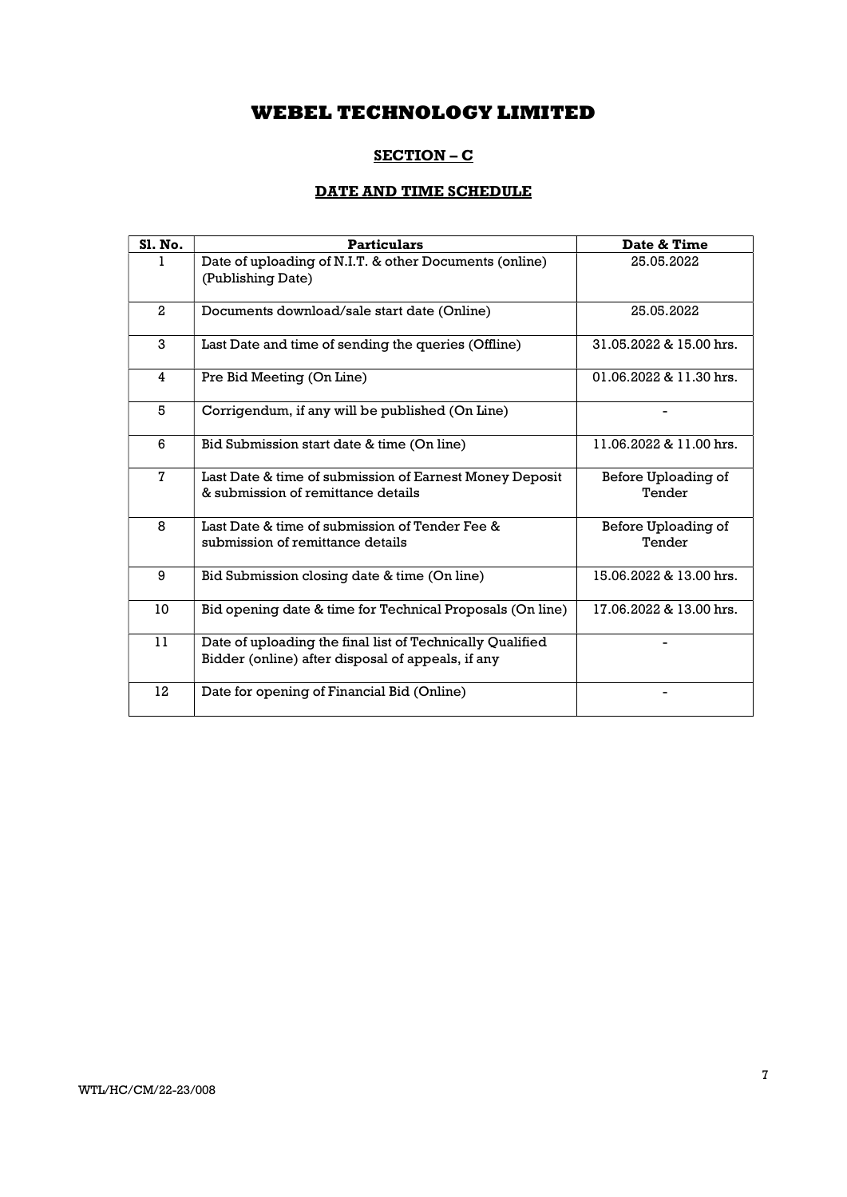## SECTION – C

# DATE AND TIME SCHEDULE

| Sl. No.      | <b>Particulars</b>                                                                                             | Date & Time                   |
|--------------|----------------------------------------------------------------------------------------------------------------|-------------------------------|
|              | Date of uploading of N.I.T. & other Documents (online)<br>(Publishing Date)                                    | 25.05.2022                    |
| $\mathbf{2}$ | Documents download/sale start date (Online)                                                                    | 25.05.2022                    |
| 3            | Last Date and time of sending the queries (Offline)                                                            | 31.05.2022 & 15.00 hrs.       |
| 4            | Pre Bid Meeting (On Line)                                                                                      | $01.06.2022$ & $11.30$ hrs.   |
| 5            | Corrigendum, if any will be published (On Line)                                                                |                               |
| 6            | Bid Submission start date & time (On line)                                                                     | 11.06.2022 & 11.00 hrs.       |
| $\mathbf 7$  | Last Date & time of submission of Earnest Money Deposit<br>& submission of remittance details                  | Before Uploading of<br>Tender |
| 8            | Last Date & time of submission of Tender Fee &<br>submission of remittance details                             | Before Uploading of<br>Tender |
| 9            | Bid Submission closing date & time (On line)                                                                   | 15.06.2022 & 13.00 hrs.       |
| 10           | Bid opening date & time for Technical Proposals (On line)                                                      | 17.06.2022 & 13.00 hrs.       |
| 11           | Date of uploading the final list of Technically Qualified<br>Bidder (online) after disposal of appeals, if any |                               |
| 12           | Date for opening of Financial Bid (Online)                                                                     |                               |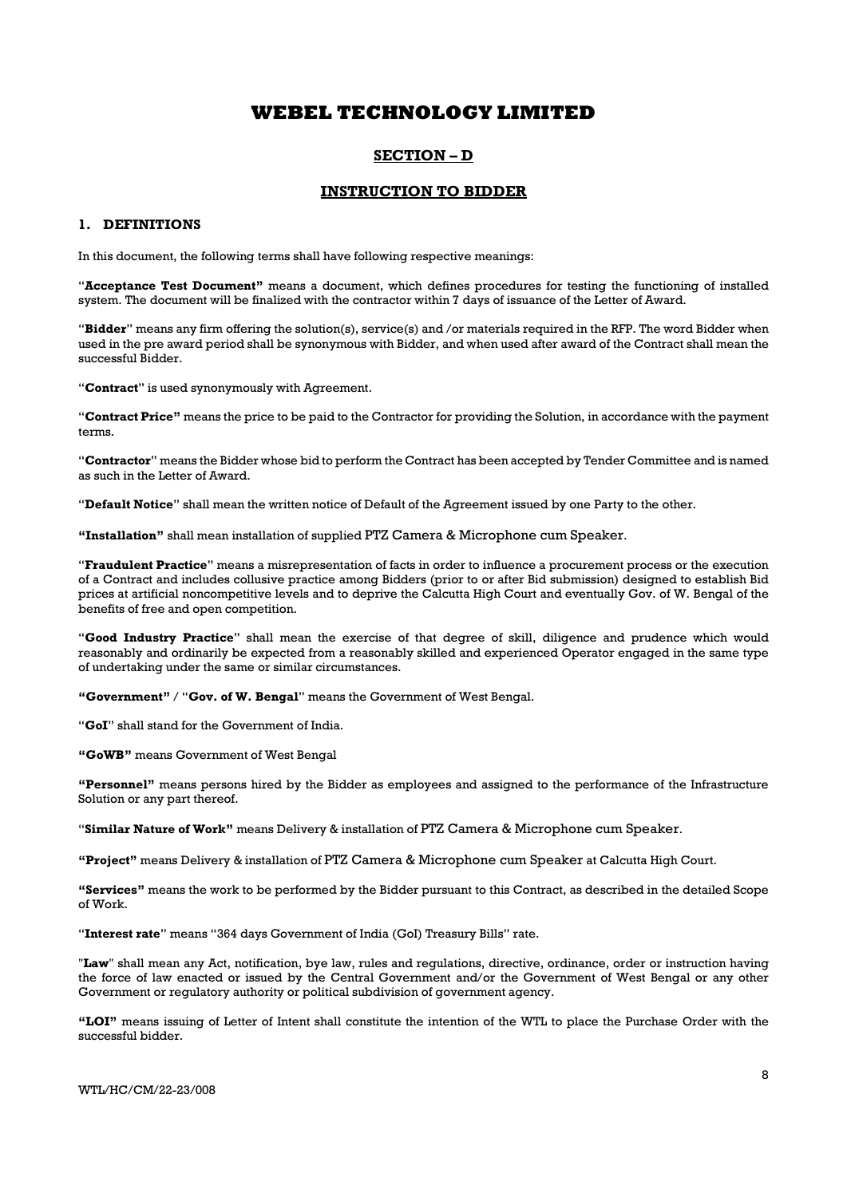### SECTION – D

### INSTRUCTION TO BIDDER

#### 1. DEFINITIONS

In this document, the following terms shall have following respective meanings:

"Acceptance Test Document" means a document, which defines procedures for testing the functioning of installed system. The document will be finalized with the contractor within 7 days of issuance of the Letter of Award.

"Bidder" means any firm offering the solution(s), service(s) and /or materials required in the RFP. The word Bidder when used in the pre award period shall be synonymous with Bidder, and when used after award of the Contract shall mean the successful Bidder.

"Contract" is used synonymously with Agreement.

"Contract Price" means the price to be paid to the Contractor for providing the Solution, in accordance with the payment terms.

"Contractor" means the Bidder whose bid to perform the Contract has been accepted by Tender Committee and is named as such in the Letter of Award.

"Default Notice" shall mean the written notice of Default of the Agreement issued by one Party to the other.

"Installation" shall mean installation of supplied PTZ Camera & Microphone cum Speaker.

"Fraudulent Practice" means a misrepresentation of facts in order to influence a procurement process or the execution of a Contract and includes collusive practice among Bidders (prior to or after Bid submission) designed to establish Bid prices at artificial noncompetitive levels and to deprive the Calcutta High Court and eventually Gov. of W. Bengal of the benefits of free and open competition.

"Good Industry Practice" shall mean the exercise of that degree of skill, diligence and prudence which would reasonably and ordinarily be expected from a reasonably skilled and experienced Operator engaged in the same type of undertaking under the same or similar circumstances.

"Government" / "Gov. of W. Bengal" means the Government of West Bengal.

"GoI" shall stand for the Government of India.

"GoWB" means Government of West Bengal

"Personnel" means persons hired by the Bidder as employees and assigned to the performance of the Infrastructure Solution or any part thereof.

"Similar Nature of Work" means Delivery & installation of PTZ Camera & Microphone cum Speaker.

"Project" means Delivery & installation of PTZ Camera & Microphone cum Speaker at Calcutta High Court.

"Services" means the work to be performed by the Bidder pursuant to this Contract, as described in the detailed Scope of Work.

"Interest rate" means "364 days Government of India (GoI) Treasury Bills" rate.

"Law" shall mean any Act, notification, bye law, rules and regulations, directive, ordinance, order or instruction having the force of law enacted or issued by the Central Government and/or the Government of West Bengal or any other Government or regulatory authority or political subdivision of government agency.

"LOI" means issuing of Letter of Intent shall constitute the intention of the WTL to place the Purchase Order with the successful bidder.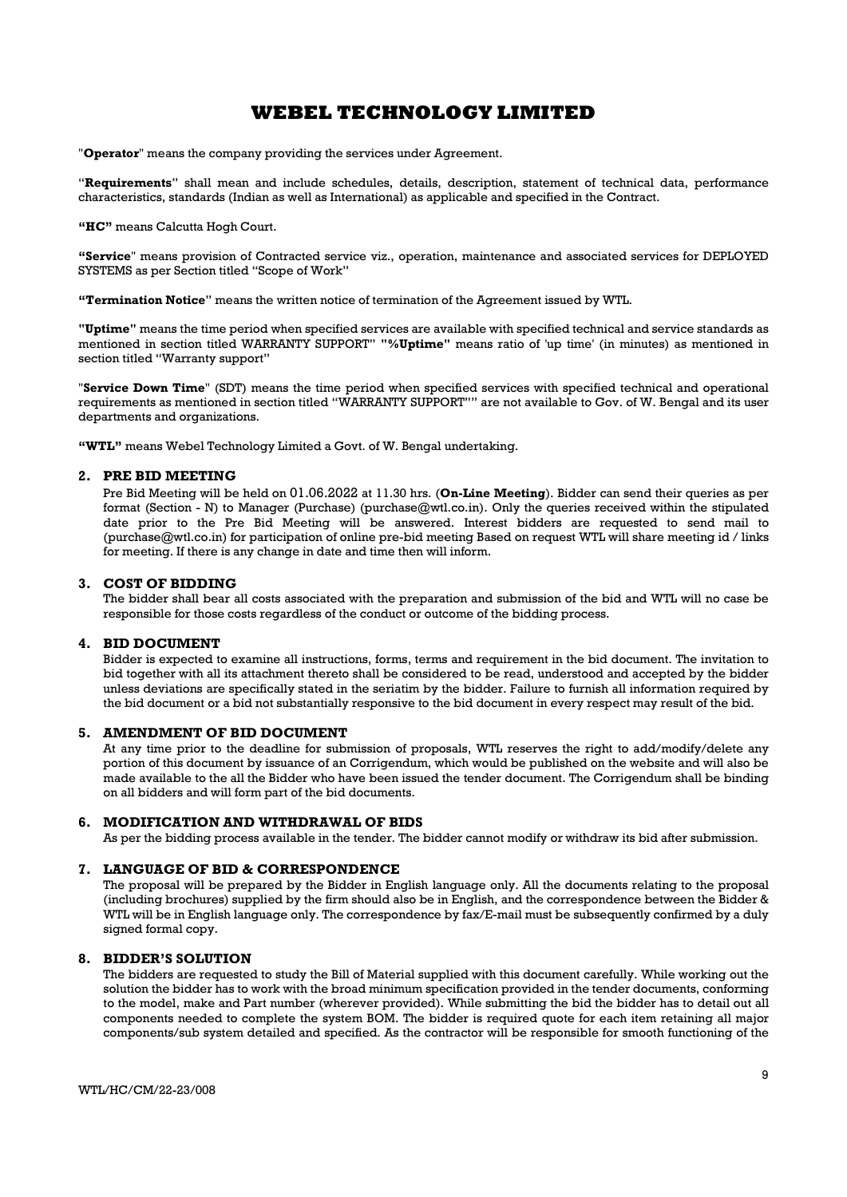"Operator" means the company providing the services under Agreement.

"Requirements" shall mean and include schedules, details, description, statement of technical data, performance characteristics, standards (Indian as well as International) as applicable and specified in the Contract.

"HC" means Calcutta Hogh Court.

"Service" means provision of Contracted service viz., operation, maintenance and associated services for DEPLOYED SYSTEMS as per Section titled "Scope of Work"

"Termination Notice" means the written notice of termination of the Agreement issued by WTL.

"Uptime" means the time period when specified services are available with specified technical and service standards as mentioned in section titled WARRANTY SUPPORT" "%Uptime" means ratio of 'up time' (in minutes) as mentioned in section titled "Warranty support"

"Service Down Time" (SDT) means the time period when specified services with specified technical and operational requirements as mentioned in section titled "WARRANTY SUPPORT"" are not available to Gov. of W. Bengal and its user departments and organizations.

"WTL" means Webel Technology Limited a Govt. of W. Bengal undertaking.

### 2. PRE BID MEETING

Pre Bid Meeting will be held on 01.06.2022 at 11.30 hrs. (On-Line Meeting). Bidder can send their queries as per format (Section - N) to Manager (Purchase) (purchase@wtl.co.in). Only the queries received within the stipulated date prior to the Pre Bid Meeting will be answered. Interest bidders are requested to send mail to (purchase@wtl.co.in) for participation of online pre-bid meeting Based on request WTL will share meeting id / links for meeting. If there is any change in date and time then will inform.

#### 3. COST OF BIDDING

The bidder shall bear all costs associated with the preparation and submission of the bid and WTL will no case be responsible for those costs regardless of the conduct or outcome of the bidding process.

#### 4. BID DOCUMENT

Bidder is expected to examine all instructions, forms, terms and requirement in the bid document. The invitation to bid together with all its attachment thereto shall be considered to be read, understood and accepted by the bidder unless deviations are specifically stated in the seriatim by the bidder. Failure to furnish all information required by the bid document or a bid not substantially responsive to the bid document in every respect may result of the bid.

#### 5. AMENDMENT OF BID DOCUMENT

At any time prior to the deadline for submission of proposals, WTL reserves the right to add/modify/delete any portion of this document by issuance of an Corrigendum, which would be published on the website and will also be made available to the all the Bidder who have been issued the tender document. The Corrigendum shall be binding on all bidders and will form part of the bid documents.

### 6. MODIFICATION AND WITHDRAWAL OF BIDS

As per the bidding process available in the tender. The bidder cannot modify or withdraw its bid after submission.

#### 7. LANGUAGE OF BID & CORRESPONDENCE

The proposal will be prepared by the Bidder in English language only. All the documents relating to the proposal (including brochures) supplied by the firm should also be in English, and the correspondence between the Bidder & WTL will be in English language only. The correspondence by fax/E-mail must be subsequently confirmed by a duly signed formal copy.

#### 8. BIDDER'S SOLUTION

The bidders are requested to study the Bill of Material supplied with this document carefully. While working out the solution the bidder has to work with the broad minimum specification provided in the tender documents, conforming to the model, make and Part number (wherever provided). While submitting the bid the bidder has to detail out all components needed to complete the system BOM. The bidder is required quote for each item retaining all major components/sub system detailed and specified. As the contractor will be responsible for smooth functioning of the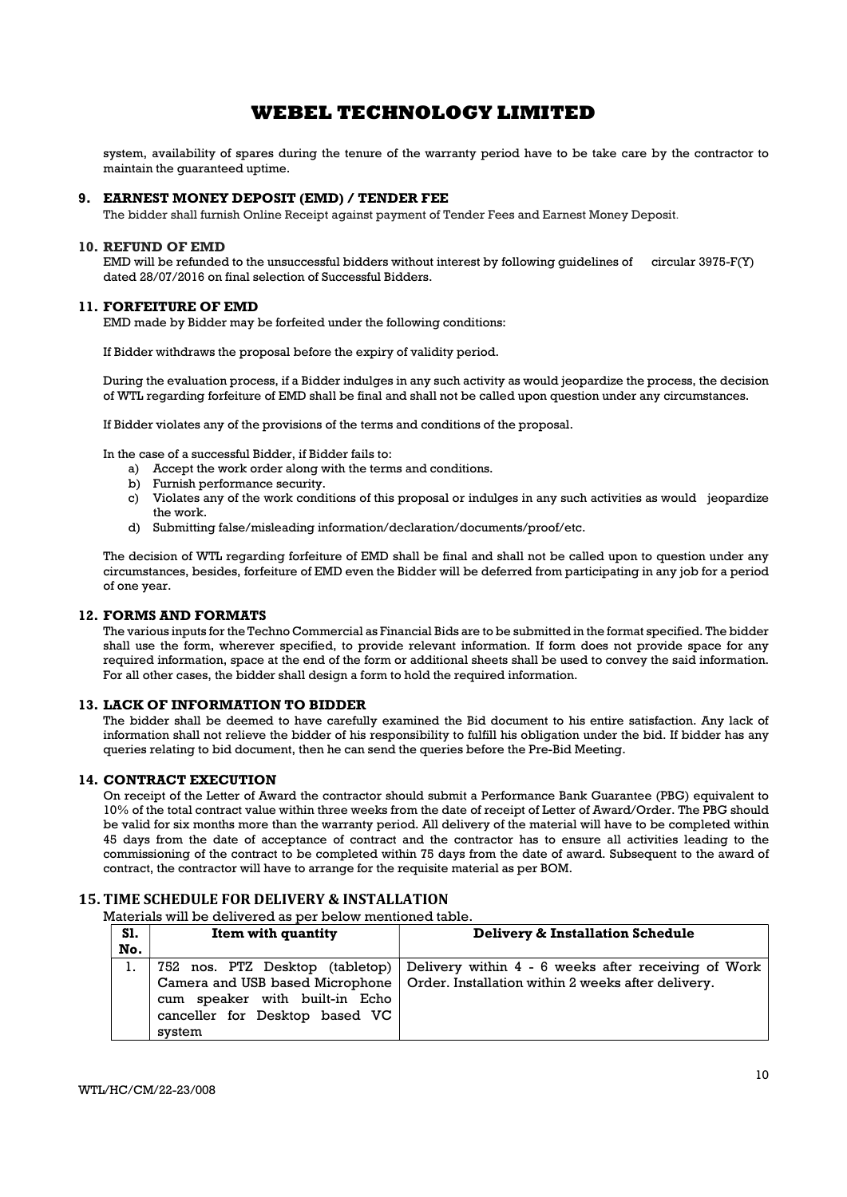system, availability of spares during the tenure of the warranty period have to be take care by the contractor to maintain the guaranteed uptime.

#### 9. EARNEST MONEY DEPOSIT (EMD) / TENDER FEE

The bidder shall furnish Online Receipt against payment of Tender Fees and Earnest Money Deposit.

#### 10. REFUND OF EMD

EMD will be refunded to the unsuccessful bidders without interest by following guidelines of circular 3975-F(Y) dated 28/07/2016 on final selection of Successful Bidders.

#### 11. FORFEITURE OF EMD

EMD made by Bidder may be forfeited under the following conditions:

If Bidder withdraws the proposal before the expiry of validity period.

During the evaluation process, if a Bidder indulges in any such activity as would jeopardize the process, the decision of WTL regarding forfeiture of EMD shall be final and shall not be called upon question under any circumstances.

If Bidder violates any of the provisions of the terms and conditions of the proposal.

In the case of a successful Bidder, if Bidder fails to:

- a) Accept the work order along with the terms and conditions.
- b) Furnish performance security.
- c) Violates any of the work conditions of this proposal or indulges in any such activities as would jeopardize the work.
- d) Submitting false/misleading information/declaration/documents/proof/etc.

The decision of WTL regarding forfeiture of EMD shall be final and shall not be called upon to question under any circumstances, besides, forfeiture of EMD even the Bidder will be deferred from participating in any job for a period of one year.

### 12. FORMS AND FORMATS

The various inputs for the Techno Commercial as Financial Bids are to be submitted in the format specified. The bidder shall use the form, wherever specified, to provide relevant information. If form does not provide space for any required information, space at the end of the form or additional sheets shall be used to convey the said information. For all other cases, the bidder shall design a form to hold the required information.

#### 13. LACK OF INFORMATION TO BIDDER

The bidder shall be deemed to have carefully examined the Bid document to his entire satisfaction. Any lack of information shall not relieve the bidder of his responsibility to fulfill his obligation under the bid. If bidder has any queries relating to bid document, then he can send the queries before the Pre-Bid Meeting.

### 14. CONTRACT EXECUTION

On receipt of the Letter of Award the contractor should submit a Performance Bank Guarantee (PBG) equivalent to 10% of the total contract value within three weeks from the date of receipt of Letter of Award/Order. The PBG should be valid for six months more than the warranty period. All delivery of the material will have to be completed within 45 days from the date of acceptance of contract and the contractor has to ensure all activities leading to the commissioning of the contract to be completed within 75 days from the date of award. Subsequent to the award of contract, the contractor will have to arrange for the requisite material as per BOM.

## 15. TIME SCHEDULE FOR DELIVERY & INSTALLATION

Materials will be delivered as per below mentioned table.

| <b>S1.</b><br>No. | Item with quantity                                                         | Delivery & Installation Schedule                                                                                                                                            |
|-------------------|----------------------------------------------------------------------------|-----------------------------------------------------------------------------------------------------------------------------------------------------------------------------|
|                   | cum speaker with built-in Echo<br>canceller for Desktop based VC<br>system | 752 nos. PTZ Desktop (tabletop) Delivery within 4 - 6 weeks after receiving of Work<br>Camera and USB based Microphone   Order. Installation within 2 weeks after delivery. |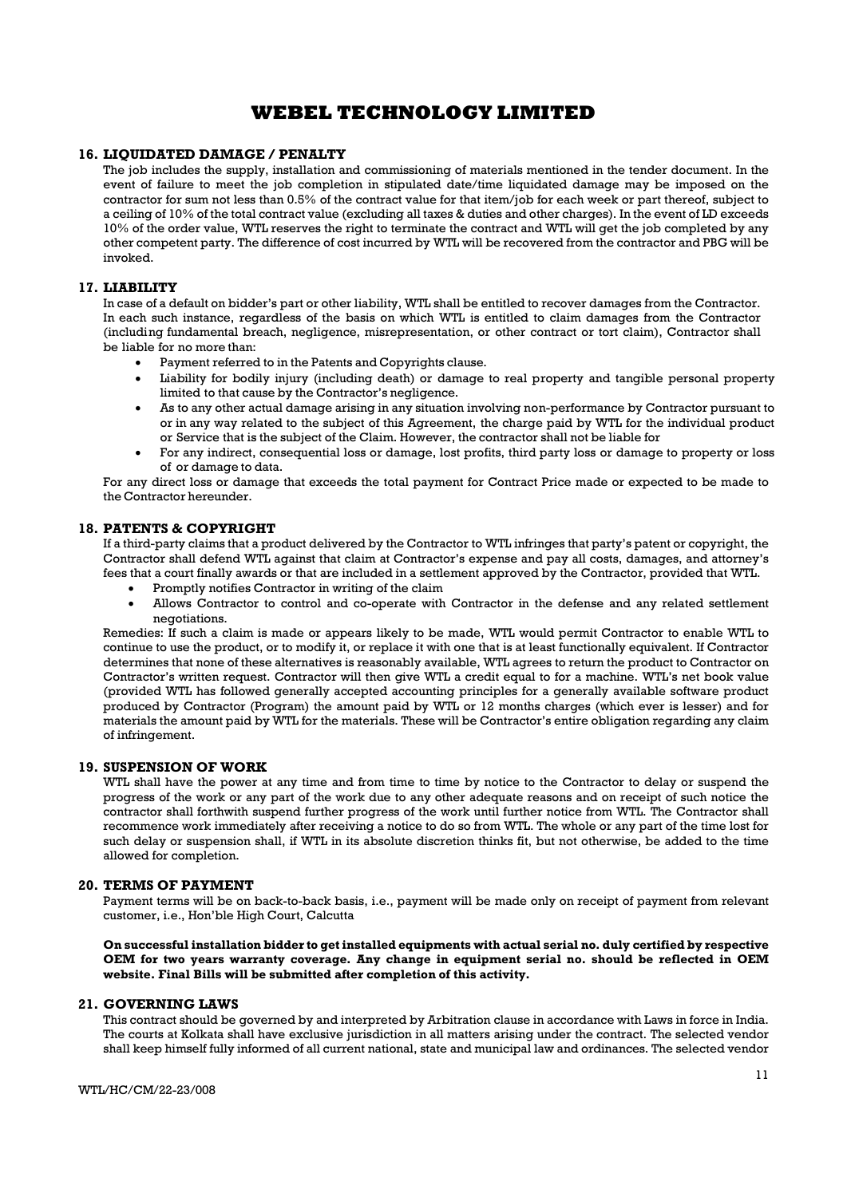### 16. LIQUIDATED DAMAGE / PENALTY

The job includes the supply, installation and commissioning of materials mentioned in the tender document. In the event of failure to meet the job completion in stipulated date/time liquidated damage may be imposed on the contractor for sum not less than 0.5% of the contract value for that item/job for each week or part thereof, subject to a ceiling of 10% of the total contract value (excluding all taxes & duties and other charges). In the event of LD exceeds 10% of the order value, WTL reserves the right to terminate the contract and WTL will get the job completed by any other competent party. The difference of cost incurred by WTL will be recovered from the contractor and PBG will be invoked.

### 17. LIABILITY

In case of a default on bidder's part or other liability, WTL shall be entitled to recover damages from the Contractor. In each such instance, regardless of the basis on which WTL is entitled to claim damages from the Contractor (including fundamental breach, negligence, misrepresentation, or other contract or tort claim), Contractor shall be liable for no more than:

Payment referred to in the Patents and Copyrights clause.

- Liability for bodily injury (including death) or damage to real property and tangible personal property limited to that cause by the Contractor's negligence.
- As to any other actual damage arising in any situation involving non-performance by Contractor pursuant to or in any way related to the subject of this Agreement, the charge paid by WTL for the individual product or Service that is the subject of the Claim. However, the contractor shall not be liable for
- For any indirect, consequential loss or damage, lost profits, third party loss or damage to property or loss of or damage to data.

For any direct loss or damage that exceeds the total payment for Contract Price made or expected to be made to the Contractor hereunder.

### 18. PATENTS & COPYRIGHT

If a third-party claims that a product delivered by the Contractor to WTL infringes that party's patent or copyright, the Contractor shall defend WTL against that claim at Contractor's expense and pay all costs, damages, and attorney's fees that a court finally awards or that are included in a settlement approved by the Contractor, provided that WTL.

- Promptly notifies Contractor in writing of the claim
- Allows Contractor to control and co-operate with Contractor in the defense and any related settlement negotiations.

Remedies: If such a claim is made or appears likely to be made, WTL would permit Contractor to enable WTL to continue to use the product, or to modify it, or replace it with one that is at least functionally equivalent. If Contractor determines that none of these alternatives is reasonably available, WTL agrees to return the product to Contractor on Contractor's written request. Contractor will then give WTL a credit equal to for a machine. WTL's net book value (provided WTL has followed generally accepted accounting principles for a generally available software product produced by Contractor (Program) the amount paid by WTL or 12 months charges (which ever is lesser) and for materials the amount paid by WTL for the materials. These will be Contractor's entire obligation regarding any claim of infringement.

#### 19. SUSPENSION OF WORK

WTL shall have the power at any time and from time to time by notice to the Contractor to delay or suspend the progress of the work or any part of the work due to any other adequate reasons and on receipt of such notice the contractor shall forthwith suspend further progress of the work until further notice from WTL. The Contractor shall recommence work immediately after receiving a notice to do so from WTL. The whole or any part of the time lost for such delay or suspension shall, if WTL in its absolute discretion thinks fit, but not otherwise, be added to the time allowed for completion.

#### 20. TERMS OF PAYMENT

Payment terms will be on back-to-back basis, i.e., payment will be made only on receipt of payment from relevant customer, i.e., Hon'ble High Court, Calcutta

On successful installation bidder to get installed equipments with actual serial no. duly certified by respective OEM for two years warranty coverage. Any change in equipment serial no. should be reflected in OEM website. Final Bills will be submitted after completion of this activity.

### 21. GOVERNING LAWS

This contract should be governed by and interpreted by Arbitration clause in accordance with Laws in force in India. The courts at Kolkata shall have exclusive jurisdiction in all matters arising under the contract. The selected vendor shall keep himself fully informed of all current national, state and municipal law and ordinances. The selected vendor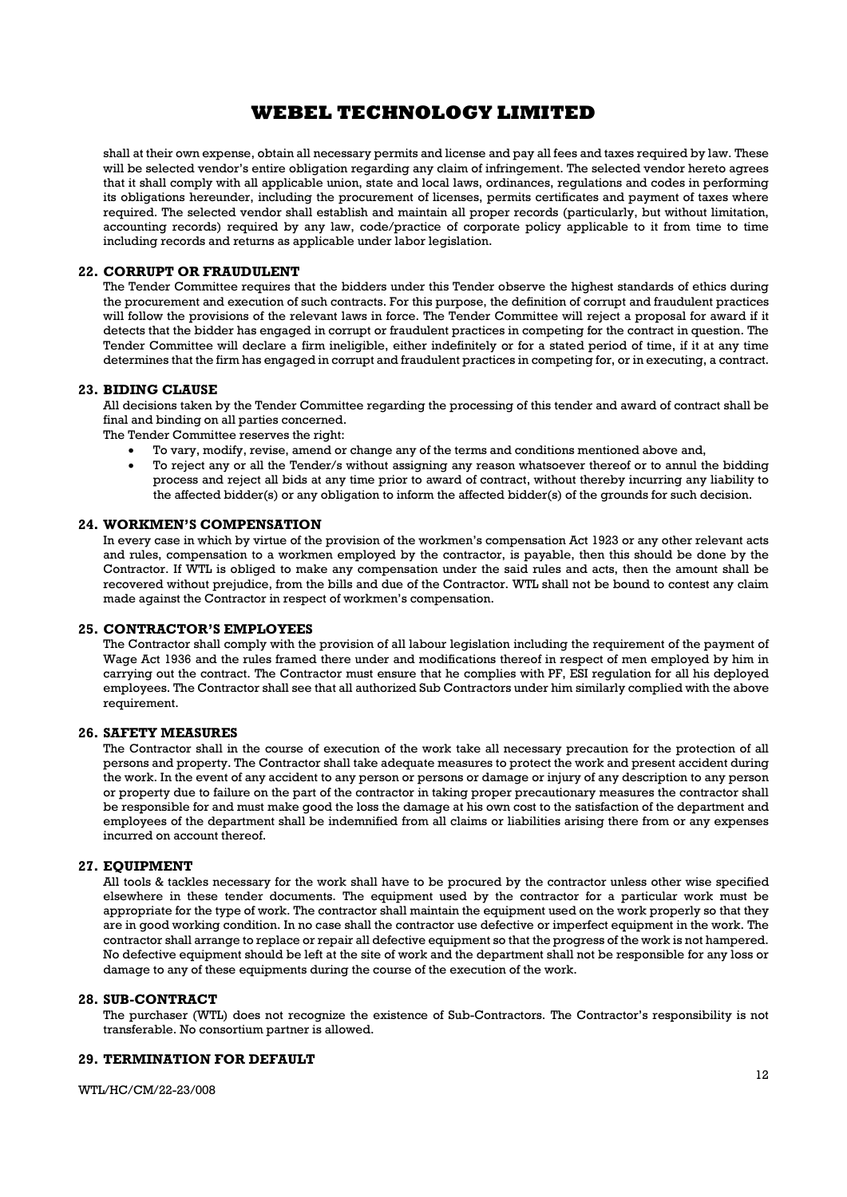shall at their own expense, obtain all necessary permits and license and pay all fees and taxes required by law. These will be selected vendor's entire obligation regarding any claim of infringement. The selected vendor hereto agrees that it shall comply with all applicable union, state and local laws, ordinances, regulations and codes in performing its obligations hereunder, including the procurement of licenses, permits certificates and payment of taxes where required. The selected vendor shall establish and maintain all proper records (particularly, but without limitation, accounting records) required by any law, code/practice of corporate policy applicable to it from time to time including records and returns as applicable under labor legislation.

#### 22. CORRUPT OR FRAUDULENT

The Tender Committee requires that the bidders under this Tender observe the highest standards of ethics during the procurement and execution of such contracts. For this purpose, the definition of corrupt and fraudulent practices will follow the provisions of the relevant laws in force. The Tender Committee will reject a proposal for award if it detects that the bidder has engaged in corrupt or fraudulent practices in competing for the contract in question. The Tender Committee will declare a firm ineligible, either indefinitely or for a stated period of time, if it at any time determines that the firm has engaged in corrupt and fraudulent practices in competing for, or in executing, a contract.

#### 23. BIDING CLAUSE

All decisions taken by the Tender Committee regarding the processing of this tender and award of contract shall be final and binding on all parties concerned.

The Tender Committee reserves the right:

- To vary, modify, revise, amend or change any of the terms and conditions mentioned above and,
- To reject any or all the Tender/s without assigning any reason whatsoever thereof or to annul the bidding process and reject all bids at any time prior to award of contract, without thereby incurring any liability to the affected bidder(s) or any obligation to inform the affected bidder(s) of the grounds for such decision.

## 24. WORKMEN'S COMPENSATION

In every case in which by virtue of the provision of the workmen's compensation Act 1923 or any other relevant acts and rules, compensation to a workmen employed by the contractor, is payable, then this should be done by the Contractor. If WTL is obliged to make any compensation under the said rules and acts, then the amount shall be recovered without prejudice, from the bills and due of the Contractor. WTL shall not be bound to contest any claim made against the Contractor in respect of workmen's compensation.

### 25. CONTRACTOR'S EMPLOYEES

The Contractor shall comply with the provision of all labour legislation including the requirement of the payment of Wage Act 1936 and the rules framed there under and modifications thereof in respect of men employed by him in carrying out the contract. The Contractor must ensure that he complies with PF, ESI regulation for all his deployed employees. The Contractor shall see that all authorized Sub Contractors under him similarly complied with the above requirement.

#### 26. SAFETY MEASURES

The Contractor shall in the course of execution of the work take all necessary precaution for the protection of all persons and property. The Contractor shall take adequate measures to protect the work and present accident during the work. In the event of any accident to any person or persons or damage or injury of any description to any person or property due to failure on the part of the contractor in taking proper precautionary measures the contractor shall be responsible for and must make good the loss the damage at his own cost to the satisfaction of the department and employees of the department shall be indemnified from all claims or liabilities arising there from or any expenses incurred on account thereof.

#### 27. EQUIPMENT

All tools & tackles necessary for the work shall have to be procured by the contractor unless other wise specified elsewhere in these tender documents. The equipment used by the contractor for a particular work must be appropriate for the type of work. The contractor shall maintain the equipment used on the work properly so that they are in good working condition. In no case shall the contractor use defective or imperfect equipment in the work. The contractor shall arrange to replace or repair all defective equipment so that the progress of the work is not hampered. No defective equipment should be left at the site of work and the department shall not be responsible for any loss or damage to any of these equipments during the course of the execution of the work.

#### 28. SUB-CONTRACT

The purchaser (WTL) does not recognize the existence of Sub-Contractors. The Contractor's responsibility is not transferable. No consortium partner is allowed.

### 29. TERMINATION FOR DEFAULT

WTL/HC/CM/22-23/008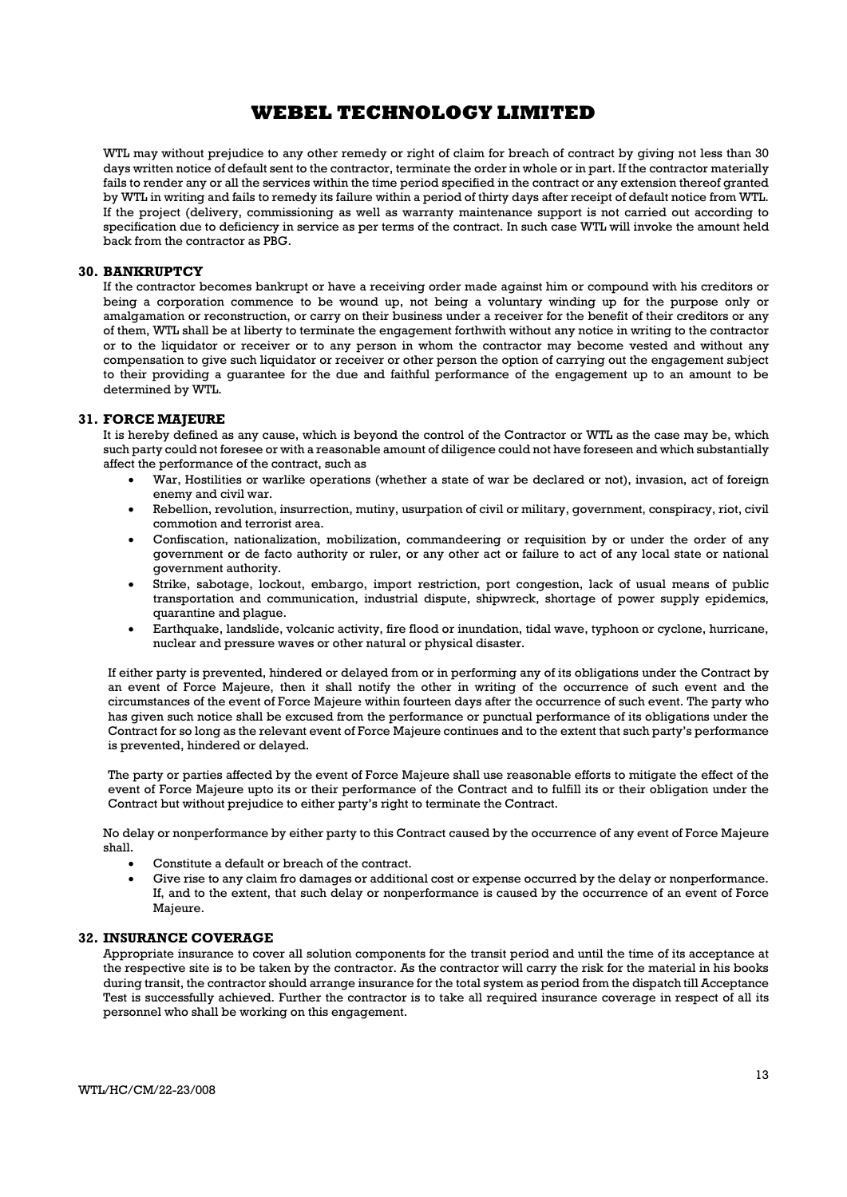WTL may without prejudice to any other remedy or right of claim for breach of contract by giving not less than 30 days written notice of default sent to the contractor, terminate the order in whole or in part. If the contractor materially fails to render any or all the services within the time period specified in the contract or any extension thereof granted by WTL in writing and fails to remedy its failure within a period of thirty days after receipt of default notice from WTL. If the project (delivery, commissioning as well as warranty maintenance support is not carried out according to specification due to deficiency in service as per terms of the contract. In such case WTL will invoke the amount held back from the contractor as PBG.

#### 30. BANKRUPTCY

If the contractor becomes bankrupt or have a receiving order made against him or compound with his creditors or being a corporation commence to be wound up, not being a voluntary winding up for the purpose only or amalgamation or reconstruction, or carry on their business under a receiver for the benefit of their creditors or any of them, WTL shall be at liberty to terminate the engagement forthwith without any notice in writing to the contractor or to the liquidator or receiver or to any person in whom the contractor may become vested and without any compensation to give such liquidator or receiver or other person the option of carrying out the engagement subject to their providing a guarantee for the due and faithful performance of the engagement up to an amount to be determined by WTL.

#### 31. FORCE MAJEURE

It is hereby defined as any cause, which is beyond the control of the Contractor or WTL as the case may be, which such party could not foresee or with a reasonable amount of diligence could not have foreseen and which substantially affect the performance of the contract, such as

- War, Hostilities or warlike operations (whether a state of war be declared or not), invasion, act of foreign enemy and civil war.
- Rebellion, revolution, insurrection, mutiny, usurpation of civil or military, government, conspiracy, riot, civil commotion and terrorist area.
- Confiscation, nationalization, mobilization, commandeering or requisition by or under the order of any government or de facto authority or ruler, or any other act or failure to act of any local state or national government authority.
- Strike, sabotage, lockout, embargo, import restriction, port congestion, lack of usual means of public transportation and communication, industrial dispute, shipwreck, shortage of power supply epidemics, quarantine and plague.
- Earthquake, landslide, volcanic activity, fire flood or inundation, tidal wave, typhoon or cyclone, hurricane, nuclear and pressure waves or other natural or physical disaster.

If either party is prevented, hindered or delayed from or in performing any of its obligations under the Contract by an event of Force Majeure, then it shall notify the other in writing of the occurrence of such event and the circumstances of the event of Force Majeure within fourteen days after the occurrence of such event. The party who has given such notice shall be excused from the performance or punctual performance of its obligations under the Contract for so long as the relevant event of Force Majeure continues and to the extent that such party's performance is prevented, hindered or delayed.

The party or parties affected by the event of Force Majeure shall use reasonable efforts to mitigate the effect of the event of Force Majeure upto its or their performance of the Contract and to fulfill its or their obligation under the Contract but without prejudice to either party's right to terminate the Contract.

No delay or nonperformance by either party to this Contract caused by the occurrence of any event of Force Majeure shall.

- Constitute a default or breach of the contract.
- Give rise to any claim fro damages or additional cost or expense occurred by the delay or nonperformance. If, and to the extent, that such delay or nonperformance is caused by the occurrence of an event of Force Majeure.

#### 32. INSURANCE COVERAGE

Appropriate insurance to cover all solution components for the transit period and until the time of its acceptance at the respective site is to be taken by the contractor. As the contractor will carry the risk for the material in his books during transit, the contractor should arrange insurance for the total system as period from the dispatch till Acceptance Test is successfully achieved. Further the contractor is to take all required insurance coverage in respect of all its personnel who shall be working on this engagement.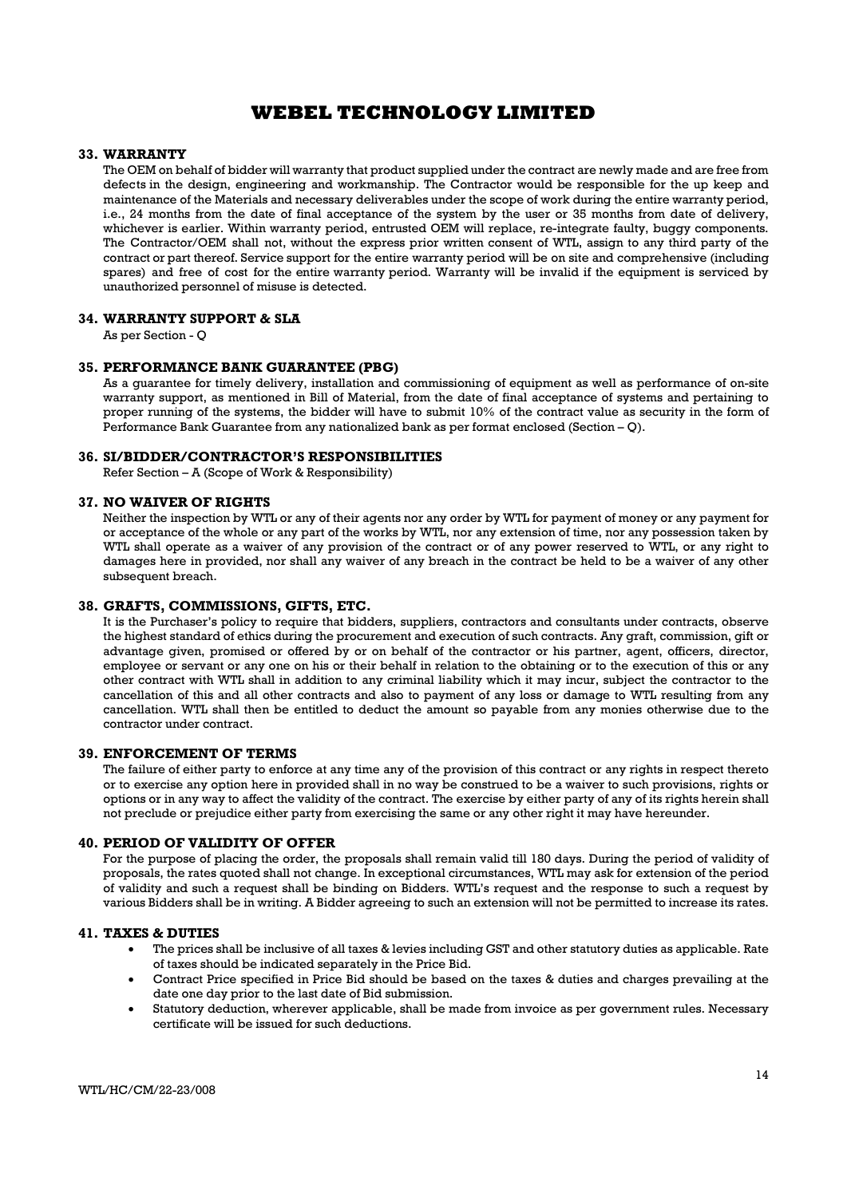## 33. WARRANTY

The OEM on behalf of bidder will warranty that product supplied under the contract are newly made and are free from defects in the design, engineering and workmanship. The Contractor would be responsible for the up keep and maintenance of the Materials and necessary deliverables under the scope of work during the entire warranty period, i.e., 24 months from the date of final acceptance of the system by the user or 35 months from date of delivery, whichever is earlier. Within warranty period, entrusted OEM will replace, re-integrate faulty, buggy components. The Contractor/OEM shall not, without the express prior written consent of WTL, assign to any third party of the contract or part thereof. Service support for the entire warranty period will be on site and comprehensive (including spares) and free of cost for the entire warranty period. Warranty will be invalid if the equipment is serviced by unauthorized personnel of misuse is detected.

### 34. WARRANTY SUPPORT & SLA

As per Section - Q

### 35. PERFORMANCE BANK GUARANTEE (PBG)

As a guarantee for timely delivery, installation and commissioning of equipment as well as performance of on-site warranty support, as mentioned in Bill of Material, from the date of final acceptance of systems and pertaining to proper running of the systems, the bidder will have to submit 10% of the contract value as security in the form of Performance Bank Guarantee from any nationalized bank as per format enclosed (Section – Q).

#### 36. SI/BIDDER/CONTRACTOR'S RESPONSIBILITIES

Refer Section – A (Scope of Work & Responsibility)

#### 37. NO WAIVER OF RIGHTS

Neither the inspection by WTL or any of their agents nor any order by WTL for payment of money or any payment for or acceptance of the whole or any part of the works by WTL, nor any extension of time, nor any possession taken by WTL shall operate as a waiver of any provision of the contract or of any power reserved to WTL, or any right to damages here in provided, nor shall any waiver of any breach in the contract be held to be a waiver of any other subsequent breach.

#### 38. GRAFTS, COMMISSIONS, GIFTS, ETC.

It is the Purchaser's policy to require that bidders, suppliers, contractors and consultants under contracts, observe the highest standard of ethics during the procurement and execution of such contracts. Any graft, commission, gift or advantage given, promised or offered by or on behalf of the contractor or his partner, agent, officers, director, employee or servant or any one on his or their behalf in relation to the obtaining or to the execution of this or any other contract with WTL shall in addition to any criminal liability which it may incur, subject the contractor to the cancellation of this and all other contracts and also to payment of any loss or damage to WTL resulting from any cancellation. WTL shall then be entitled to deduct the amount so payable from any monies otherwise due to the contractor under contract.

### 39. ENFORCEMENT OF TERMS

The failure of either party to enforce at any time any of the provision of this contract or any rights in respect thereto or to exercise any option here in provided shall in no way be construed to be a waiver to such provisions, rights or options or in any way to affect the validity of the contract. The exercise by either party of any of its rights herein shall not preclude or prejudice either party from exercising the same or any other right it may have hereunder.

#### 40. PERIOD OF VALIDITY OF OFFER

For the purpose of placing the order, the proposals shall remain valid till 180 days. During the period of validity of proposals, the rates quoted shall not change. In exceptional circumstances, WTL may ask for extension of the period of validity and such a request shall be binding on Bidders. WTL's request and the response to such a request by various Bidders shall be in writing. A Bidder agreeing to such an extension will not be permitted to increase its rates.

#### 41. TAXES & DUTIES

- The prices shall be inclusive of all taxes & levies including GST and other statutory duties as applicable. Rate of taxes should be indicated separately in the Price Bid.
- Contract Price specified in Price Bid should be based on the taxes & duties and charges prevailing at the date one day prior to the last date of Bid submission.
- Statutory deduction, wherever applicable, shall be made from invoice as per government rules. Necessary certificate will be issued for such deductions.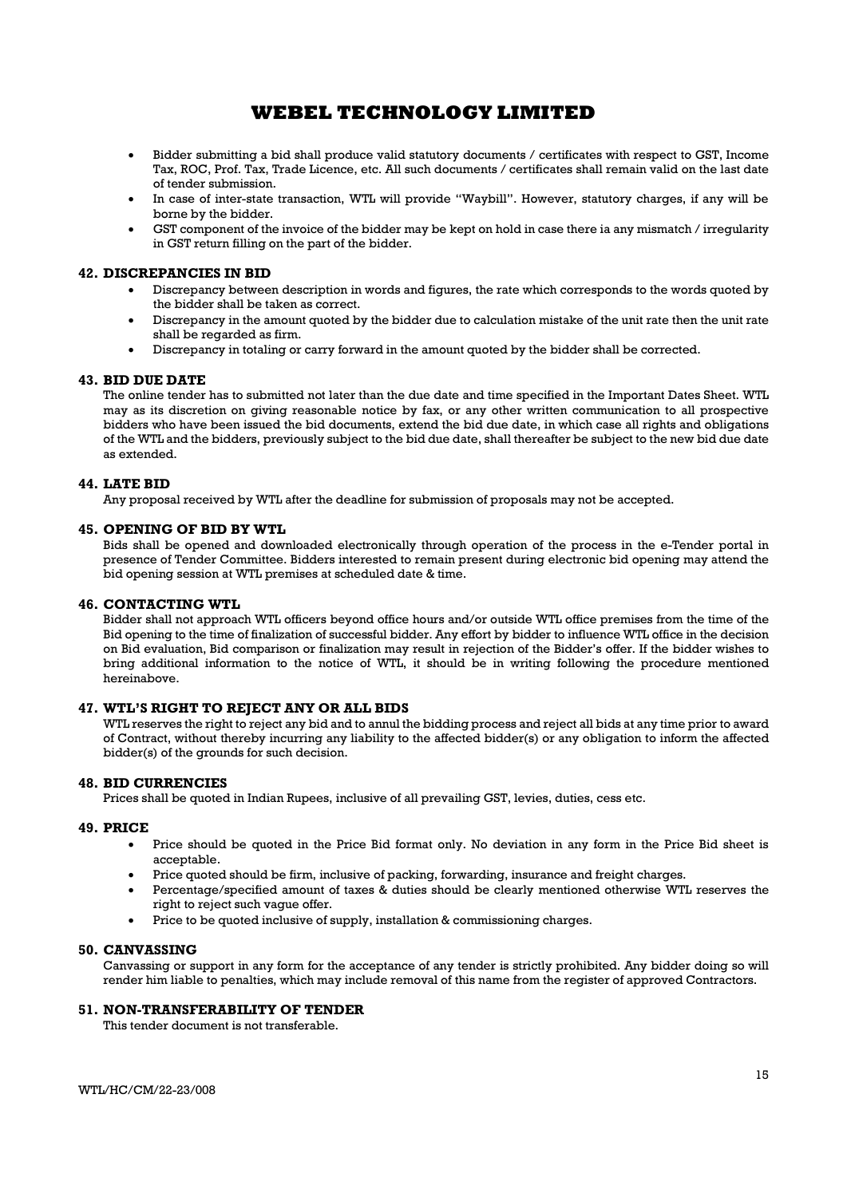- Bidder submitting a bid shall produce valid statutory documents / certificates with respect to GST, Income Tax, ROC, Prof. Tax, Trade Licence, etc. All such documents / certificates shall remain valid on the last date of tender submission.
- In case of inter-state transaction, WTL will provide "Waybill". However, statutory charges, if any will be borne by the bidder.
- GST component of the invoice of the bidder may be kept on hold in case there ia any mismatch / irregularity in GST return filling on the part of the bidder.

### 42. DISCREPANCIES IN BID

- Discrepancy between description in words and figures, the rate which corresponds to the words quoted by the bidder shall be taken as correct.
- Discrepancy in the amount quoted by the bidder due to calculation mistake of the unit rate then the unit rate shall be regarded as firm.
- Discrepancy in totaling or carry forward in the amount quoted by the bidder shall be corrected.

### 43. BID DUE DATE

The online tender has to submitted not later than the due date and time specified in the Important Dates Sheet. WTL may as its discretion on giving reasonable notice by fax, or any other written communication to all prospective bidders who have been issued the bid documents, extend the bid due date, in which case all rights and obligations of the WTL and the bidders, previously subject to the bid due date, shall thereafter be subject to the new bid due date as extended.

#### 44. LATE BID

Any proposal received by WTL after the deadline for submission of proposals may not be accepted.

#### 45. OPENING OF BID BY WTL

Bids shall be opened and downloaded electronically through operation of the process in the e-Tender portal in presence of Tender Committee. Bidders interested to remain present during electronic bid opening may attend the bid opening session at WTL premises at scheduled date & time.

### 46. CONTACTING WTL

Bidder shall not approach WTL officers beyond office hours and/or outside WTL office premises from the time of the Bid opening to the time of finalization of successful bidder. Any effort by bidder to influence WTL office in the decision on Bid evaluation, Bid comparison or finalization may result in rejection of the Bidder's offer. If the bidder wishes to bring additional information to the notice of WTL, it should be in writing following the procedure mentioned hereinabove.

#### 47. WTL'S RIGHT TO REJECT ANY OR ALL BIDS

WTL reserves the right to reject any bid and to annul the bidding process and reject all bids at any time prior to award of Contract, without thereby incurring any liability to the affected bidder(s) or any obligation to inform the affected bidder(s) of the grounds for such decision.

#### 48. BID CURRENCIES

Prices shall be quoted in Indian Rupees, inclusive of all prevailing GST, levies, duties, cess etc.

#### 49. PRICE

- Price should be quoted in the Price Bid format only. No deviation in any form in the Price Bid sheet is acceptable.
- Price quoted should be firm, inclusive of packing, forwarding, insurance and freight charges.
- Percentage/specified amount of taxes & duties should be clearly mentioned otherwise WTL reserves the right to reject such vague offer.
- Price to be quoted inclusive of supply, installation & commissioning charges.

#### 50. CANVASSING

Canvassing or support in any form for the acceptance of any tender is strictly prohibited. Any bidder doing so will render him liable to penalties, which may include removal of this name from the register of approved Contractors.

#### 51. NON-TRANSFERABILITY OF TENDER

This tender document is not transferable.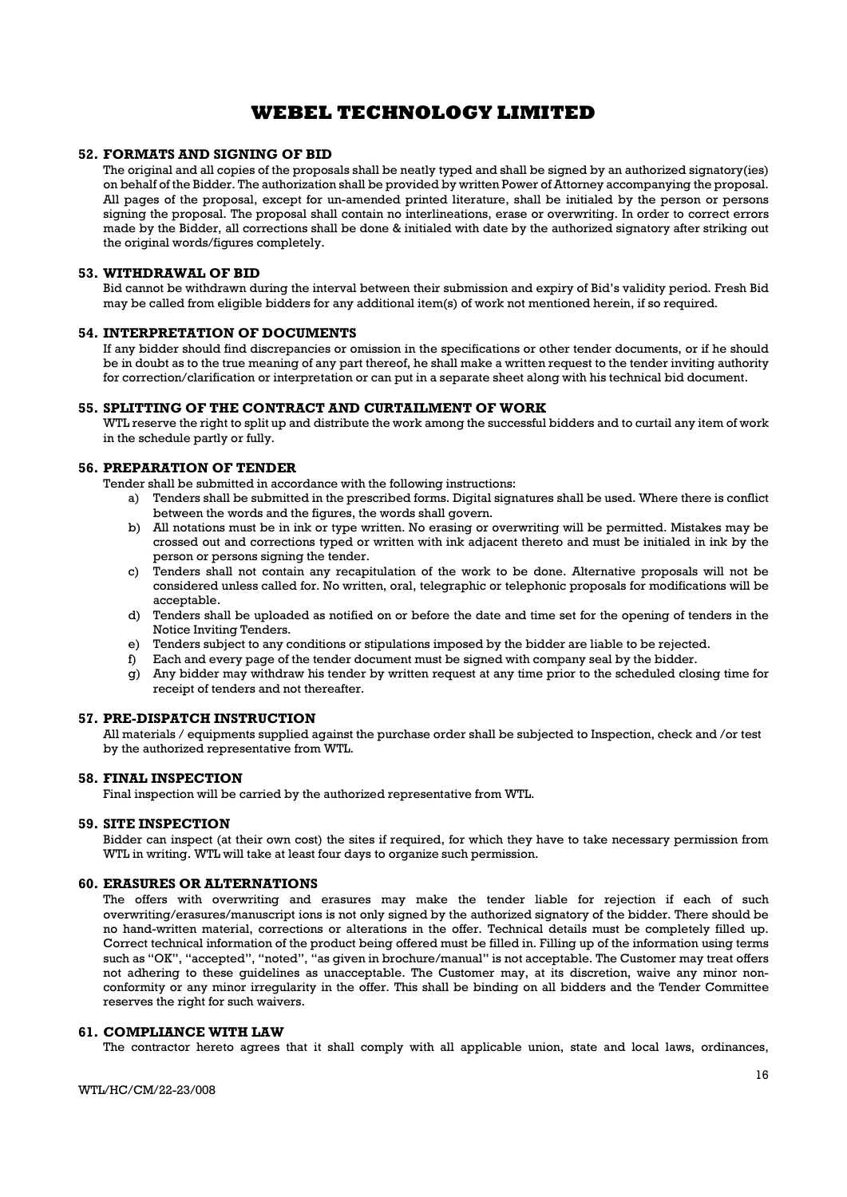### 52. FORMATS AND SIGNING OF BID

The original and all copies of the proposals shall be neatly typed and shall be signed by an authorized signatory(ies) on behalf of the Bidder. The authorization shall be provided by written Power of Attorney accompanying the proposal. All pages of the proposal, except for un-amended printed literature, shall be initialed by the person or persons signing the proposal. The proposal shall contain no interlineations, erase or overwriting. In order to correct errors made by the Bidder, all corrections shall be done & initialed with date by the authorized signatory after striking out the original words/figures completely.

#### 53. WITHDRAWAL OF BID

Bid cannot be withdrawn during the interval between their submission and expiry of Bid's validity period. Fresh Bid may be called from eligible bidders for any additional item(s) of work not mentioned herein, if so required.

### 54. INTERPRETATION OF DOCUMENTS

If any bidder should find discrepancies or omission in the specifications or other tender documents, or if he should be in doubt as to the true meaning of any part thereof, he shall make a written request to the tender inviting authority for correction/clarification or interpretation or can put in a separate sheet along with his technical bid document.

### 55. SPLITTING OF THE CONTRACT AND CURTAILMENT OF WORK

WTL reserve the right to split up and distribute the work among the successful bidders and to curtail any item of work in the schedule partly or fully.

## 56. PREPARATION OF TENDER

Tender shall be submitted in accordance with the following instructions:

- a) Tenders shall be submitted in the prescribed forms. Digital signatures shall be used. Where there is conflict between the words and the figures, the words shall govern.
- b) All notations must be in ink or type written. No erasing or overwriting will be permitted. Mistakes may be crossed out and corrections typed or written with ink adjacent thereto and must be initialed in ink by the person or persons signing the tender.
- c) Tenders shall not contain any recapitulation of the work to be done. Alternative proposals will not be considered unless called for. No written, oral, telegraphic or telephonic proposals for modifications will be acceptable.
- d) Tenders shall be uploaded as notified on or before the date and time set for the opening of tenders in the Notice Inviting Tenders.
- e) Tenders subject to any conditions or stipulations imposed by the bidder are liable to be rejected.
- f) Each and every page of the tender document must be signed with company seal by the bidder.
- g) Any bidder may withdraw his tender by written request at any time prior to the scheduled closing time for receipt of tenders and not thereafter.

### 57. PRE-DISPATCH INSTRUCTION

All materials / equipments supplied against the purchase order shall be subjected to Inspection, check and /or test by the authorized representative from WTL.

#### 58. FINAL INSPECTION

Final inspection will be carried by the authorized representative from WTL.

#### 59. SITE INSPECTION

Bidder can inspect (at their own cost) the sites if required, for which they have to take necessary permission from WTL in writing. WTL will take at least four days to organize such permission.

### 60. ERASURES OR ALTERNATIONS

The offers with overwriting and erasures may make the tender liable for rejection if each of such overwriting/erasures/manuscript ions is not only signed by the authorized signatory of the bidder. There should be no hand-written material, corrections or alterations in the offer. Technical details must be completely filled up. Correct technical information of the product being offered must be filled in. Filling up of the information using terms such as "OK", "accepted", "noted", "as given in brochure/manual" is not acceptable. The Customer may treat offers not adhering to these guidelines as unacceptable. The Customer may, at its discretion, waive any minor nonconformity or any minor irregularity in the offer. This shall be binding on all bidders and the Tender Committee reserves the right for such waivers.

### 61. COMPLIANCE WITH LAW

The contractor hereto agrees that it shall comply with all applicable union, state and local laws, ordinances,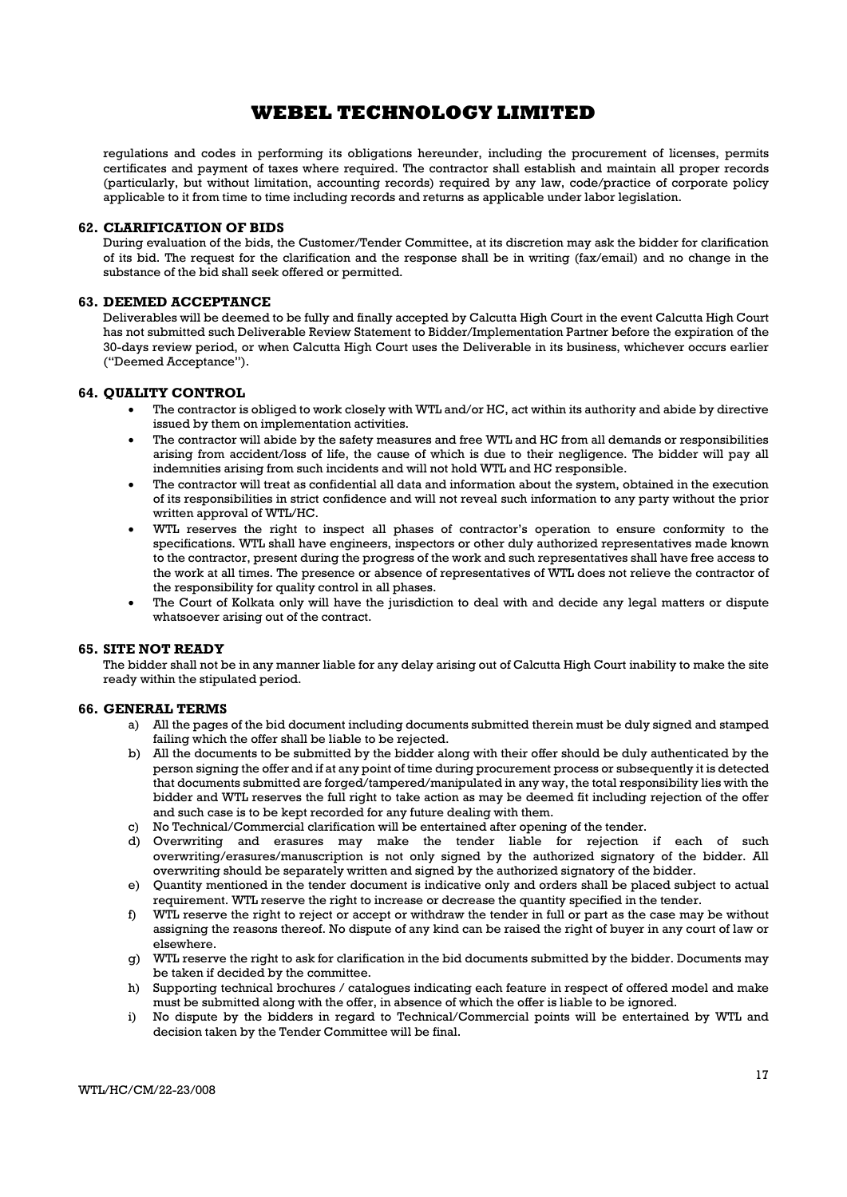regulations and codes in performing its obligations hereunder, including the procurement of licenses, permits certificates and payment of taxes where required. The contractor shall establish and maintain all proper records (particularly, but without limitation, accounting records) required by any law, code/practice of corporate policy applicable to it from time to time including records and returns as applicable under labor legislation.

### 62. CLARIFICATION OF BIDS

During evaluation of the bids, the Customer/Tender Committee, at its discretion may ask the bidder for clarification of its bid. The request for the clarification and the response shall be in writing (fax/email) and no change in the substance of the bid shall seek offered or permitted.

### 63. DEEMED ACCEPTANCE

Deliverables will be deemed to be fully and finally accepted by Calcutta High Court in the event Calcutta High Court has not submitted such Deliverable Review Statement to Bidder/Implementation Partner before the expiration of the 30-days review period, or when Calcutta High Court uses the Deliverable in its business, whichever occurs earlier ("Deemed Acceptance").

### 64. QUALITY CONTROL

- The contractor is obliged to work closely with WTL and/or HC, act within its authority and abide by directive issued by them on implementation activities.
- The contractor will abide by the safety measures and free WTL and HC from all demands or responsibilities arising from accident/loss of life, the cause of which is due to their negligence. The bidder will pay all indemnities arising from such incidents and will not hold WTL and HC responsible.
- The contractor will treat as confidential all data and information about the system, obtained in the execution of its responsibilities in strict confidence and will not reveal such information to any party without the prior written approval of WTL/HC.
- WTL reserves the right to inspect all phases of contractor's operation to ensure conformity to the specifications. WTL shall have engineers, inspectors or other duly authorized representatives made known to the contractor, present during the progress of the work and such representatives shall have free access to the work at all times. The presence or absence of representatives of WTL does not relieve the contractor of the responsibility for quality control in all phases.
- The Court of Kolkata only will have the jurisdiction to deal with and decide any legal matters or dispute whatsoever arising out of the contract.

#### 65. SITE NOT READY

The bidder shall not be in any manner liable for any delay arising out of Calcutta High Court inability to make the site ready within the stipulated period.

#### 66. GENERAL TERMS

- a) All the pages of the bid document including documents submitted therein must be duly signed and stamped failing which the offer shall be liable to be rejected.
- b) All the documents to be submitted by the bidder along with their offer should be duly authenticated by the person signing the offer and if at any point of time during procurement process or subsequently it is detected that documents submitted are forged/tampered/manipulated in any way, the total responsibility lies with the bidder and WTL reserves the full right to take action as may be deemed fit including rejection of the offer and such case is to be kept recorded for any future dealing with them.
- c) No Technical/Commercial clarification will be entertained after opening of the tender.
- d) Overwriting and erasures may make the tender liable for rejection if each of such overwriting/erasures/manuscription is not only signed by the authorized signatory of the bidder. All overwriting should be separately written and signed by the authorized signatory of the bidder.
- e) Quantity mentioned in the tender document is indicative only and orders shall be placed subject to actual requirement. WTL reserve the right to increase or decrease the quantity specified in the tender.
- f) WTL reserve the right to reject or accept or withdraw the tender in full or part as the case may be without assigning the reasons thereof. No dispute of any kind can be raised the right of buyer in any court of law or elsewhere.
- g) WTL reserve the right to ask for clarification in the bid documents submitted by the bidder. Documents may be taken if decided by the committee.
- h) Supporting technical brochures / catalogues indicating each feature in respect of offered model and make must be submitted along with the offer, in absence of which the offer is liable to be ignored.
- i) No dispute by the bidders in regard to Technical/Commercial points will be entertained by WTL and decision taken by the Tender Committee will be final.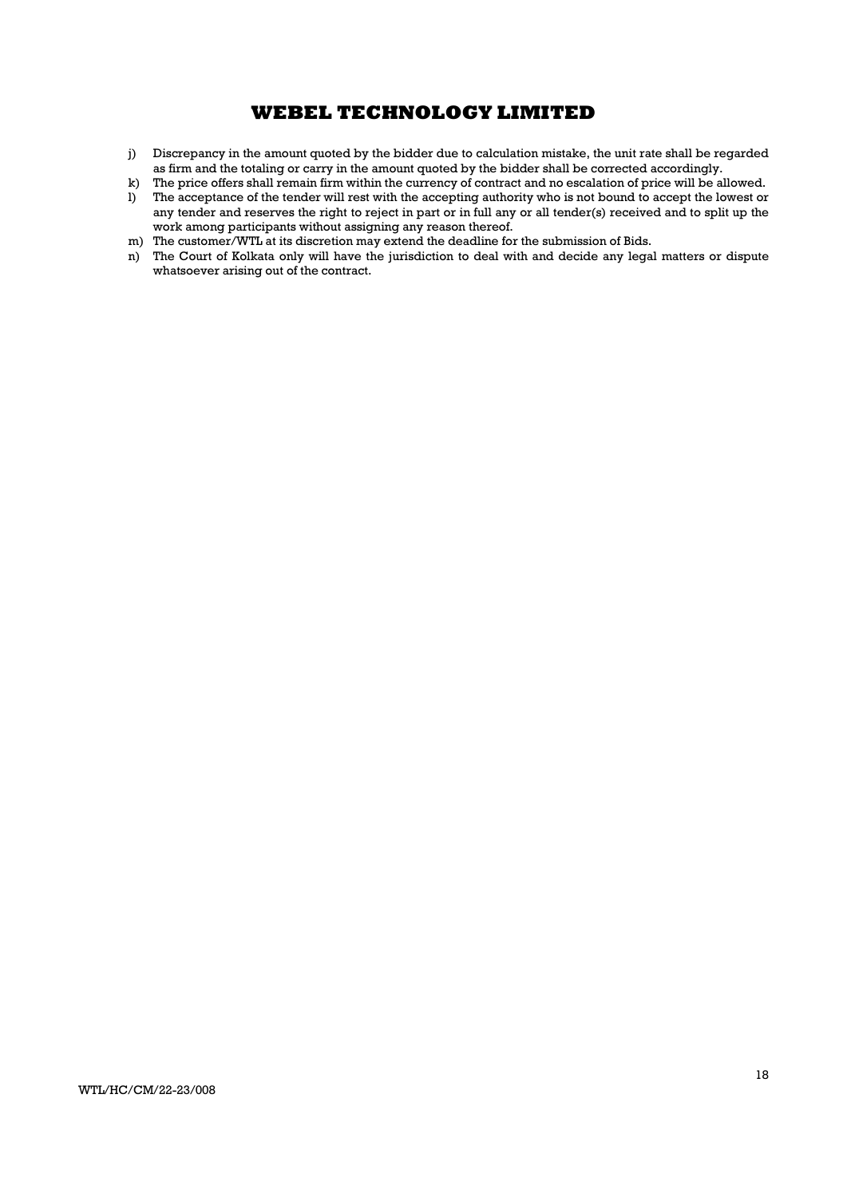- j) Discrepancy in the amount quoted by the bidder due to calculation mistake, the unit rate shall be regarded as firm and the totaling or carry in the amount quoted by the bidder shall be corrected accordingly.
- k) The price offers shall remain firm within the currency of contract and no escalation of price will be allowed.
- l) The acceptance of the tender will rest with the accepting authority who is not bound to accept the lowest or any tender and reserves the right to reject in part or in full any or all tender(s) received and to split up the work among participants without assigning any reason thereof.
- m) The customer/WTL at its discretion may extend the deadline for the submission of Bids.
- n) The Court of Kolkata only will have the jurisdiction to deal with and decide any legal matters or dispute whatsoever arising out of the contract.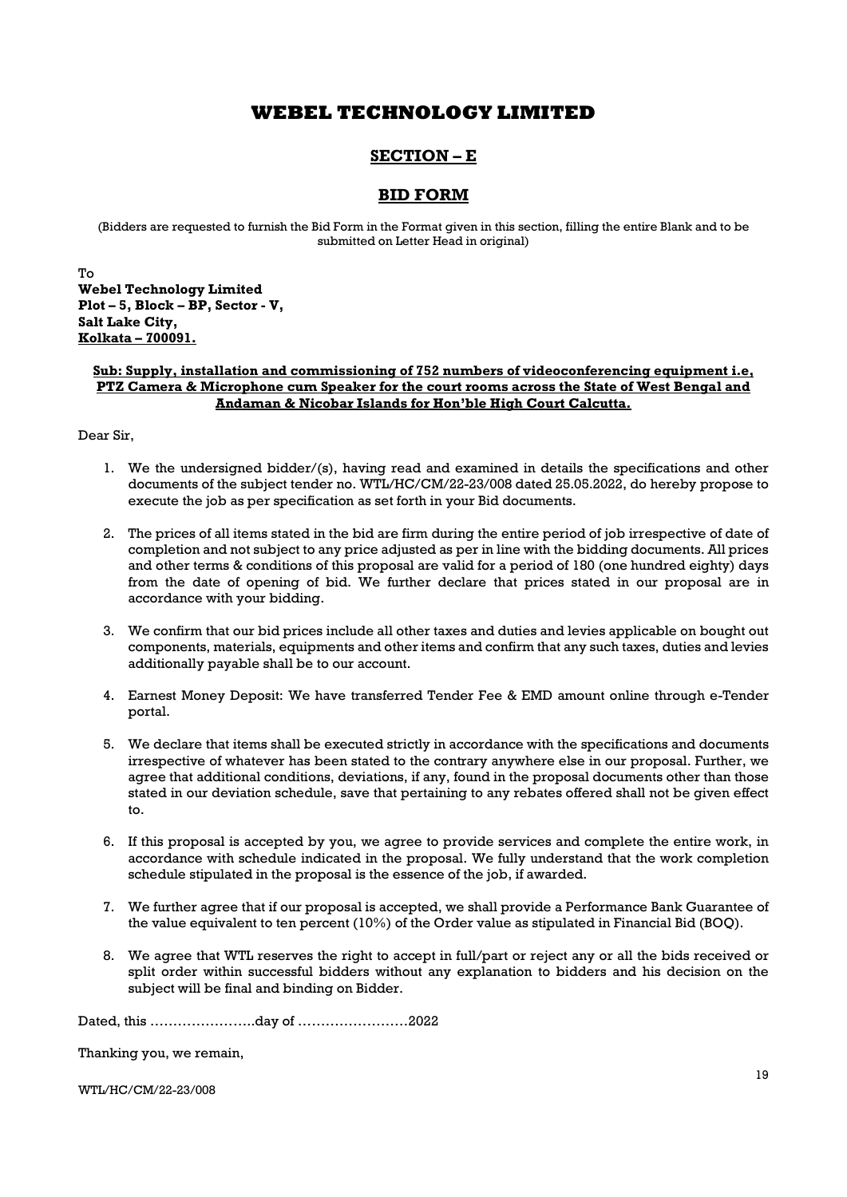# SECTION – E

## BID FORM

(Bidders are requested to furnish the Bid Form in the Format given in this section, filling the entire Blank and to be submitted on Letter Head in original)

To Webel Technology Limited Plot – 5, Block – BP, Sector - V, Salt Lake City, Kolkata – 700091.

### Sub: Supply, installation and commissioning of 752 numbers of videoconferencing equipment i.e, PTZ Camera & Microphone cum Speaker for the court rooms across the State of West Bengal and Andaman & Nicobar Islands for Hon'ble High Court Calcutta.

Dear Sir,

- 1. We the undersigned bidder/(s), having read and examined in details the specifications and other documents of the subject tender no. WTL/HC/CM/22-23/008 dated 25.05.2022, do hereby propose to execute the job as per specification as set forth in your Bid documents.
- 2. The prices of all items stated in the bid are firm during the entire period of job irrespective of date of completion and not subject to any price adjusted as per in line with the bidding documents. All prices and other terms & conditions of this proposal are valid for a period of 180 (one hundred eighty) days from the date of opening of bid. We further declare that prices stated in our proposal are in accordance with your bidding.
- 3. We confirm that our bid prices include all other taxes and duties and levies applicable on bought out components, materials, equipments and other items and confirm that any such taxes, duties and levies additionally payable shall be to our account.
- 4. Earnest Money Deposit: We have transferred Tender Fee & EMD amount online through e-Tender portal.
- 5. We declare that items shall be executed strictly in accordance with the specifications and documents irrespective of whatever has been stated to the contrary anywhere else in our proposal. Further, we agree that additional conditions, deviations, if any, found in the proposal documents other than those stated in our deviation schedule, save that pertaining to any rebates offered shall not be given effect to.
- 6. If this proposal is accepted by you, we agree to provide services and complete the entire work, in accordance with schedule indicated in the proposal. We fully understand that the work completion schedule stipulated in the proposal is the essence of the job, if awarded.
- 7. We further agree that if our proposal is accepted, we shall provide a Performance Bank Guarantee of the value equivalent to ten percent (10%) of the Order value as stipulated in Financial Bid (BOQ).
- 8. We agree that WTL reserves the right to accept in full/part or reject any or all the bids received or split order within successful bidders without any explanation to bidders and his decision on the subject will be final and binding on Bidder.

Dated, this …………………..day of ……………………2022

Thanking you, we remain,

WTL/HC/CM/22-23/008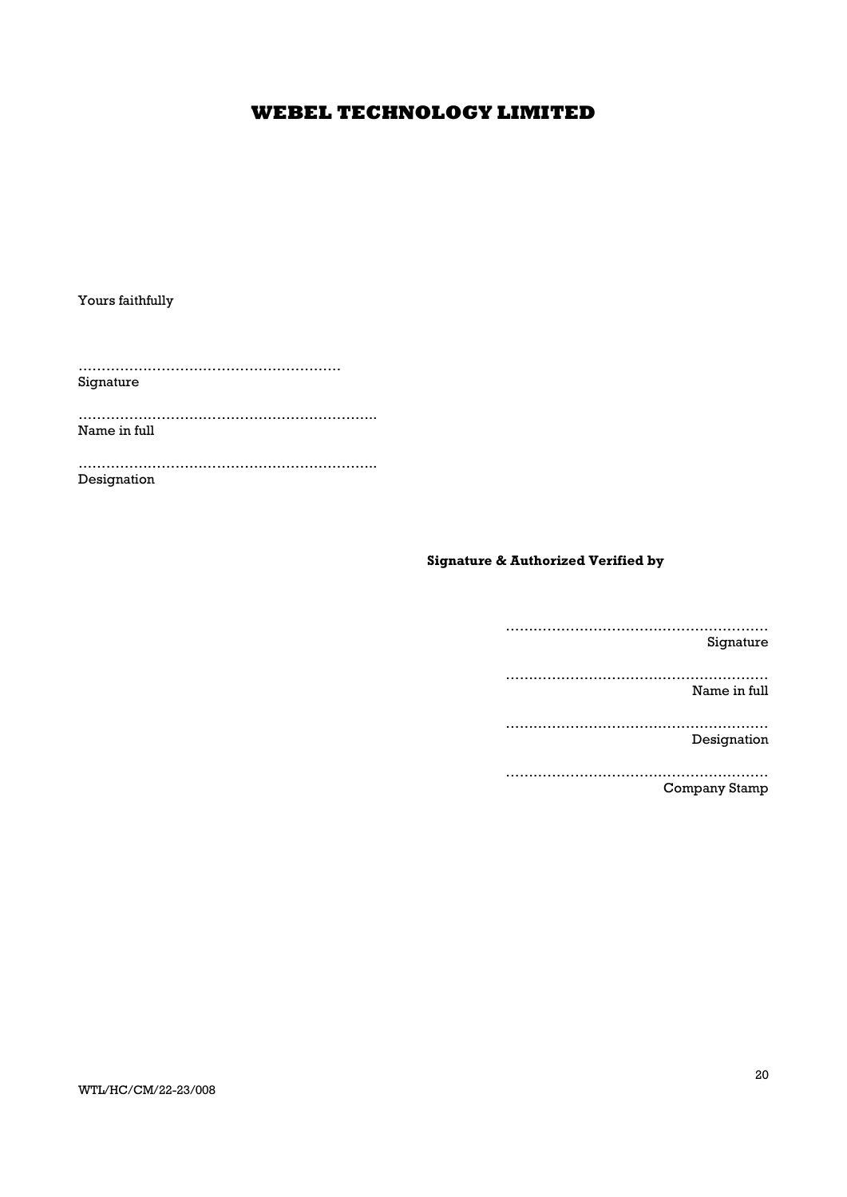Yours faithfully

…………………………………………………

Signature

……………………………………………………….. Name in full

……………………………………………………….. Designation

Signature & Authorized Verified by

………………………………………………… Signature ………………………………………………… Name in full

………………………………………………… Designation

………………………………………………… Company Stamp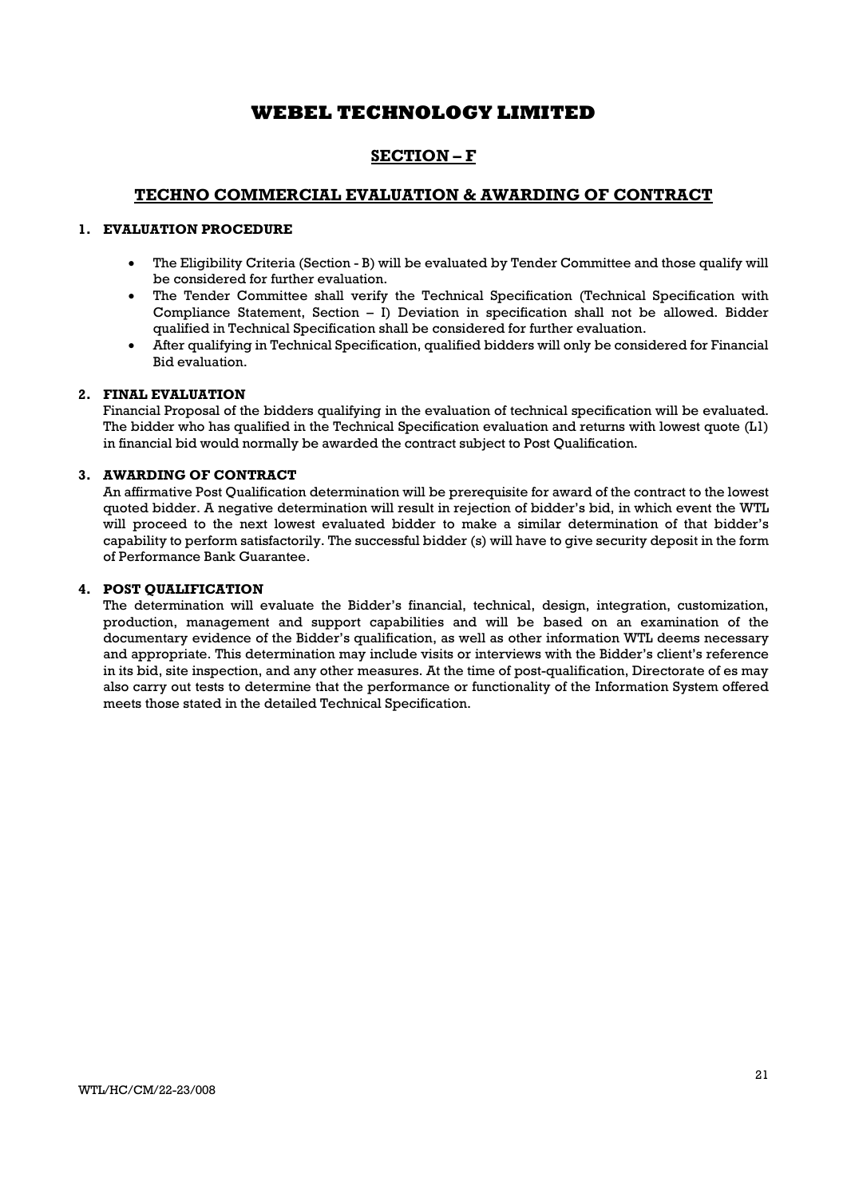# SECTION – F

## TECHNO COMMERCIAL EVALUATION & AWARDING OF CONTRACT

### 1. EVALUATION PROCEDURE

- The Eligibility Criteria (Section B) will be evaluated by Tender Committee and those qualify will be considered for further evaluation.
- The Tender Committee shall verify the Technical Specification (Technical Specification with Compliance Statement, Section - I) Deviation in specification shall not be allowed. Bidder qualified in Technical Specification shall be considered for further evaluation.
- After qualifying in Technical Specification, qualified bidders will only be considered for Financial Bid evaluation.

### 2. FINAL EVALUATION

Financial Proposal of the bidders qualifying in the evaluation of technical specification will be evaluated. The bidder who has qualified in the Technical Specification evaluation and returns with lowest quote (L1) in financial bid would normally be awarded the contract subject to Post Qualification.

### 3. AWARDING OF CONTRACT

An affirmative Post Qualification determination will be prerequisite for award of the contract to the lowest quoted bidder. A negative determination will result in rejection of bidder's bid, in which event the WTL will proceed to the next lowest evaluated bidder to make a similar determination of that bidder's capability to perform satisfactorily. The successful bidder (s) will have to give security deposit in the form of Performance Bank Guarantee.

### 4. POST QUALIFICATION

The determination will evaluate the Bidder's financial, technical, design, integration, customization, production, management and support capabilities and will be based on an examination of the documentary evidence of the Bidder's qualification, as well as other information WTL deems necessary and appropriate. This determination may include visits or interviews with the Bidder's client's reference in its bid, site inspection, and any other measures. At the time of post-qualification, Directorate of es may also carry out tests to determine that the performance or functionality of the Information System offered meets those stated in the detailed Technical Specification.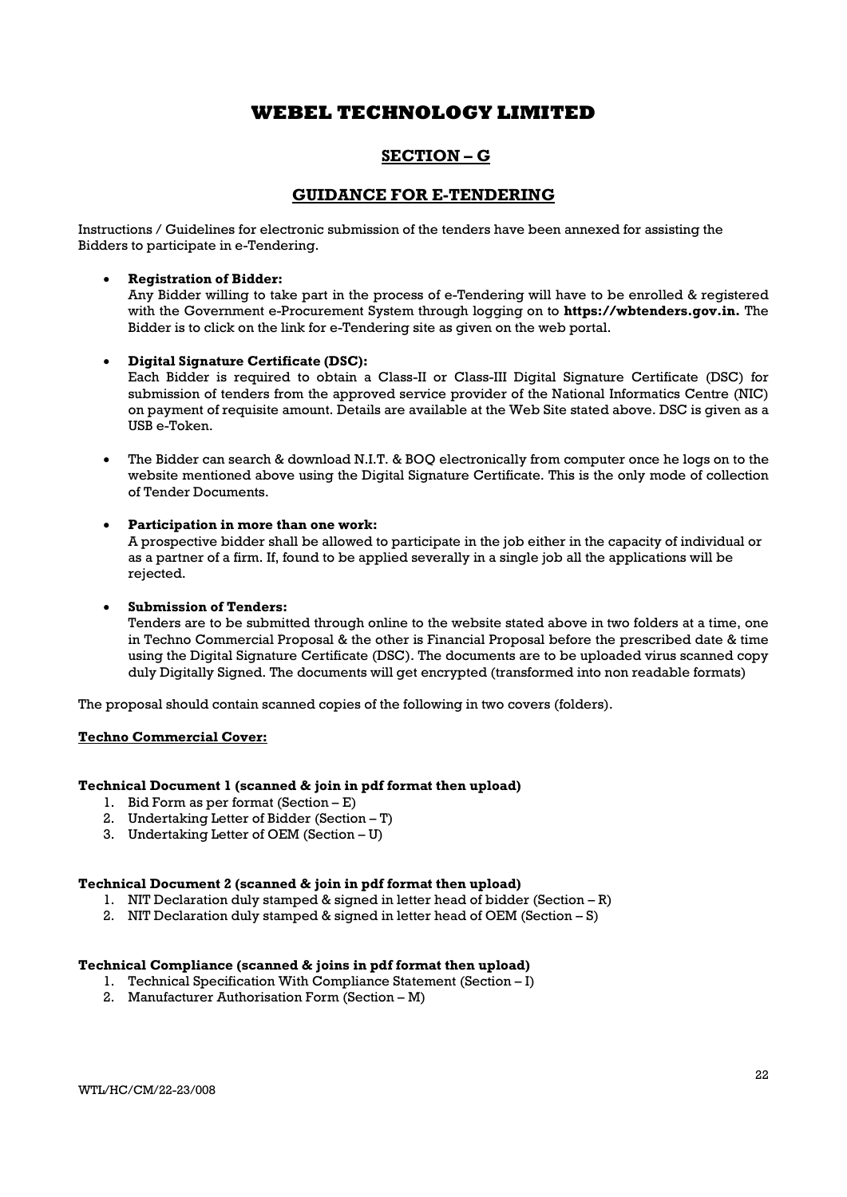## SECTION – G

## GUIDANCE FOR E-TENDERING

Instructions / Guidelines for electronic submission of the tenders have been annexed for assisting the Bidders to participate in e-Tendering.

### Registration of Bidder:

Any Bidder willing to take part in the process of e-Tendering will have to be enrolled & registered with the Government e-Procurement System through logging on to **https://wbtenders.gov.in.** The Bidder is to click on the link for e-Tendering site as given on the web portal.

### Digital Signature Certificate (DSC):

Each Bidder is required to obtain a Class-II or Class-III Digital Signature Certificate (DSC) for submission of tenders from the approved service provider of the National Informatics Centre (NIC) on payment of requisite amount. Details are available at the Web Site stated above. DSC is given as a USB e-Token.

 The Bidder can search & download N.I.T. & BOQ electronically from computer once he logs on to the website mentioned above using the Digital Signature Certificate. This is the only mode of collection of Tender Documents.

### Participation in more than one work:

A prospective bidder shall be allowed to participate in the job either in the capacity of individual or as a partner of a firm. If, found to be applied severally in a single job all the applications will be rejected.

### Submission of Tenders:

Tenders are to be submitted through online to the website stated above in two folders at a time, one in Techno Commercial Proposal & the other is Financial Proposal before the prescribed date & time using the Digital Signature Certificate (DSC). The documents are to be uploaded virus scanned copy duly Digitally Signed. The documents will get encrypted (transformed into non readable formats)

The proposal should contain scanned copies of the following in two covers (folders).

#### Techno Commercial Cover:

### Technical Document 1 (scanned & join in pdf format then upload)

- 1. Bid Form as per format (Section E)
- 2. Undertaking Letter of Bidder (Section T)
- 3. Undertaking Letter of OEM (Section U)

### Technical Document 2 (scanned & join in pdf format then upload)

- 1. NIT Declaration duly stamped & signed in letter head of bidder (Section R)
- 2. NIT Declaration duly stamped & signed in letter head of OEM (Section S)

#### Technical Compliance (scanned & joins in pdf format then upload)

- 1. Technical Specification With Compliance Statement (Section I)
- 2. Manufacturer Authorisation Form (Section M)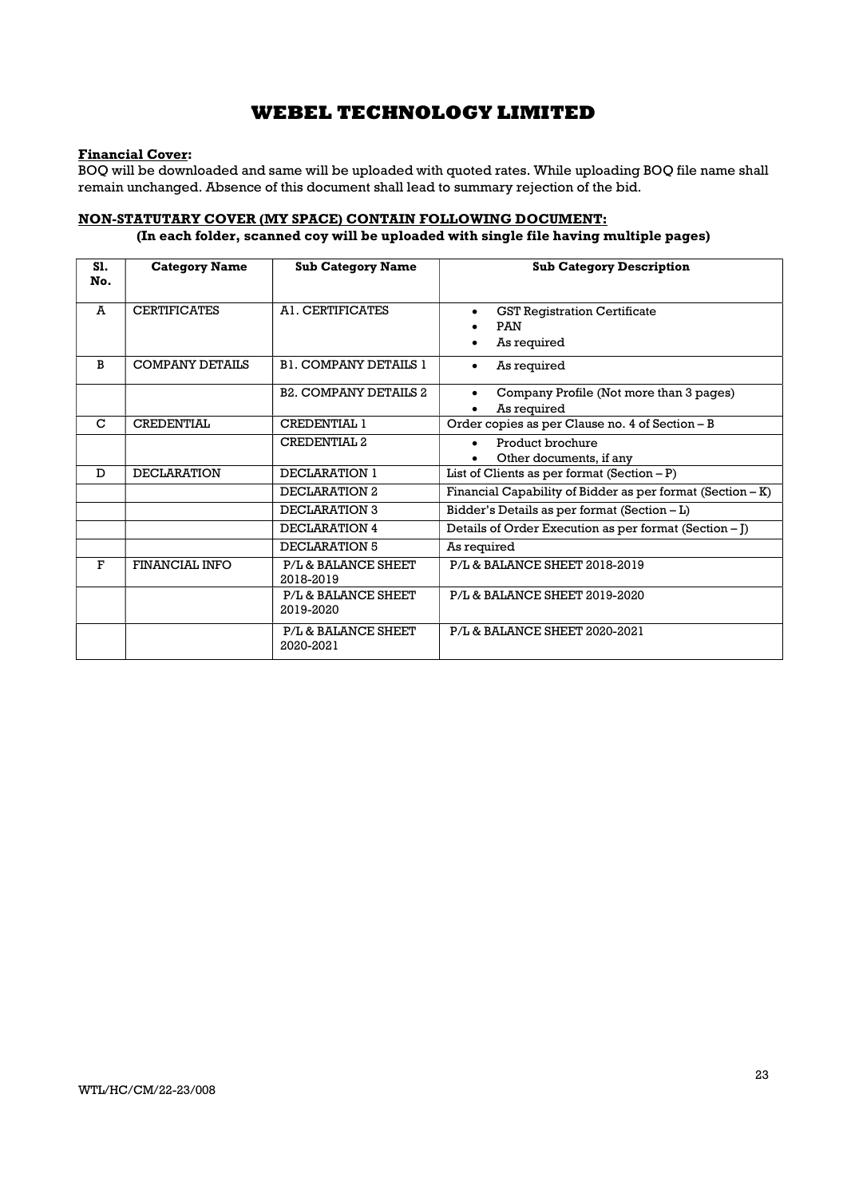## Financial Cover:

BOQ will be downloaded and same will be uploaded with quoted rates. While uploading BOQ file name shall remain unchanged. Absence of this document shall lead to summary rejection of the bid.

## NON-STATUTARY COVER (MY SPACE) CONTAIN FOLLOWING DOCUMENT:

## (In each folder, scanned coy will be uploaded with single file having multiple pages)

| S1.<br>No.  | <b>Category Name</b>   | <b>Sub Category Name</b>         | <b>Sub Category Description</b>                                     |
|-------------|------------------------|----------------------------------|---------------------------------------------------------------------|
| A           | <b>CERTIFICATES</b>    | AL CERTIFICATES                  | <b>GST Registration Certificate</b><br><b>PAN</b><br>As required    |
| B           | <b>COMPANY DETAILS</b> | <b>B1. COMPANY DETAILS 1</b>     | As required<br>$\bullet$                                            |
|             |                        | <b>B2. COMPANY DETAILS 2</b>     | Company Profile (Not more than 3 pages)<br>$\bullet$<br>As required |
| $\mathbf C$ | <b>CREDENTIAL</b>      | <b>CREDENTIAL 1</b>              | Order copies as per Clause no. 4 of Section - B                     |
|             |                        | <b>CREDENTIAL 2</b>              | Product brochure<br>Other documents, if any                         |
| D           | <b>DECLARATION</b>     | DECLARATION 1                    | List of Clients as per format $(Section - P)$                       |
|             |                        | DECLARATION 2                    | Financial Capability of Bidder as per format $(Section - K)$        |
|             |                        | DECLARATION 3                    | Bidder's Details as per format (Section - L)                        |
|             |                        | DECLARATION 4                    | Details of Order Execution as per format (Section - J)              |
|             |                        | DECLARATION 5                    | As required                                                         |
| $\mathbf F$ | FINANCIAL INFO         | P/L & BALANCE SHEET<br>2018-2019 | P/L & BALANCE SHEET 2018-2019                                       |
|             |                        | P/L & BALANCE SHEET<br>2019-2020 | P/L & BALANCE SHEET 2019-2020                                       |
|             |                        | P/L & BALANCE SHEET<br>2020-2021 | P/L & BALANCE SHEET 2020-2021                                       |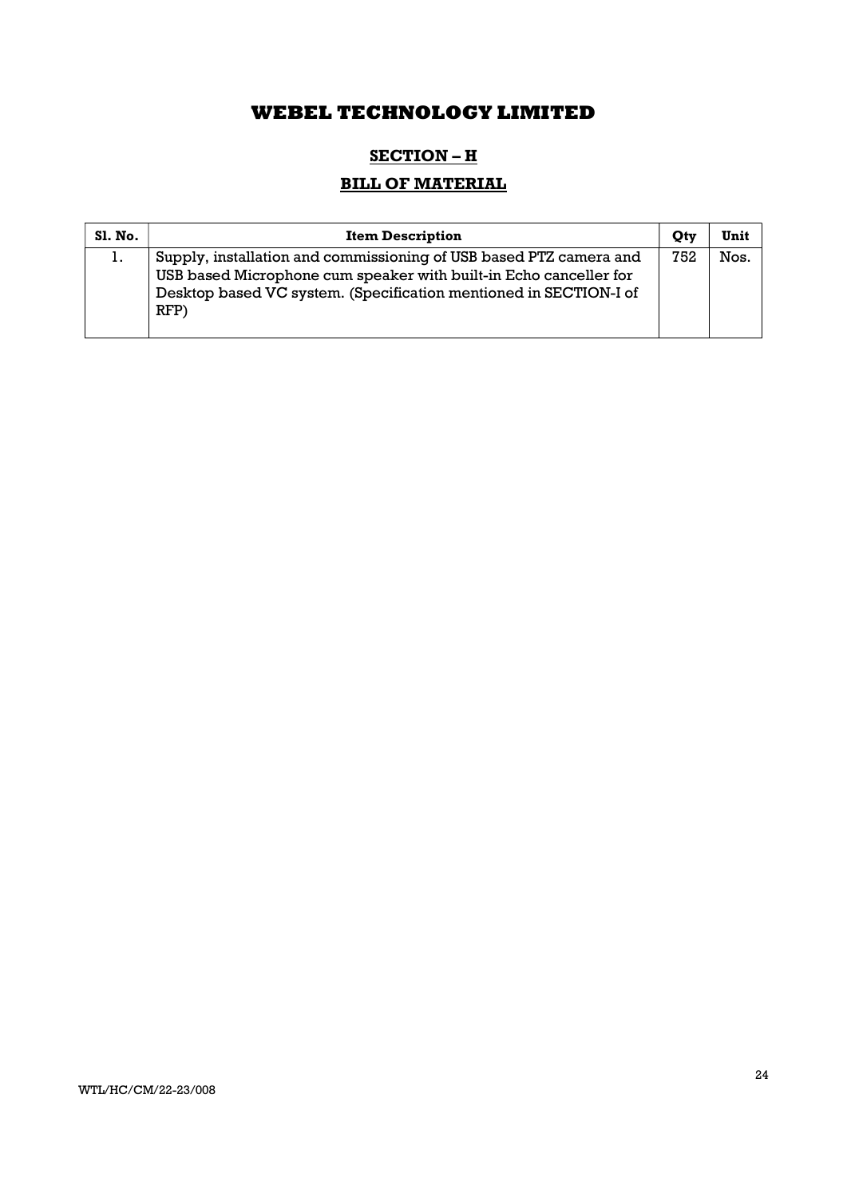# SECTION - H

# BILL OF MATERIAL

| <b>Sl. No.</b> | <b>Item Description</b>                                                                                                                                                                                              | Otv | Unit |
|----------------|----------------------------------------------------------------------------------------------------------------------------------------------------------------------------------------------------------------------|-----|------|
| Ι.             | Supply, installation and commissioning of USB based PTZ camera and<br>USB based Microphone cum speaker with built-in Echo canceller for<br>Desktop based VC system. (Specification mentioned in SECTION-I of<br>RFP) | 752 | Nos. |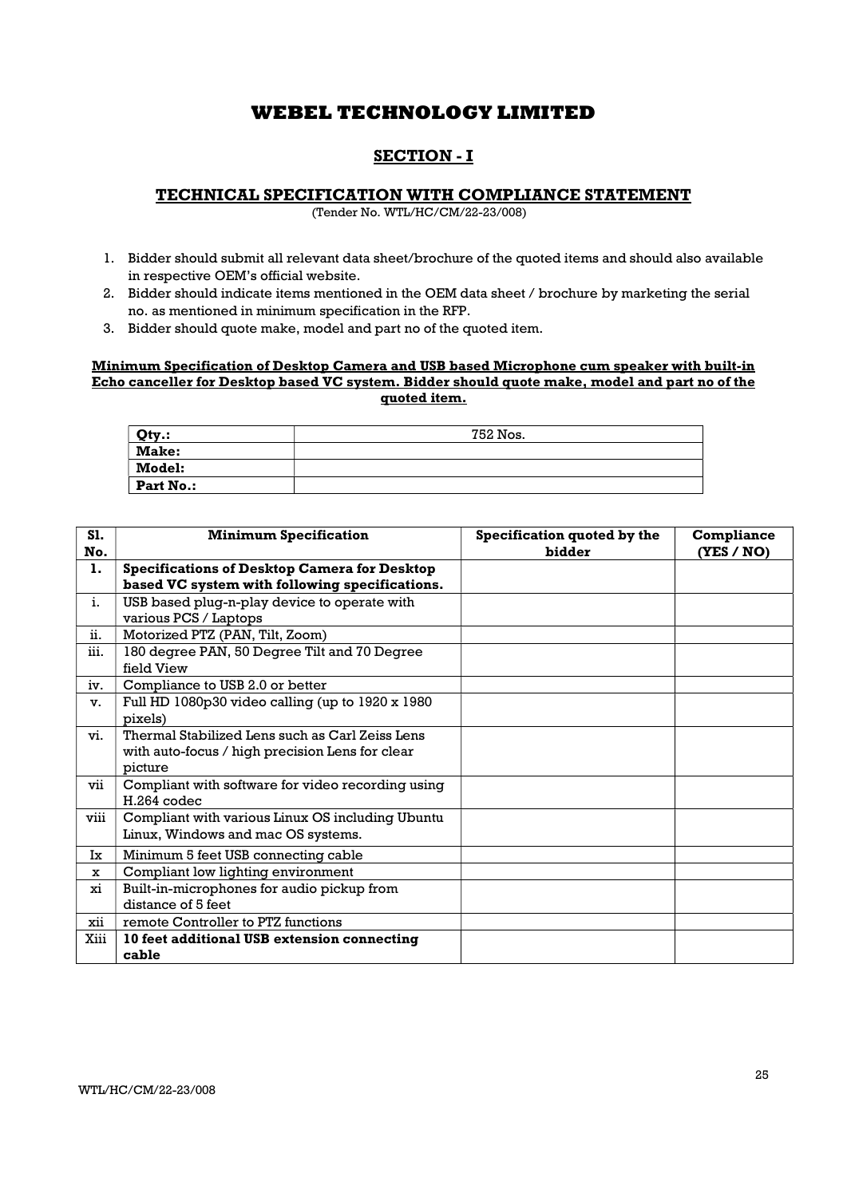## SECTION - I

### TECHNICAL SPECIFICATION WITH COMPLIANCE STATEMENT

(Tender No. WTL/HC/CM/22-23/008)

- 1. Bidder should submit all relevant data sheet/brochure of the quoted items and should also available in respective OEM's official website.
- 2. Bidder should indicate items mentioned in the OEM data sheet / brochure by marketing the serial no. as mentioned in minimum specification in the RFP.
- 3. Bidder should quote make, model and part no of the quoted item.

## Minimum Specification of Desktop Camera and USB based Microphone cum speaker with built-in Echo canceller for Desktop based VC system. Bidder should quote make, model and part no of the quoted item.

| Qty.:            | 752 Nos. |
|------------------|----------|
| Make:            |          |
| Model:           |          |
| <b>Part No.:</b> |          |

| <b>S1.</b><br>No. | <b>Minimum Specification</b>                        | Specification quoted by the<br>bidder | Compliance<br>(YES / NO) |
|-------------------|-----------------------------------------------------|---------------------------------------|--------------------------|
| 1.                | <b>Specifications of Desktop Camera for Desktop</b> |                                       |                          |
|                   | based VC system with following specifications.      |                                       |                          |
| i.                | USB based plug-n-play device to operate with        |                                       |                          |
|                   | various PCS / Laptops                               |                                       |                          |
| ii.               | Motorized PTZ (PAN, Tilt, Zoom)                     |                                       |                          |
| iii.              | 180 degree PAN, 50 Degree Tilt and 70 Degree        |                                       |                          |
|                   | field View                                          |                                       |                          |
| iv.               | Compliance to USB 2.0 or better                     |                                       |                          |
| v.                | Full HD 1080p30 video calling (up to 1920 x 1980)   |                                       |                          |
|                   | pixels)                                             |                                       |                          |
| vi.               | Thermal Stabilized Lens such as Carl Zeiss Lens     |                                       |                          |
|                   | with auto-focus / high precision Lens for clear     |                                       |                          |
|                   | picture                                             |                                       |                          |
| vii               | Compliant with software for video recording using   |                                       |                          |
|                   | $H.264$ codec                                       |                                       |                          |
| viii              | Compliant with various Linux OS including Ubuntu    |                                       |                          |
|                   | Linux, Windows and mac OS systems.                  |                                       |                          |
| Ix                | Minimum 5 feet USB connecting cable                 |                                       |                          |
| x                 | Compliant low lighting environment                  |                                       |                          |
| xi                | Built-in-microphones for audio pickup from          |                                       |                          |
|                   | distance of 5 feet                                  |                                       |                          |
| xii               | remote Controller to PTZ functions                  |                                       |                          |
| Xiii              | 10 feet additional USB extension connecting         |                                       |                          |
|                   | cable                                               |                                       |                          |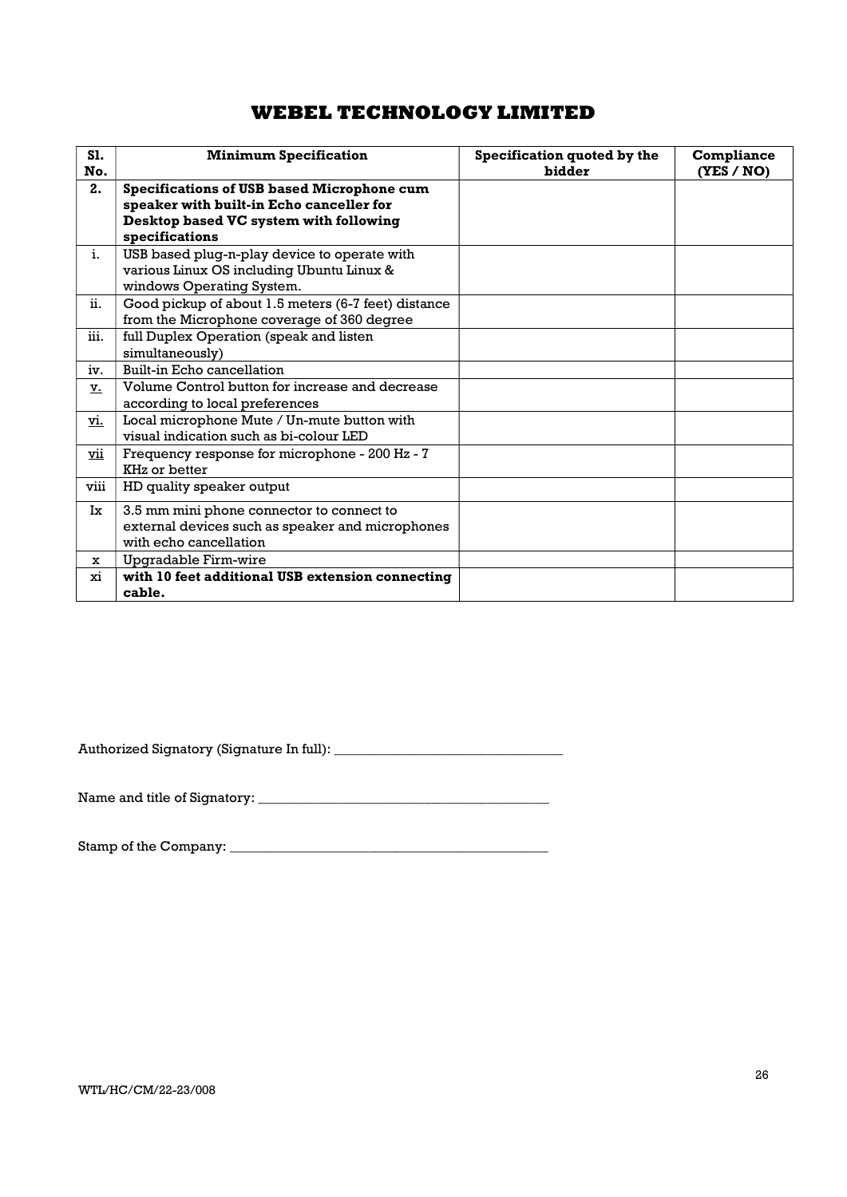| <b>S1.</b><br>No. | <b>Minimum Specification</b>                                                                                                                              | Specification quoted by the<br>bidder | Compliance<br>(YES / NO) |
|-------------------|-----------------------------------------------------------------------------------------------------------------------------------------------------------|---------------------------------------|--------------------------|
| 2.                | <b>Specifications of USB based Microphone cum</b><br>speaker with built-in Echo canceller for<br>Desktop based VC system with following<br>specifications |                                       |                          |
| i.                | USB based plug-n-play device to operate with<br>various Linux OS including Ubuntu Linux &<br>windows Operating System.                                    |                                       |                          |
| ii.               | Good pickup of about 1.5 meters (6-7 feet) distance<br>from the Microphone coverage of 360 degree                                                         |                                       |                          |
| iii.              | full Duplex Operation (speak and listen<br>simultaneously)                                                                                                |                                       |                          |
| iv.               | <b>Built-in Echo cancellation</b>                                                                                                                         |                                       |                          |
| v.                | Volume Control button for increase and decrease<br>according to local preferences                                                                         |                                       |                          |
| vi.               | Local microphone Mute / Un-mute button with<br>visual indication such as bi-colour LED                                                                    |                                       |                          |
| vii               | Frequency response for microphone - 200 Hz - 7<br>KHz or better                                                                                           |                                       |                          |
| viii              | HD quality speaker output                                                                                                                                 |                                       |                          |
| Ix                | 3.5 mm mini phone connector to connect to<br>external devices such as speaker and microphones<br>with echo cancellation                                   |                                       |                          |
| $\mathbf{x}$      | Upgradable Firm-wire                                                                                                                                      |                                       |                          |
| xi                | with 10 feet additional USB extension connecting<br>cable.                                                                                                |                                       |                          |

Authorized Signatory (Signature In full): \_\_\_\_\_\_\_\_\_\_\_\_\_\_\_\_\_\_\_\_\_\_\_\_\_\_\_\_\_\_\_\_\_

Name and title of Signatory: \_\_\_\_\_\_\_\_\_\_\_\_\_\_\_\_\_\_\_\_\_\_\_\_\_\_\_\_\_\_\_\_\_\_\_\_\_\_\_\_\_\_

Stamp of the Company: \_\_\_\_\_\_\_\_\_\_\_\_\_\_\_\_\_\_\_\_\_\_\_\_\_\_\_\_\_\_\_\_\_\_\_\_\_\_\_\_\_\_\_\_\_\_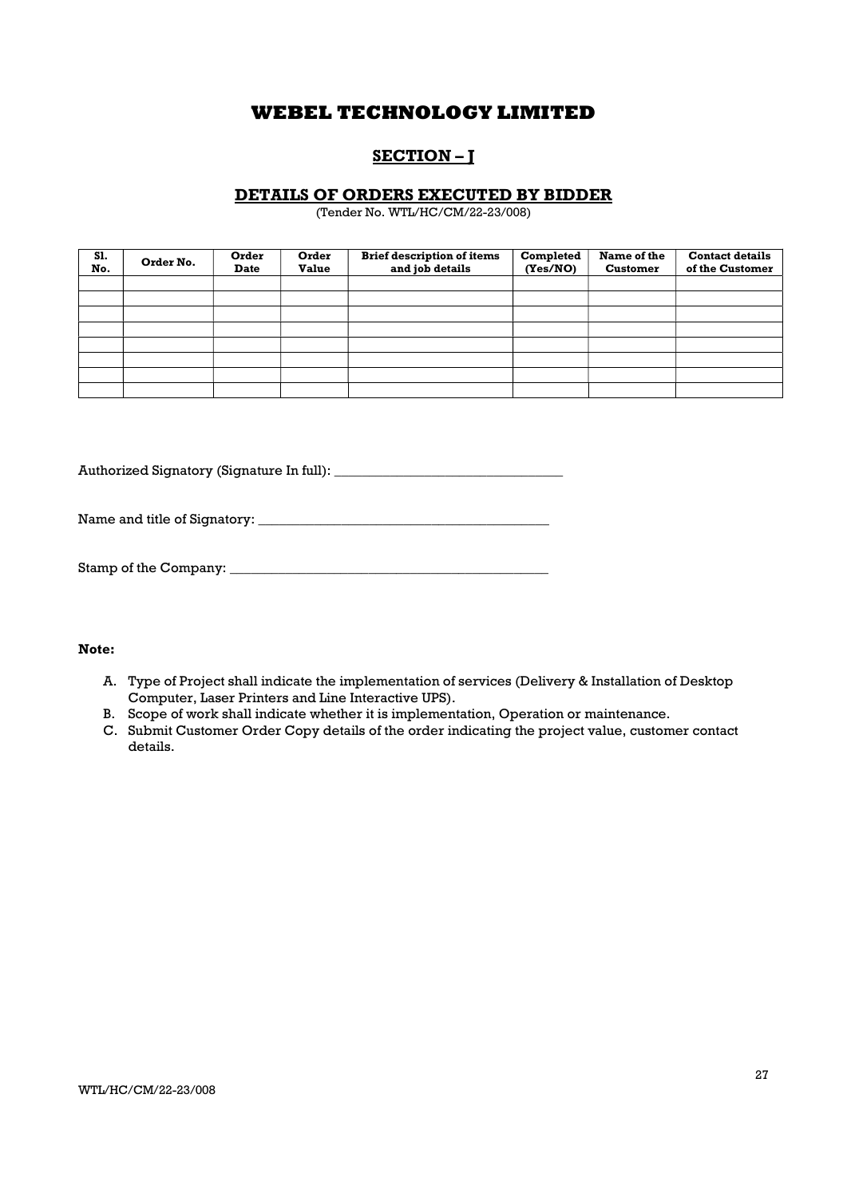# SECTION – J

## DETAILS OF ORDERS EXECUTED BY BIDDER

(Tender No. WTL/HC/CM/22-23/008)

| S1.<br>No. | Order No. | Order<br><b>Date</b> | Order<br><b>Value</b> | <b>Brief description of items</b><br>and job details | Completed<br>(Yes/NO) | Name of the<br><b>Customer</b> | <b>Contact details</b><br>of the Customer |
|------------|-----------|----------------------|-----------------------|------------------------------------------------------|-----------------------|--------------------------------|-------------------------------------------|
|            |           |                      |                       |                                                      |                       |                                |                                           |
|            |           |                      |                       |                                                      |                       |                                |                                           |
|            |           |                      |                       |                                                      |                       |                                |                                           |
|            |           |                      |                       |                                                      |                       |                                |                                           |
|            |           |                      |                       |                                                      |                       |                                |                                           |
|            |           |                      |                       |                                                      |                       |                                |                                           |
|            |           |                      |                       |                                                      |                       |                                |                                           |
|            |           |                      |                       |                                                      |                       |                                |                                           |

Authorized Signatory (Signature In full): \_\_\_\_\_\_\_\_\_\_\_\_\_\_\_\_\_\_\_\_\_\_\_\_\_\_\_\_\_\_\_\_\_

Name and title of Signatory: \_\_\_\_\_\_\_\_\_\_\_\_\_\_\_\_\_\_\_\_\_\_\_\_\_\_\_\_\_\_\_\_\_\_\_\_\_\_\_\_\_\_

| Stamp of the Company: |  |
|-----------------------|--|
|-----------------------|--|

### Note:

- A. Type of Project shall indicate the implementation of services (Delivery & Installation of Desktop Computer, Laser Printers and Line Interactive UPS).
- B. Scope of work shall indicate whether it is implementation, Operation or maintenance.
- C. Submit Customer Order Copy details of the order indicating the project value, customer contact details.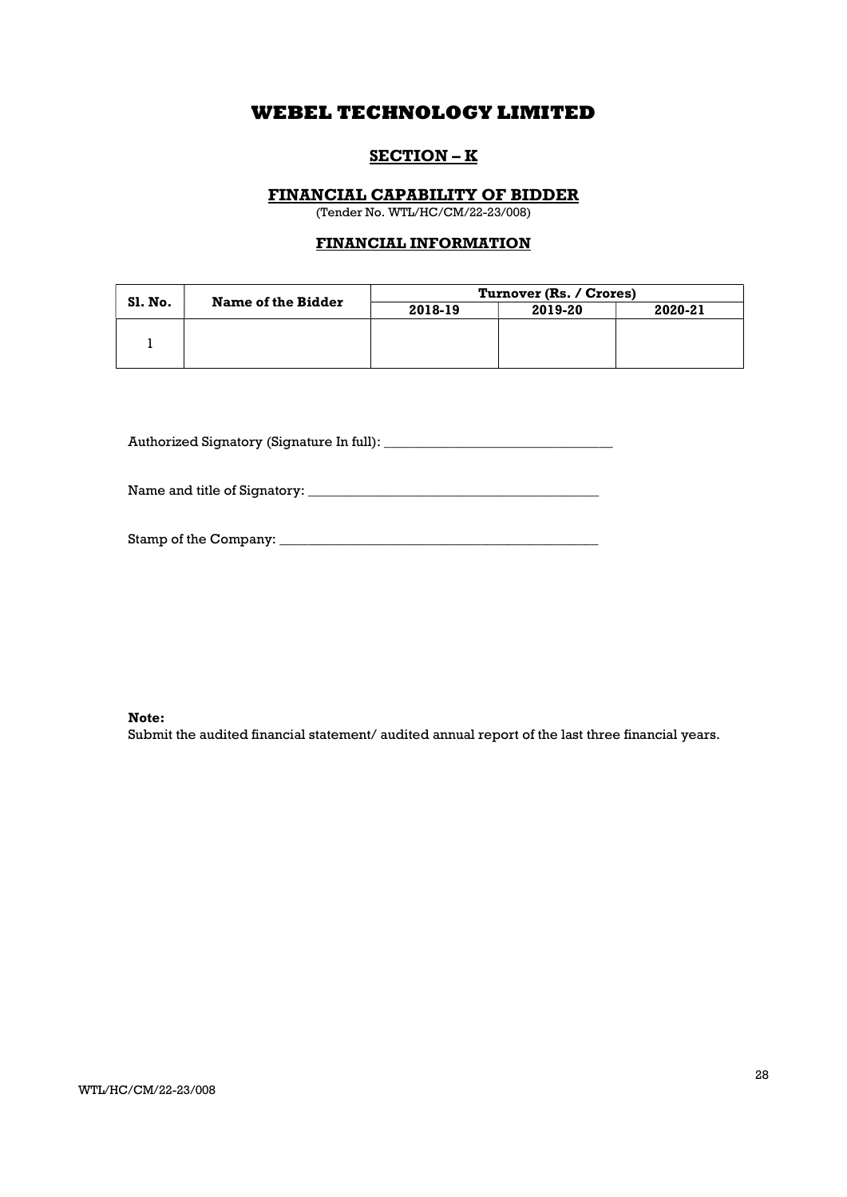## SECTION – K

### FINANCIAL CAPABILITY OF BIDDER

(Tender No. WTL/HC/CM/22-23/008)

### FINANCIAL INFORMATION

|                | <b>Name of the Bidder</b> | Turnover (Rs. / Crores) |         |         |
|----------------|---------------------------|-------------------------|---------|---------|
| <b>S1. No.</b> |                           | 2018-19                 | 2019-20 | 2020-21 |
|                |                           |                         |         |         |
|                |                           |                         |         |         |

Authorized Signatory (Signature In full): \_\_\_\_\_\_\_\_\_\_\_\_\_\_\_\_\_\_\_\_\_\_\_\_\_\_\_\_\_\_\_\_\_

Name and title of Signatory: \_\_\_\_\_\_\_\_\_\_\_\_\_\_\_\_\_\_\_\_\_\_\_\_\_\_\_\_\_\_\_\_\_\_\_\_\_\_\_\_\_\_

| Stamp of the Company: |  |
|-----------------------|--|
|                       |  |

### Note:

Submit the audited financial statement/ audited annual report of the last three financial years.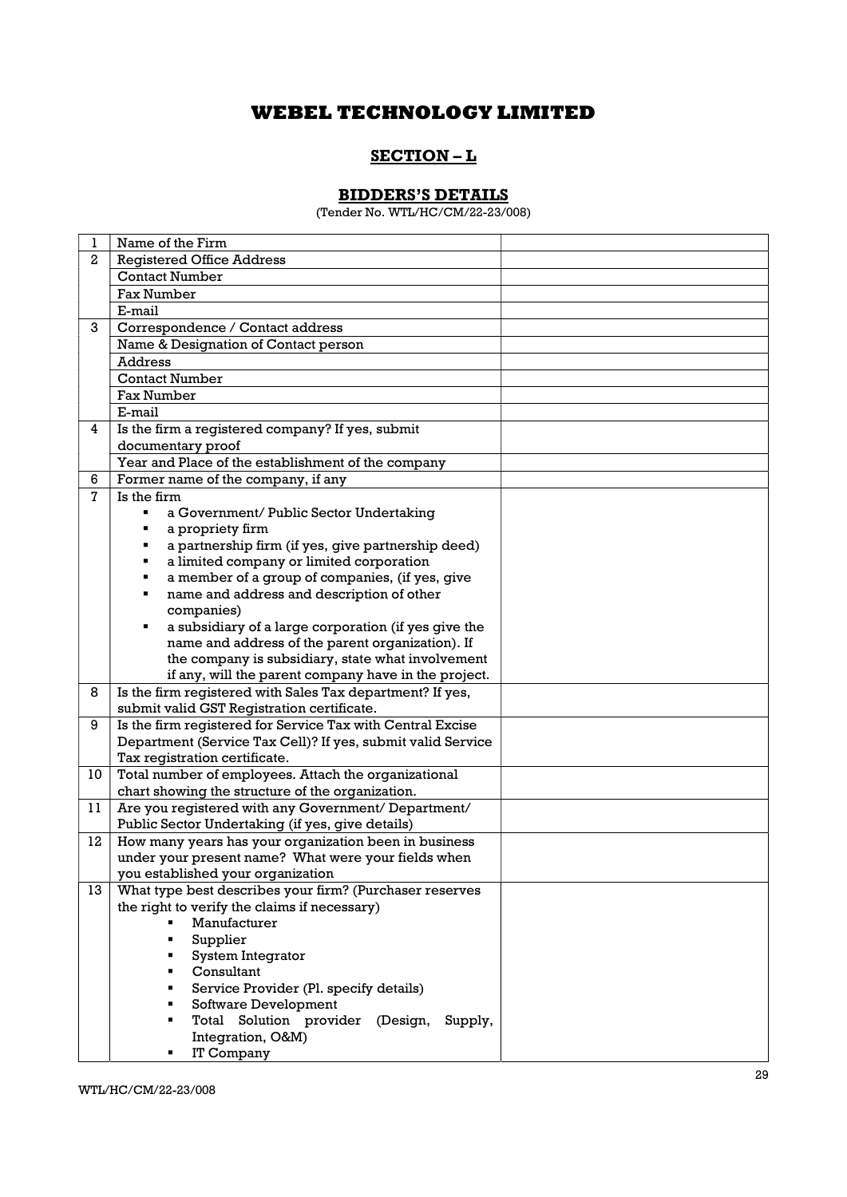## SECTION – L

# BIDDERS'S DETAILS

(Tender No. WTL/HC/CM/22-23/008)

| 1            | Name of the Firm                                            |  |
|--------------|-------------------------------------------------------------|--|
| $\mathbf{2}$ | <b>Registered Office Address</b>                            |  |
|              | <b>Contact Number</b>                                       |  |
|              | <b>Fax Number</b>                                           |  |
|              | E-mail                                                      |  |
| 3            | Correspondence / Contact address                            |  |
|              | Name & Designation of Contact person                        |  |
|              | <b>Address</b>                                              |  |
|              | <b>Contact Number</b>                                       |  |
|              | <b>Fax Number</b>                                           |  |
|              | E-mail                                                      |  |
| 4            | Is the firm a registered company? If yes, submit            |  |
|              | documentary proof                                           |  |
|              | Year and Place of the establishment of the company          |  |
| 6            | Former name of the company, if any                          |  |
| 7            | Is the firm                                                 |  |
|              | a Government/ Public Sector Undertaking                     |  |
|              | a propriety firm                                            |  |
|              | a partnership firm (if yes, give partnership deed)          |  |
|              | a limited company or limited corporation                    |  |
|              | a member of a group of companies, (if yes, give             |  |
|              | name and address and description of other                   |  |
|              | companies)                                                  |  |
|              | a subsidiary of a large corporation (if yes give the        |  |
|              | name and address of the parent organization). If            |  |
|              | the company is subsidiary, state what involvement           |  |
|              | if any, will the parent company have in the project.        |  |
| 8            | Is the firm registered with Sales Tax department? If yes,   |  |
|              | submit valid GST Registration certificate.                  |  |
| 9            | Is the firm registered for Service Tax with Central Excise  |  |
|              | Department (Service Tax Cell)? If yes, submit valid Service |  |
|              | Tax registration certificate.                               |  |
| 10           | Total number of employees. Attach the organizational        |  |
|              | chart showing the structure of the organization.            |  |
| 11           | Are you registered with any Government/ Department/         |  |
|              | Public Sector Undertaking (if yes, give details)            |  |
| 12           | How many years has your organization been in business       |  |
|              | under your present name? What were your fields when         |  |
|              | you established your organization                           |  |
| 13           | What type best describes your firm? (Purchaser reserves     |  |
|              | the right to verify the claims if necessary)                |  |
|              | Manufacturer                                                |  |
|              | Supplier                                                    |  |
|              | System Integrator                                           |  |
|              | Consultant                                                  |  |
|              | Service Provider (Pl. specify details)                      |  |
|              | Software Development                                        |  |
|              | Total Solution provider (Design, Supply,                    |  |
|              | Integration, O&M)                                           |  |
|              | IT Company                                                  |  |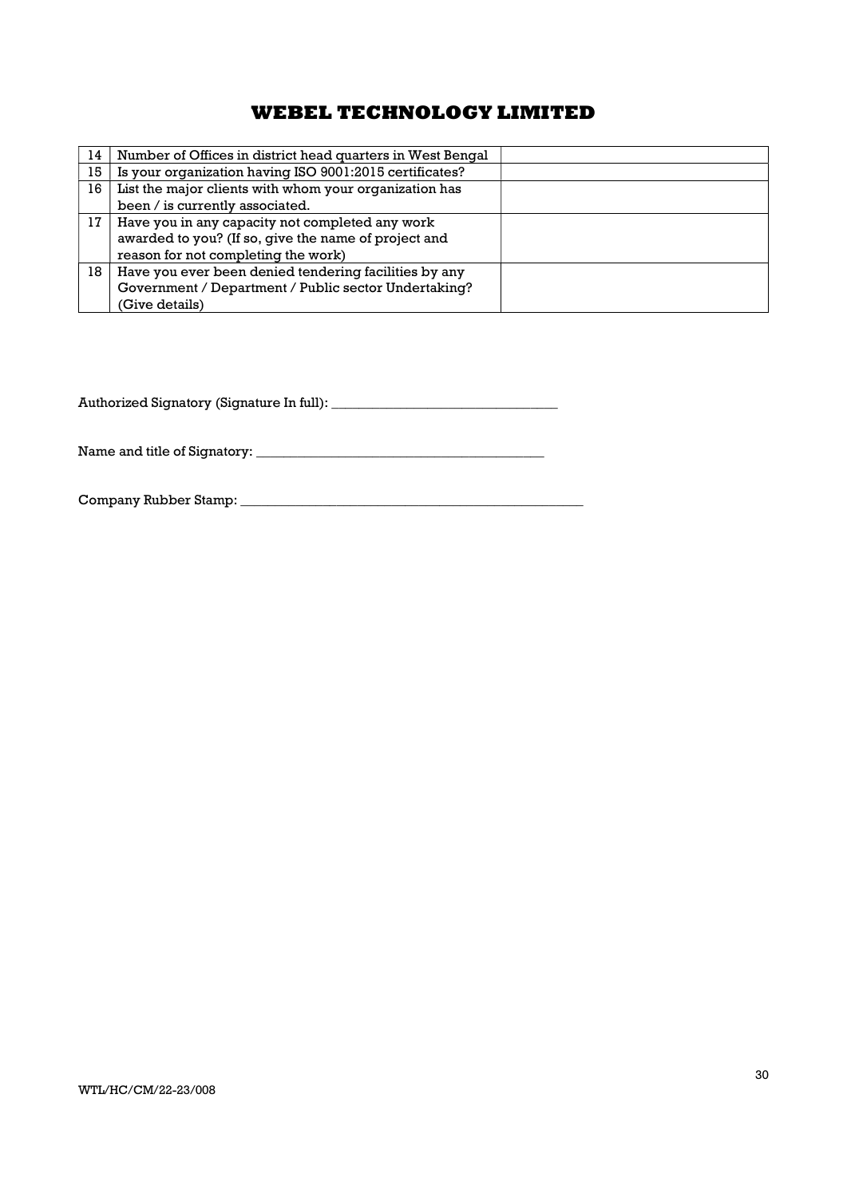| 14 | Number of Offices in district head quarters in West Bengal |  |
|----|------------------------------------------------------------|--|
| 15 | Is your organization having ISO 9001:2015 certificates?    |  |
| 16 | List the major clients with whom your organization has     |  |
|    | been / is currently associated.                            |  |
| 17 | Have you in any capacity not completed any work            |  |
|    | awarded to you? (If so, give the name of project and       |  |
|    | reason for not completing the work)                        |  |
| 18 | Have you ever been denied tendering facilities by any      |  |
|    | Government / Department / Public sector Undertaking?       |  |
|    | (Give details)                                             |  |

Authorized Signatory (Signature In full): \_\_\_\_\_\_\_\_\_\_\_\_\_\_\_\_\_\_\_\_\_\_\_\_\_\_\_\_\_\_\_\_\_

Name and title of Signatory: \_\_\_\_\_\_\_\_\_\_\_\_\_\_\_\_\_\_\_\_\_\_\_\_\_\_\_\_\_\_\_\_\_\_\_\_\_\_\_\_\_\_

Company Rubber Stamp: \_\_\_\_\_\_\_\_\_\_\_\_\_\_\_\_\_\_\_\_\_\_\_\_\_\_\_\_\_\_\_\_\_\_\_\_\_\_\_\_\_\_\_\_\_\_\_\_\_\_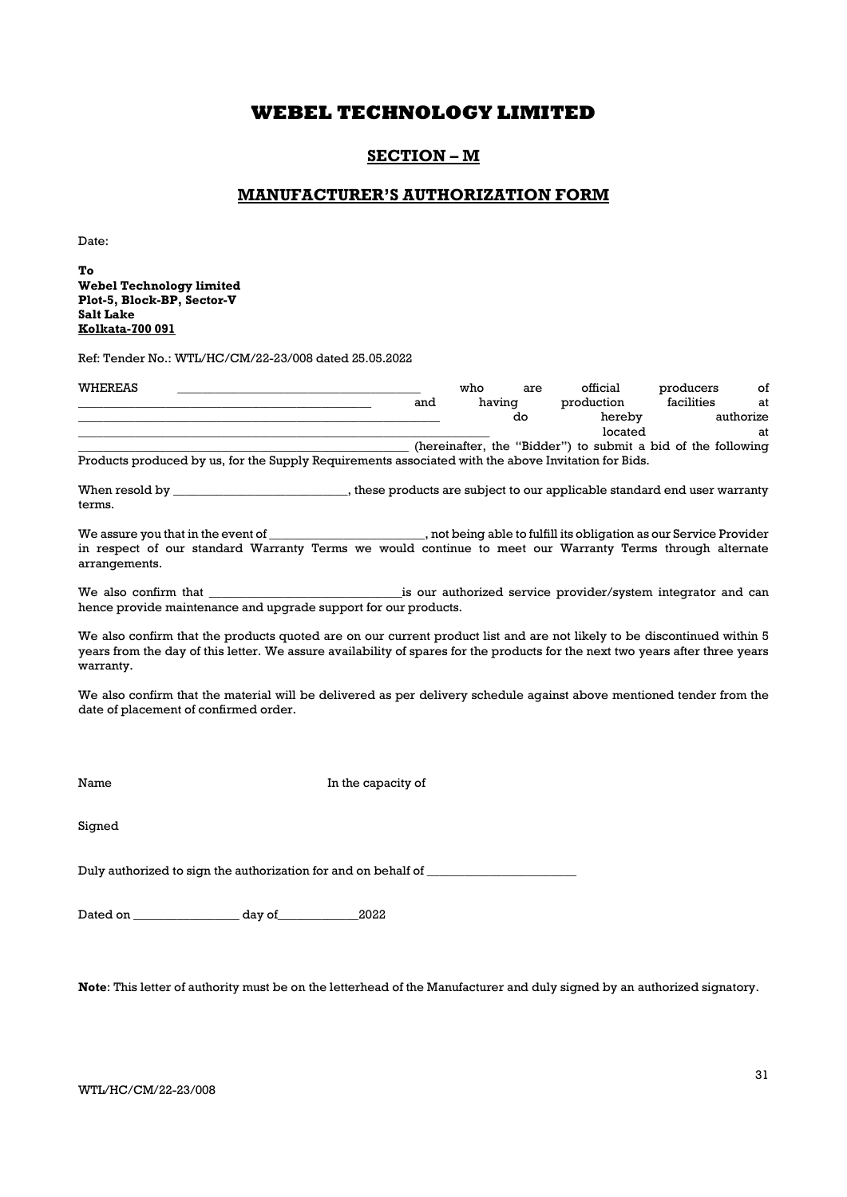## SECTION – M

### MANUFACTURER'S AUTHORIZATION FORM

Date:

To Webel Technology limited Plot-5, Block-BP, Sector-V Salt Lake Kolkata-700 091

Ref: Tender No.: WTL/HC/CM/22-23/008 dated 25.05.2022

| WHEREAS |                                                                                                     | who    | are | official                                                     | producers  | οf        |
|---------|-----------------------------------------------------------------------------------------------------|--------|-----|--------------------------------------------------------------|------------|-----------|
|         | and                                                                                                 | having |     | production                                                   | facilities | at        |
|         |                                                                                                     |        | do  | hereby                                                       |            | authorize |
|         |                                                                                                     |        |     | located                                                      |            | at        |
|         |                                                                                                     |        |     | (hereinafter, the "Bidder") to submit a bid of the following |            |           |
|         | Products produced by us, for the Supply Requirements associated with the above Invitation for Bids. |        |     |                                                              |            |           |
|         |                                                                                                     |        |     |                                                              |            |           |

When resold by \_\_\_\_\_\_\_\_\_\_\_\_\_\_\_\_\_\_\_\_\_\_\_\_\_, these products are subject to our applicable standard end user warranty terms.

We assure you that in the event of \_\_\_\_\_\_\_\_\_\_\_\_\_\_\_\_\_\_\_\_\_, not being able to fulfill its obligation as our Service Provider in respect of our standard Warranty Terms we would continue to meet our Warranty Terms through alternate arrangements.

We also confirm that \_\_\_\_\_\_\_\_\_\_\_\_\_\_\_\_\_\_\_\_\_\_\_\_\_\_\_\_\_\_\_is our authorized service provider/system integrator and can hence provide maintenance and upgrade support for our products.

We also confirm that the products quoted are on our current product list and are not likely to be discontinued within 5 years from the day of this letter. We assure availability of spares for the products for the next two years after three years warranty.

We also confirm that the material will be delivered as per delivery schedule against above mentioned tender from the date of placement of confirmed order.

Name In the capacity of

Signed

Duly authorized to sign the authorization for and on behalf of  $\_\_$ 

Dated on \_\_\_\_\_\_\_\_\_\_\_\_\_\_\_\_\_ day of\_\_\_\_\_\_\_\_\_\_\_\_\_2022

Note: This letter of authority must be on the letterhead of the Manufacturer and duly signed by an authorized signatory.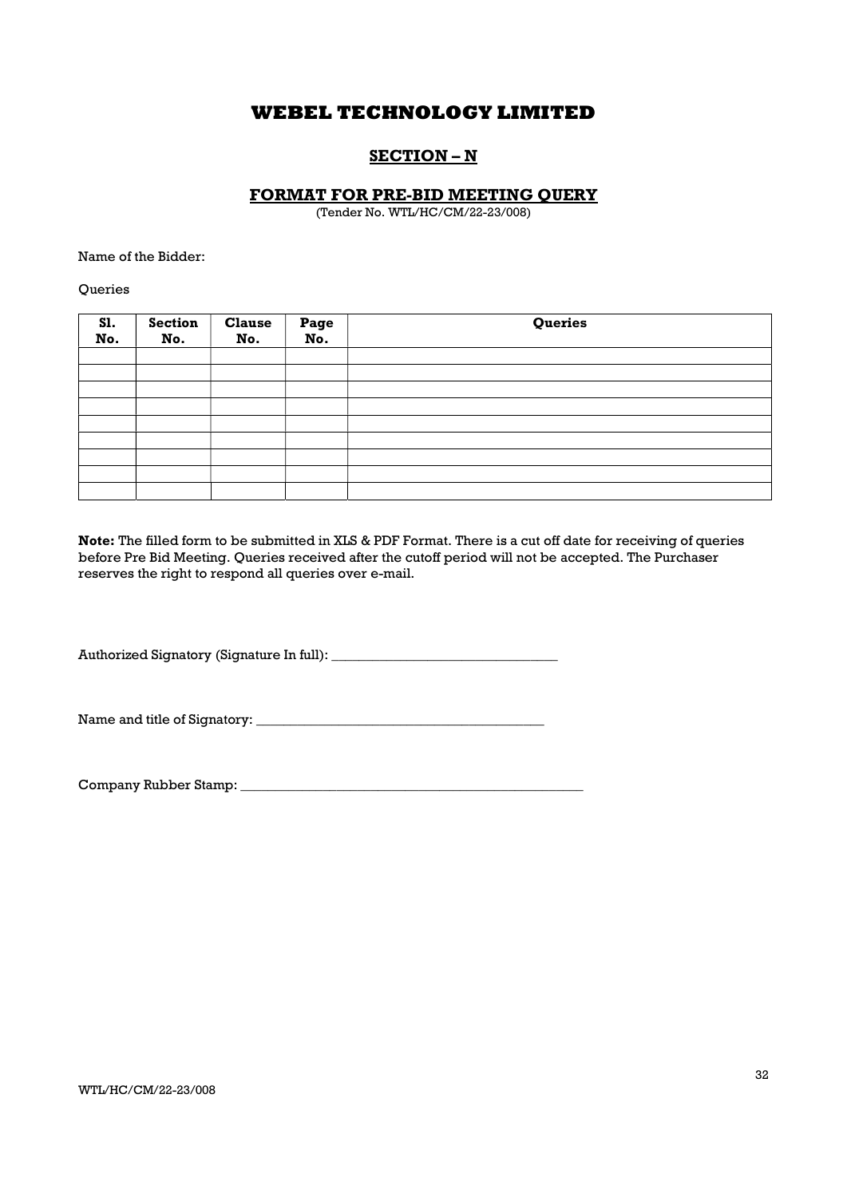## SECTION – N

### FORMAT FOR PRE-BID MEETING QUERY

(Tender No. WTL/HC/CM/22-23/008)

Name of the Bidder:

**Oueries** 

| Sl.<br>No. | <b>Section</b><br>No. | <b>Clause</b><br>No. | Page<br>No. | Queries |
|------------|-----------------------|----------------------|-------------|---------|
|            |                       |                      |             |         |
|            |                       |                      |             |         |
|            |                       |                      |             |         |
|            |                       |                      |             |         |
|            |                       |                      |             |         |
|            |                       |                      |             |         |
|            |                       |                      |             |         |
|            |                       |                      |             |         |
|            |                       |                      |             |         |

Note: The filled form to be submitted in XLS & PDF Format. There is a cut off date for receiving of queries before Pre Bid Meeting. Queries received after the cutoff period will not be accepted. The Purchaser reserves the right to respond all queries over e-mail.

Authorized Signatory (Signature In full): \_\_\_\_\_\_\_\_\_\_\_\_\_\_\_\_\_\_\_\_\_\_\_\_\_\_\_\_\_\_\_\_\_

Name and title of Signatory: \_\_\_\_\_\_\_\_\_\_\_\_\_\_\_\_\_\_\_\_\_\_\_\_\_\_\_\_\_\_\_\_\_\_\_\_\_\_\_\_\_\_

Company Rubber Stamp: \_\_\_\_\_\_\_\_\_\_\_\_\_\_\_\_\_\_\_\_\_\_\_\_\_\_\_\_\_\_\_\_\_\_\_\_\_\_\_\_\_\_\_\_\_\_\_\_\_\_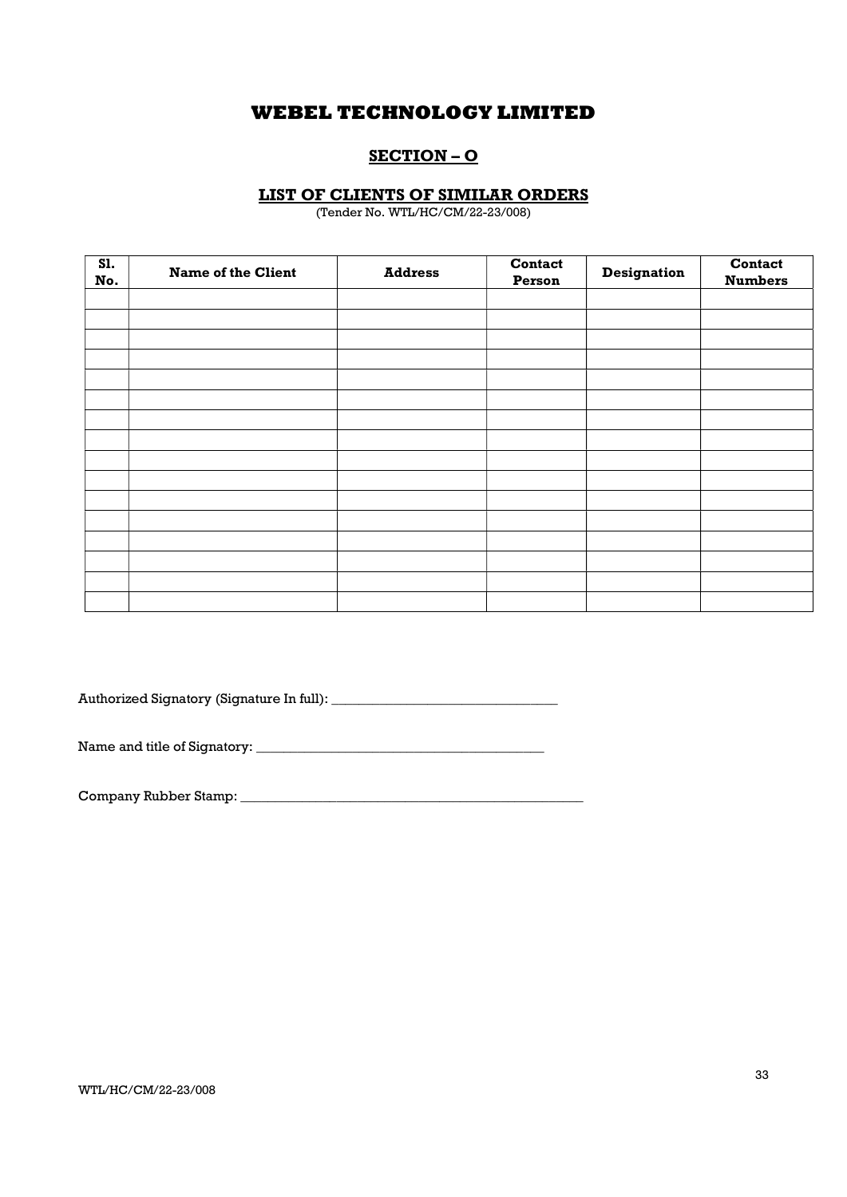## SECTION – O

### LIST OF CLIENTS OF SIMILAR ORDERS

(Tender No. WTL/HC/CM/22-23/008)

| <b>S1.</b><br>No. | <b>Name of the Client</b> | <b>Address</b> | Contact<br>Person | Designation | Contact<br><b>Numbers</b> |
|-------------------|---------------------------|----------------|-------------------|-------------|---------------------------|
|                   |                           |                |                   |             |                           |
|                   |                           |                |                   |             |                           |
|                   |                           |                |                   |             |                           |
|                   |                           |                |                   |             |                           |
|                   |                           |                |                   |             |                           |
|                   |                           |                |                   |             |                           |
|                   |                           |                |                   |             |                           |
|                   |                           |                |                   |             |                           |
|                   |                           |                |                   |             |                           |
|                   |                           |                |                   |             |                           |
|                   |                           |                |                   |             |                           |
|                   |                           |                |                   |             |                           |
|                   |                           |                |                   |             |                           |
|                   |                           |                |                   |             |                           |
|                   |                           |                |                   |             |                           |
|                   |                           |                |                   |             |                           |

Authorized Signatory (Signature In full): \_\_\_\_\_\_\_\_\_\_\_\_\_\_\_\_\_\_\_\_\_\_\_\_\_\_\_\_\_\_\_\_\_

Name and title of Signatory: \_\_\_\_\_\_\_\_\_\_\_\_\_\_\_\_\_\_\_\_\_\_\_\_\_\_\_\_\_\_\_\_\_\_\_\_\_\_\_\_\_\_

Company Rubber Stamp: \_\_\_\_\_\_\_\_\_\_\_\_\_\_\_\_\_\_\_\_\_\_\_\_\_\_\_\_\_\_\_\_\_\_\_\_\_\_\_\_\_\_\_\_\_\_\_\_\_\_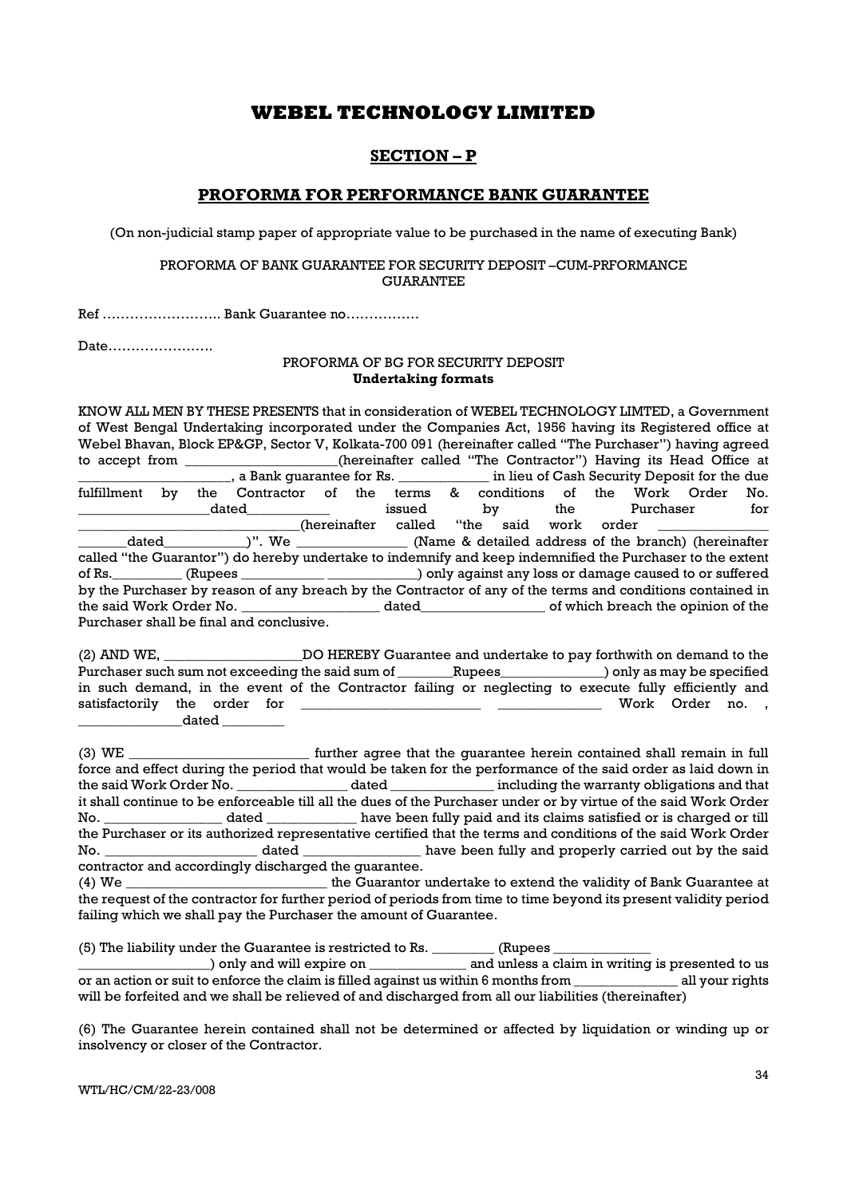## SECTION – P

### PROFORMA FOR PERFORMANCE BANK GUARANTEE

(On non-judicial stamp paper of appropriate value to be purchased in the name of executing Bank)

### PROFORMA OF BANK GUARANTEE FOR SECURITY DEPOSIT –CUM-PRFORMANCE GUARANTEE

Ref …………………….. Bank Guarantee no…………….

Date…………………..

### PROFORMA OF BG FOR SECURITY DEPOSIT Undertaking formats

KNOW ALL MEN BY THESE PRESENTS that in consideration of WEBEL TECHNOLOGY LIMTED, a Government of West Bengal Undertaking incorporated under the Companies Act, 1956 having its Registered office at Webel Bhavan, Block EP&GP, Sector V, Kolkata-700 091 (hereinafter called "The Purchaser") having agreed to accept from \_\_\_\_\_\_\_\_\_\_\_\_\_\_\_(hereinafter called "The Contractor") Having its Head Office at \_\_\_\_\_\_\_\_\_\_\_\_\_\_, a Bank guarantee for Rs. \_\_\_\_\_\_\_\_\_\_\_\_\_\_\_\_ in lieu of Cash Security Deposit for the due in lieu of Cash Security Deposit for the due fulfillment by the Contractor of the terms & conditions of the Work Order No. \_\_\_\_\_\_\_\_\_\_\_\_\_\_\_\_\_\_\_dated\_\_\_\_\_\_\_\_\_\_\_\_ issued by the Purchaser for hereinafter called "the said work order (hereinafter called "the said work order )". dated  $)$ ". We  $\qquad$  (Name & detailed address of the branch) (hereinafter called "the Guarantor") do hereby undertake to indemnify and keep indemnified the Purchaser to the extent of Rs.\_\_\_\_\_\_\_\_\_\_ (Rupees \_\_\_\_\_\_\_\_\_\_\_\_ \_\_\_\_\_\_\_\_\_\_\_\_\_) only against any loss or damage caused to or suffered by the Purchaser by reason of any breach by the Contractor of any of the terms and conditions contained in the said Work Order No. \_\_\_\_\_\_\_\_\_\_\_\_\_\_\_\_\_\_\_\_ dated\_\_\_\_\_\_\_\_\_\_\_\_\_\_\_\_\_\_ of which breach the opinion of the Purchaser shall be final and conclusive.

(2) AND WE, \_\_\_\_\_\_\_\_\_\_\_\_\_\_\_\_\_\_\_\_DO HEREBY Guarantee and undertake to pay forthwith on demand to the Purchaser such sum not exceeding the said sum of \_\_\_\_\_\_\_\_Rupees\_\_\_\_\_\_\_\_\_\_\_\_\_\_) only as may be specified in such demand, in the event of the Contractor failing or neglecting to execute fully efficiently and satisfactorily the order for \_\_\_\_\_\_\_\_\_\_\_\_\_\_\_\_\_\_\_\_\_\_\_\_\_\_ \_\_\_\_\_\_\_\_\_\_\_\_\_\_\_ Work Order no. ,  $\qquad \qquad$  dated  $\qquad \qquad$ 

(3) WE \_\_\_\_\_\_\_\_\_\_\_\_\_\_\_\_\_\_\_\_\_\_\_\_\_\_ further agree that the guarantee herein contained shall remain in full force and effect during the period that would be taken for the performance of the said order as laid down in the said Work Order No. \_\_\_\_\_\_\_\_\_\_\_\_\_\_\_\_ dated \_\_\_\_\_\_\_\_\_\_\_\_\_\_\_ including the warranty obligations and that it shall continue to be enforceable till all the dues of the Purchaser under or by virtue of the said Work Order No. \_\_\_\_\_\_\_\_\_\_\_\_\_\_\_\_\_ dated \_\_\_\_\_\_\_\_\_\_\_\_\_ have been fully paid and its claims satisfied or is charged or till the Purchaser or its authorized representative certified that the terms and conditions of the said Work Order No. \_\_\_\_\_\_\_\_\_\_\_\_\_\_\_\_\_\_\_\_\_\_\_\_\_\_ dated \_\_\_\_\_\_\_\_\_\_\_\_\_\_\_\_\_\_\_\_ have been fully and properly carried out by the said contractor and accordingly discharged the guarantee.

(4) We \_\_\_\_\_\_\_\_\_\_\_\_\_\_\_\_\_\_\_\_\_\_\_\_\_\_\_\_\_ the Guarantor undertake to extend the validity of Bank Guarantee at the request of the contractor for further period of periods from time to time beyond its present validity period failing which we shall pay the Purchaser the amount of Guarantee.

(5) The liability under the Guarantee is restricted to Rs.  $\frac{1}{2}$  (Rupees  $\frac{1}{2}$ 

\_\_\_\_\_\_\_\_\_\_\_\_\_\_\_\_\_\_\_) only and will expire on \_\_\_\_\_\_\_\_\_\_\_\_\_\_ and unless a claim in writing is presented to us or an action or suit to enforce the claim is filled against us within 6 months from \_\_\_\_\_\_\_\_\_\_\_\_\_\_\_ all your rights will be forfeited and we shall be relieved of and discharged from all our liabilities (thereinafter)

(6) The Guarantee herein contained shall not be determined or affected by liquidation or winding up or insolvency or closer of the Contractor.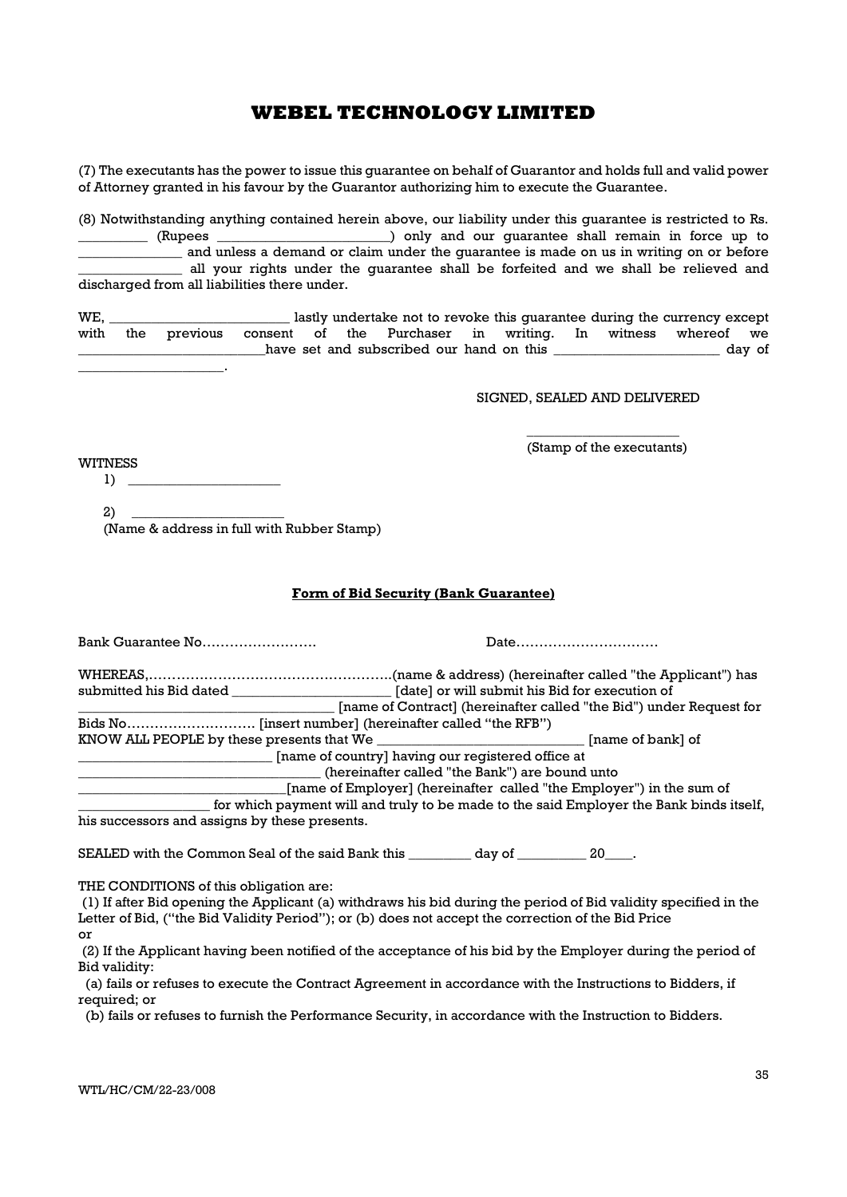(7) The executants has the power to issue this guarantee on behalf of Guarantor and holds full and valid power of Attorney granted in his favour by the Guarantor authorizing him to execute the Guarantee.

(8) Notwithstanding anything contained herein above, our liability under this guarantee is restricted to Rs. \_\_\_\_\_\_\_\_\_\_ (Rupees \_\_\_\_\_\_\_\_\_\_\_\_\_\_\_\_\_\_\_\_\_\_\_\_\_) only and our guarantee shall remain in force up to and unless a demand or claim under the guarantee is made on us in writing on or before \_\_\_\_\_\_\_\_\_\_\_\_\_\_\_ all your rights under the guarantee shall be forfeited and we shall be relieved and discharged from all liabilities there under.

WE, \_\_\_\_\_\_\_\_\_\_\_\_\_\_\_\_\_\_\_\_\_\_\_\_\_\_ lastly undertake not to revoke this guarantee during the currency except with the previous consent of the Purchaser in writing. In witness whereof we have set and subscribed our hand on this \_\_\_\_\_\_\_\_\_\_\_\_\_\_\_\_\_\_\_\_\_\_\_\_\_ day of

SIGNED, SEALED AND DELIVERED

WITNESS  $1)$ 

\_\_\_\_\_\_\_\_\_\_\_\_\_\_\_\_\_\_\_\_\_.

 $\overline{\phantom{a}}$  , we can consider the constant of  $\overline{\phantom{a}}$ (Stamp of the executants)

 $2)$ (Name & address in full with Rubber Stamp)

### Form of Bid Security (Bank Guarantee)

| Bank Guarantee No                                                                                                      |                                                                                               |  |                                                                                         |
|------------------------------------------------------------------------------------------------------------------------|-----------------------------------------------------------------------------------------------|--|-----------------------------------------------------------------------------------------|
|                                                                                                                        |                                                                                               |  |                                                                                         |
|                                                                                                                        | [date] or will submit his Bid for execution of                                                |  |                                                                                         |
|                                                                                                                        | [name of Contract] (hereinafter called "the Bid") under Request for                           |  |                                                                                         |
|                                                                                                                        |                                                                                               |  |                                                                                         |
|                                                                                                                        | KNOW ALL PEOPLE by these presents that We __________________________________[name of bank] of |  |                                                                                         |
| [name of country] having our registered office at                                                                      |                                                                                               |  |                                                                                         |
| (hereinafter called "the Bank") are bound unto<br>[name of Employer] (hereinafter called "the Employer") in the sum of |                                                                                               |  |                                                                                         |
|                                                                                                                        |                                                                                               |  | for which payment will and truly to be made to the said Employer the Bank binds itself, |
| his guagescare and assigns by these presents                                                                           |                                                                                               |  |                                                                                         |

his successors and assigns by these presents.

SEALED with the Common Seal of the said Bank this day of  $20$ .

THE CONDITIONS of this obligation are:

 (1) If after Bid opening the Applicant (a) withdraws his bid during the period of Bid validity specified in the Letter of Bid, ("the Bid Validity Period"); or (b) does not accept the correction of the Bid Price or

 (2) If the Applicant having been notified of the acceptance of his bid by the Employer during the period of Bid validity:

 (a) fails or refuses to execute the Contract Agreement in accordance with the Instructions to Bidders, if required; or

(b) fails or refuses to furnish the Performance Security, in accordance with the Instruction to Bidders.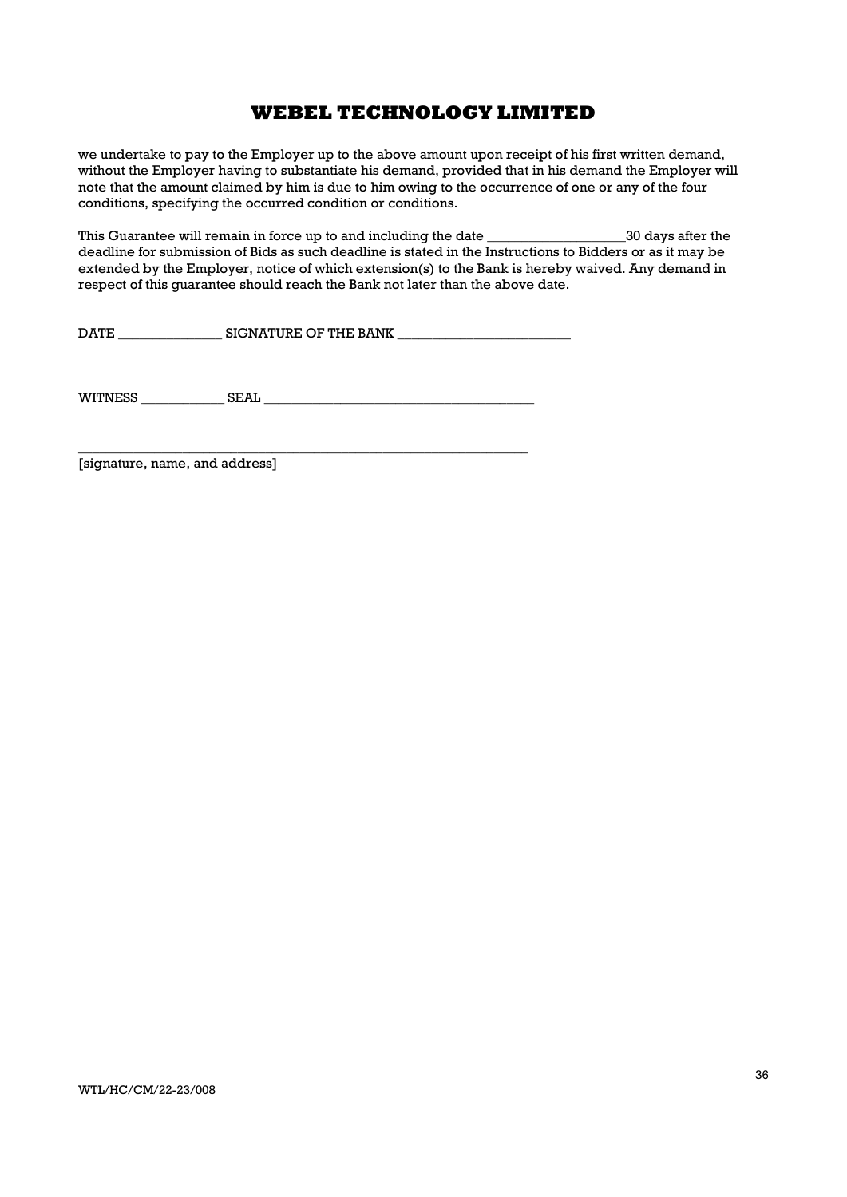we undertake to pay to the Employer up to the above amount upon receipt of his first written demand, without the Employer having to substantiate his demand, provided that in his demand the Employer will note that the amount claimed by him is due to him owing to the occurrence of one or any of the four conditions, specifying the occurred condition or conditions.

This Guarantee will remain in force up to and including the date \_\_\_\_\_\_\_\_\_\_\_\_\_\_\_\_\_\_\_\_30 days after the deadline for submission of Bids as such deadline is stated in the Instructions to Bidders or as it may be extended by the Employer, notice of which extension(s) to the Bank is hereby waived. Any demand in respect of this guarantee should reach the Bank not later than the above date.

DATE \_\_\_\_\_\_\_\_\_\_\_\_\_\_\_ SIGNATURE OF THE BANK \_\_\_\_\_\_\_\_\_\_\_\_\_\_\_\_\_\_\_\_\_\_\_\_\_

WITNESS \_\_\_\_\_\_\_\_\_\_\_\_ SEAL \_\_\_\_\_\_\_\_\_\_\_\_\_\_\_\_\_\_\_\_\_\_\_\_\_\_\_\_\_\_\_\_\_\_\_\_\_\_\_

\_\_\_\_\_\_\_\_\_\_\_\_\_\_\_\_\_\_\_\_\_\_\_\_\_\_\_\_\_\_\_\_\_\_\_\_\_\_\_\_\_\_\_\_\_\_\_\_\_\_\_\_\_\_\_\_\_\_\_\_\_\_\_\_\_

[signature, name, and address]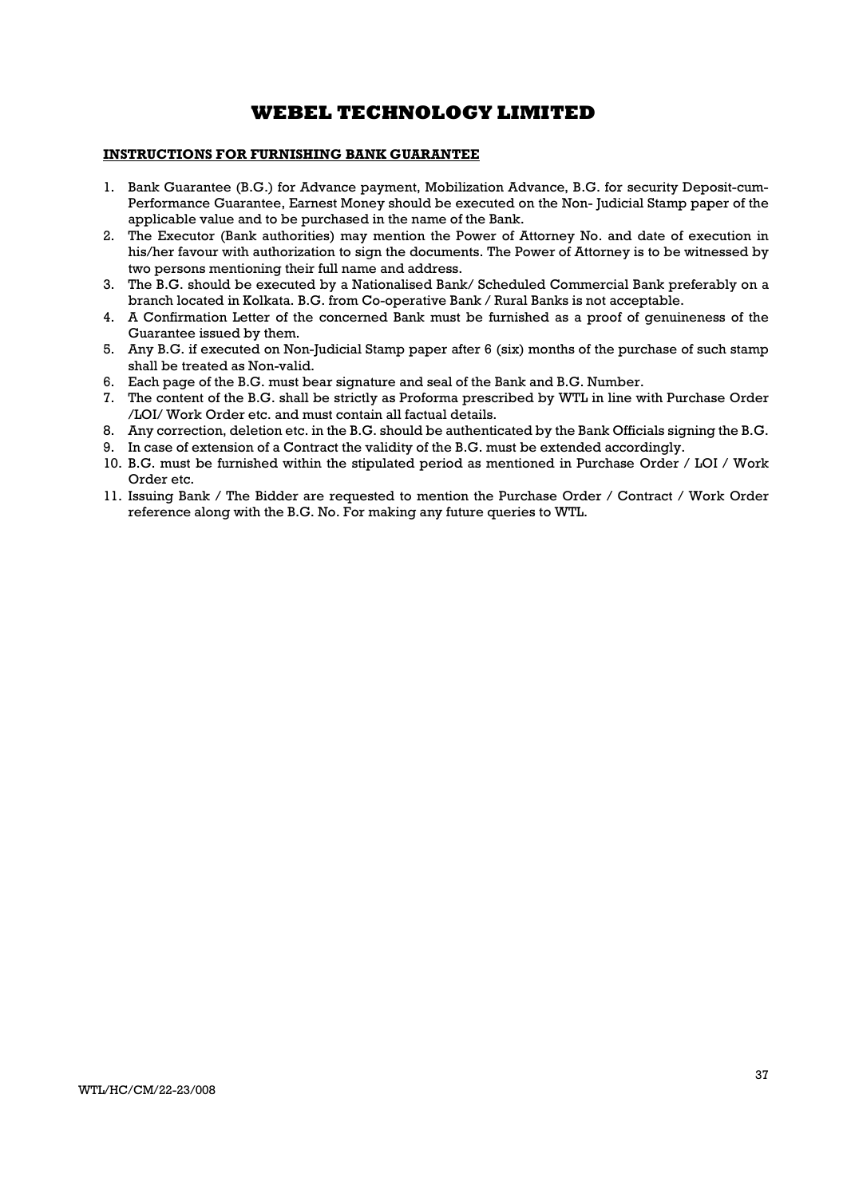### INSTRUCTIONS FOR FURNISHING BANK GUARANTEE

- 1. Bank Guarantee (B.G.) for Advance payment, Mobilization Advance, B.G. for security Deposit-cum-Performance Guarantee, Earnest Money should be executed on the Non- Judicial Stamp paper of the applicable value and to be purchased in the name of the Bank.
- 2. The Executor (Bank authorities) may mention the Power of Attorney No. and date of execution in his/her favour with authorization to sign the documents. The Power of Attorney is to be witnessed by two persons mentioning their full name and address.
- 3. The B.G. should be executed by a Nationalised Bank/ Scheduled Commercial Bank preferably on a branch located in Kolkata. B.G. from Co-operative Bank / Rural Banks is not acceptable.
- 4. A Confirmation Letter of the concerned Bank must be furnished as a proof of genuineness of the Guarantee issued by them.
- 5. Any B.G. if executed on Non-Judicial Stamp paper after 6 (six) months of the purchase of such stamp shall be treated as Non-valid.
- 6. Each page of the B.G. must bear signature and seal of the Bank and B.G. Number.
- 7. The content of the B.G. shall be strictly as Proforma prescribed by WTL in line with Purchase Order /LOI/ Work Order etc. and must contain all factual details.
- 8. Any correction, deletion etc. in the B.G. should be authenticated by the Bank Officials signing the B.G.
- 9. In case of extension of a Contract the validity of the B.G. must be extended accordingly.
- 10. B.G. must be furnished within the stipulated period as mentioned in Purchase Order / LOI / Work Order etc.
- 11. Issuing Bank / The Bidder are requested to mention the Purchase Order / Contract / Work Order reference along with the B.G. No. For making any future queries to WTL.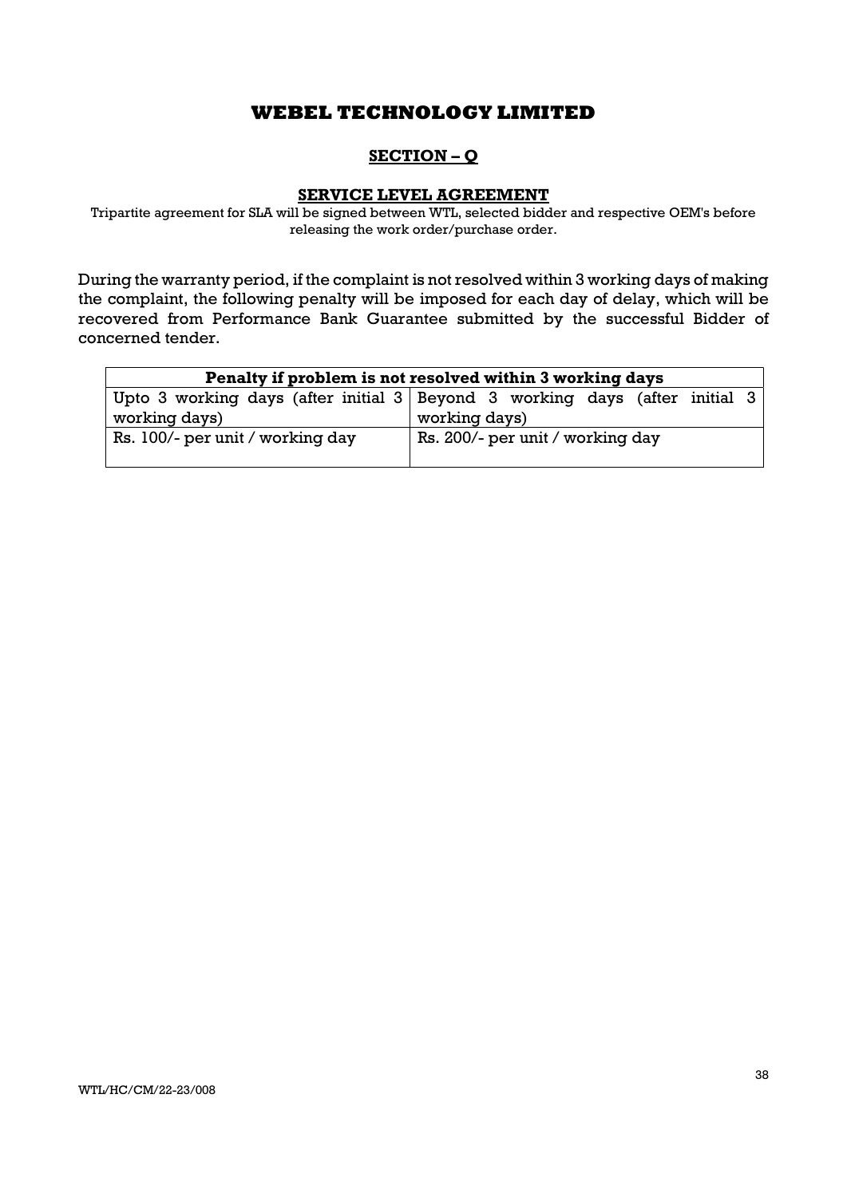# SECTION – Q

## SERVICE LEVEL AGREEMENT

Tripartite agreement for SLA will be signed between WTL, selected bidder and respective OEM's before releasing the work order/purchase order.

During the warranty period, if the complaint is not resolved within 3 working days of making the complaint, the following penalty will be imposed for each day of delay, which will be recovered from Performance Bank Guarantee submitted by the successful Bidder of concerned tender.

| Penalty if problem is not resolved within 3 working days |                                                                                    |  |  |  |  |
|----------------------------------------------------------|------------------------------------------------------------------------------------|--|--|--|--|
|                                                          | Upto 3 working days (after initial $3 \mid$ Beyond 3 working days (after initial 3 |  |  |  |  |
| working days)                                            | working days)                                                                      |  |  |  |  |
| Rs. 100/- per unit / working day                         | Rs. 200/- per unit / working day                                                   |  |  |  |  |
|                                                          |                                                                                    |  |  |  |  |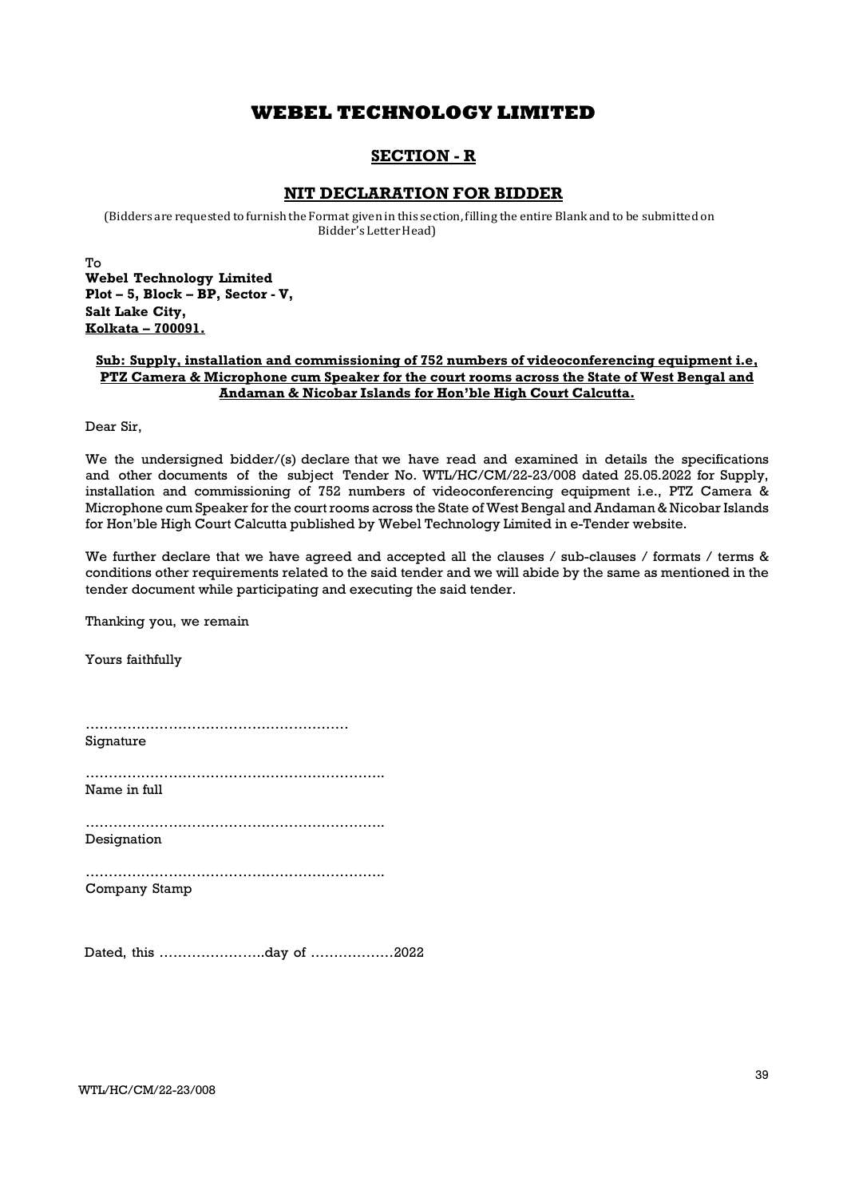## SECTION - R

### NIT DECLARATION FOR BIDDER

(Bidders are requested to furnish the Format given in this section, filling the entire Blank and to be submitted on Bidder's Letter Head)

To Webel Technology Limited Plot – 5, Block – BP, Sector - V, Salt Lake City, Kolkata – 700091.

### Sub: Supply, installation and commissioning of 752 numbers of videoconferencing equipment i.e, PTZ Camera & Microphone cum Speaker for the court rooms across the State of West Bengal and Andaman & Nicobar Islands for Hon'ble High Court Calcutta.

Dear Sir,

We the undersigned bidder/(s) declare that we have read and examined in details the specifications and other documents of the subject Tender No. WTL/HC/CM/22-23/008 dated 25.05.2022 for Supply, installation and commissioning of 752 numbers of videoconferencing equipment i.e., PTZ Camera & Microphone cum Speaker for the court rooms across the State of West Bengal and Andaman & Nicobar Islands for Hon'ble High Court Calcutta published by Webel Technology Limited in e-Tender website.

We further declare that we have agreed and accepted all the clauses / sub-clauses / formats / terms & conditions other requirements related to the said tender and we will abide by the same as mentioned in the tender document while participating and executing the said tender.

Thanking you, we remain

Yours faithfully

………………………………………………… Signature

……………………………………………………….. Name in full

……………………………………………………….. Designation

……………………………………………………….. Company Stamp

Dated, this …………………..day of ………………2022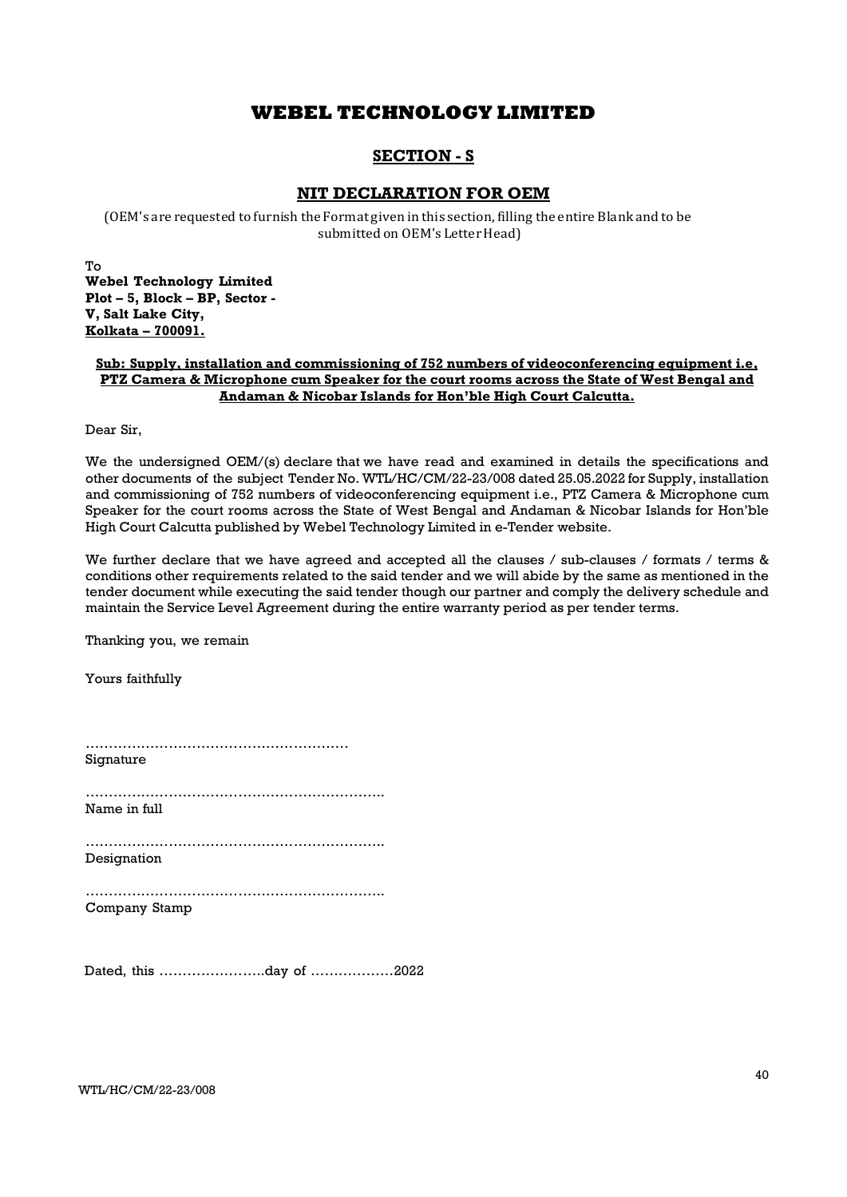## SECTION - S

## NIT DECLARATION FOR OEM

(OEM's are requested to furnish the Format given in this section, filling the entire Blank and to be submitted on OEM's Letter Head)

To Webel Technology Limited Plot – 5, Block – BP, Sector - V, Salt Lake City, Kolkata – 700091.

### Sub: Supply, installation and commissioning of 752 numbers of videoconferencing equipment i.e, PTZ Camera & Microphone cum Speaker for the court rooms across the State of West Bengal and Andaman & Nicobar Islands for Hon'ble High Court Calcutta.

Dear Sir,

We the undersigned OEM/(s) declare that we have read and examined in details the specifications and other documents of the subject Tender No. WTL/HC/CM/22-23/008 dated 25.05.2022 for Supply, installation and commissioning of 752 numbers of videoconferencing equipment i.e., PTZ Camera & Microphone cum Speaker for the court rooms across the State of West Bengal and Andaman & Nicobar Islands for Hon'ble High Court Calcutta published by Webel Technology Limited in e-Tender website.

We further declare that we have agreed and accepted all the clauses / sub-clauses / formats / terms & conditions other requirements related to the said tender and we will abide by the same as mentioned in the tender document while executing the said tender though our partner and comply the delivery schedule and maintain the Service Level Agreement during the entire warranty period as per tender terms.

Thanking you, we remain

Yours faithfully

………………………………………………… Signature ……………………………………………………….. Name in full ……………………………………………………….. Designation ……………………………………………………….. Company Stamp Dated, this …………………..day of ………………2022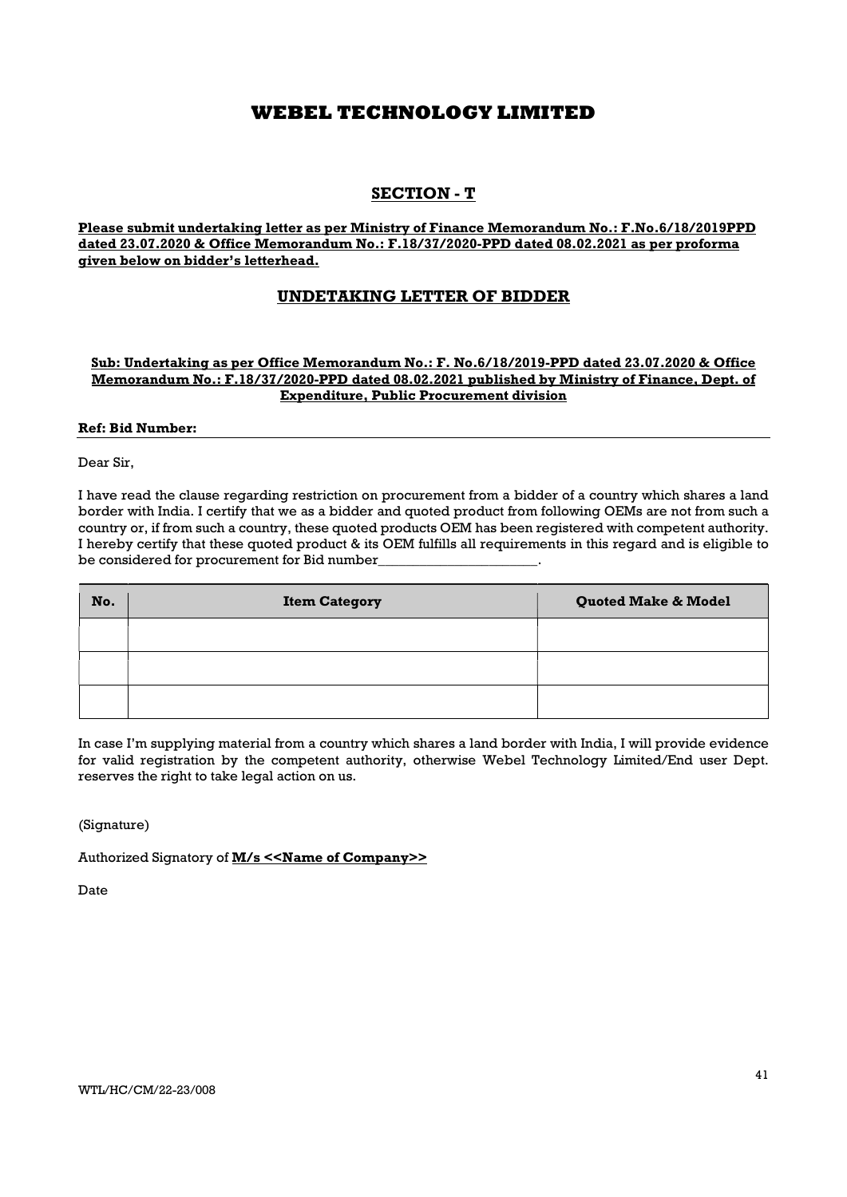## SECTION - T

Please submit undertaking letter as per Ministry of Finance Memorandum No.: F.No.6/18/2019PPD dated 23.07.2020 & Office Memorandum No.: F.18/37/2020-PPD dated 08.02.2021 as per proforma given below on bidder's letterhead.

## UNDETAKING LETTER OF BIDDER

### Sub: Undertaking as per Office Memorandum No.: F. No.6/18/2019-PPD dated 23.07.2020 & Office Memorandum No.: F.18/37/2020-PPD dated 08.02.2021 published by Ministry of Finance, Dept. of Expenditure, Public Procurement division

### Ref: Bid Number:

Dear Sir,

I have read the clause regarding restriction on procurement from a bidder of a country which shares a land border with India. I certify that we as a bidder and quoted product from following OEMs are not from such a country or, if from such a country, these quoted products OEM has been registered with competent authority. I hereby certify that these quoted product & its OEM fulfills all requirements in this regard and is eligible to be considered for procurement for Bid number\_

| No. | <b>Item Category</b> | Quoted Make & Model |
|-----|----------------------|---------------------|
|     |                      |                     |
|     |                      |                     |
|     |                      |                     |

In case I'm supplying material from a country which shares a land border with India, I will provide evidence for valid registration by the competent authority, otherwise Webel Technology Limited/End user Dept. reserves the right to take legal action on us.

(Signature)

Authorized Signatory of M/s << Name of Company>>

Date